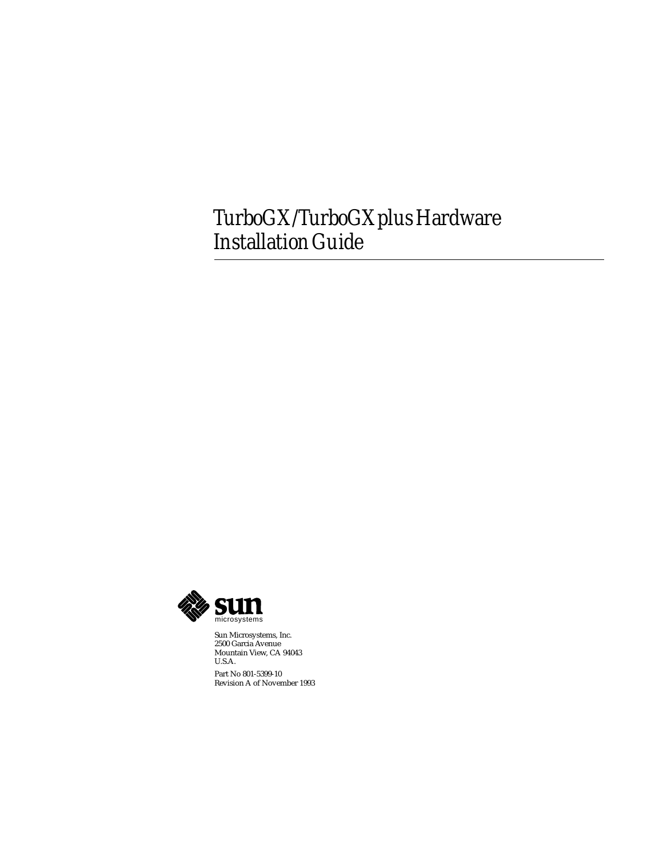## *TurboGX/TurboGXplus Hardware Installation Guide*



Sun Microsystems, Inc. 2500 Garcia Avenue Mountain View, CA 94043 U.S.A.

Part No 801-5399-10 Revision A of November 1993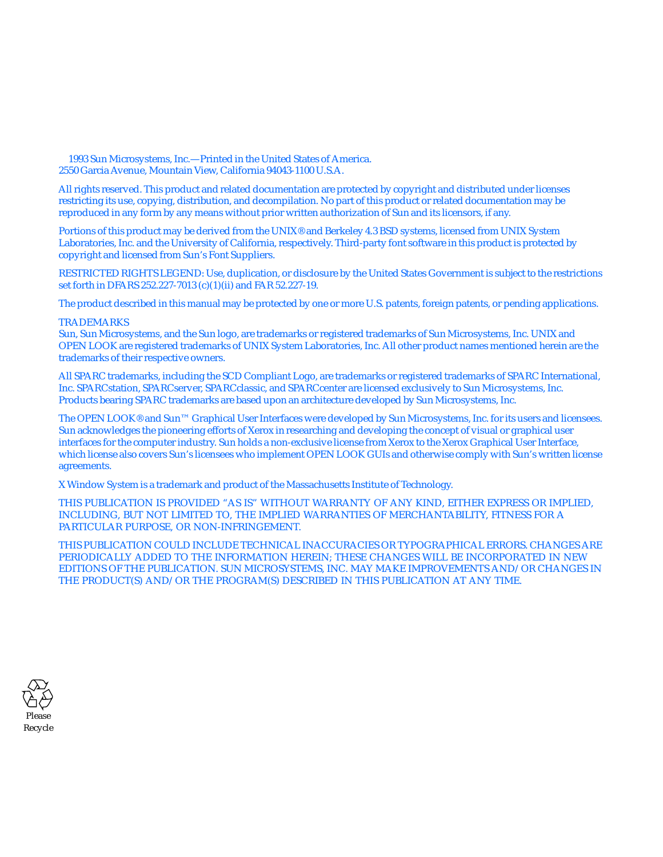1993 Sun Microsystems, Inc.—Printed in the United States of America. 2550 Garcia Avenue, Mountain View, California 94043-1100 U.S.A.

All rights reserved. This product and related documentation are protected by copyright and distributed under licenses restricting its use, copying, distribution, and decompilation. No part of this product or related documentation may be reproduced in any form by any means without prior written authorization of Sun and its licensors, if any.

Portions of this product may be derived from the UNIX® and Berkeley 4.3 BSD systems, licensed from UNIX System Laboratories, Inc. and the University of California, respectively. Third-party font software in this product is protected by copyright and licensed from Sun's Font Suppliers.

RESTRICTED RIGHTS LEGEND: Use, duplication, or disclosure by the United States Government is subject to the restrictions set forth in DFARS 252.227-7013 (c)(1)(ii) and FAR 52.227-19.

The product described in this manual may be protected by one or more U.S. patents, foreign patents, or pending applications.

#### **TRADEMARKS**

Sun, Sun Microsystems, and the Sun logo, are trademarks or registered trademarks of Sun Microsystems, Inc. UNIX and OPEN LOOK are registered trademarks of UNIX System Laboratories, Inc. All other product names mentioned herein are the trademarks of their respective owners.

All SPARC trademarks, including the SCD Compliant Logo, are trademarks or registered trademarks of SPARC International, Inc. SPARCstation, SPARCserver, SPARCclassic, and SPARCcenter are licensed exclusively to Sun Microsystems, Inc. Products bearing SPARC trademarks are based upon an architecture developed by Sun Microsystems, Inc.

The OPEN LOOK® and Sun™ Graphical User Interfaces were developed by Sun Microsystems, Inc. for its users and licensees. Sun acknowledges the pioneering efforts of Xerox in researching and developing the concept of visual or graphical user interfaces for the computer industry. Sun holds a non-exclusive license from Xerox to the Xerox Graphical User Interface, which license also covers Sun's licensees who implement OPEN LOOK GUIs and otherwise comply with Sun's written license agreements.

X Window System is a trademark and product of the Massachusetts Institute of Technology.

THIS PUBLICATION IS PROVIDED "AS IS" WITHOUT WARRANTY OF ANY KIND, EITHER EXPRESS OR IMPLIED, INCLUDING, BUT NOT LIMITED TO, THE IMPLIED WARRANTIES OF MERCHANTABILITY, FITNESS FOR A PARTICULAR PURPOSE, OR NON-INFRINGEMENT.

THIS PUBLICATION COULD INCLUDE TECHNICAL INACCURACIES OR TYPOGRAPHICAL ERRORS. CHANGES ARE PERIODICALLY ADDED TO THE INFORMATION HEREIN; THESE CHANGES WILL BE INCORPORATED IN NEW EDITIONS OF THE PUBLICATION. SUN MICROSYSTEMS, INC. MAY MAKE IMPROVEMENTS AND/OR CHANGES IN THE PRODUCT(S) AND/OR THE PROGRAM(S) DESCRIBED IN THIS PUBLICATION AT ANY TIME.

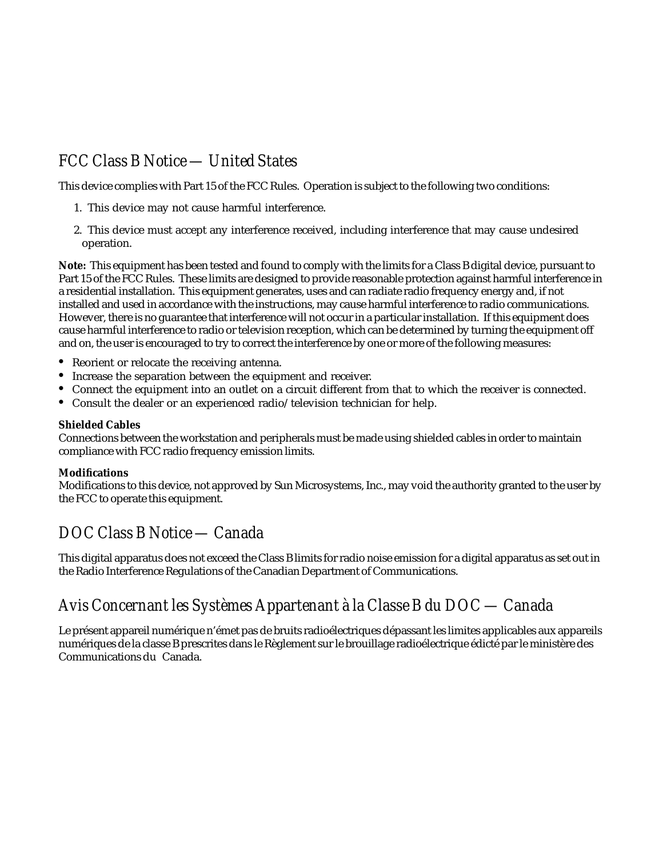## *FCC Class B Notice — United States*

This device complies with Part 15 of the FCC Rules. Operation is subject to the following two conditions:

- 1. This device may not cause harmful interference.
- 2. This device must accept any interference received, including interference that may cause undesired operation.

**Note:** This equipment has been tested and found to comply with the limits for a Class B digital device, pursuant to Part 15 of the FCC Rules. These limits are designed to provide reasonable protection against harmful interference in a residential installation. This equipment generates, uses and can radiate radio frequency energy and, if not installed and used in accordance with the instructions, may cause harmful interference to radio communications. However, there is no guarantee that interference will not occur in a particular installation. If this equipment does cause harmful interference to radio or television reception, which can be determined by turning the equipment off and on, the user is encouraged to try to correct the interference by one or more of the following measures:

- **•** Reorient or relocate the receiving antenna.
- **•** Increase the separation between the equipment and receiver.
- **•** Connect the equipment into an outlet on a circuit different from that to which the receiver is connected.
- **•** Consult the dealer or an experienced radio/television technician for help.

#### **Shielded Cables**

Connections between the workstation and peripherals must be made using shielded cables in order to maintain compliance with FCC radio frequency emission limits.

#### **Modifications**

Modifications to this device, not approved by Sun Microsystems, Inc., may void the authority granted to the user by the FCC to operate this equipment.

## *DOC Class B Notice — Canada*

This digital apparatus does not exceed the Class B limits for radio noise emission for a digital apparatus as set out in the Radio Interference Regulations of the Canadian Department of Communications.

## *Avis Concernant les Systèmes Appartenant à la Classe B du DOC — Canada*

Le présent appareil numérique n'émet pas de bruits radioélectriques dépassant les limites applicables aux appareils numériques de la classe B prescrites dans le Règlement sur le brouillage radioélectrique édicté par le ministère des Communications du Canada.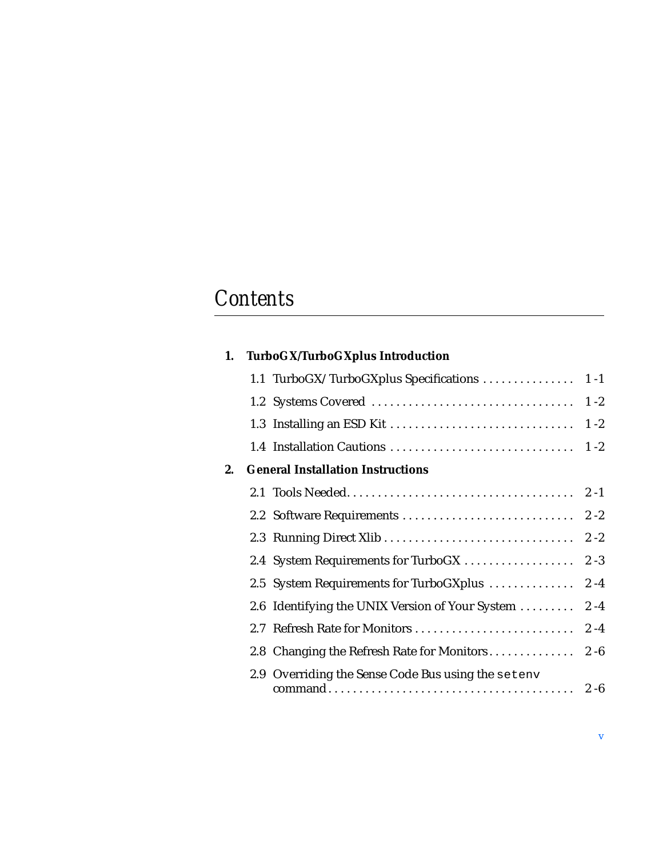# *Contents*

## **1. TurboGX/TurboGXplus Introduction**

|    | 1.1 TurboGX/TurboGXplus Specifications  1-1          |         |
|----|------------------------------------------------------|---------|
|    |                                                      |         |
|    |                                                      | $1 - 2$ |
|    |                                                      | $1 - 2$ |
| 2. | <b>General Installation Instructions</b>             |         |
|    |                                                      |         |
|    |                                                      |         |
|    | 2.3 Running Direct Xlib                              | $2 - 2$ |
|    |                                                      |         |
|    | 2.5 System Requirements for TurboGXplus  2-4         |         |
|    | 2.6 Identifying the UNIX Version of Your System  2-4 |         |
|    |                                                      |         |
|    |                                                      |         |
|    | 2.9 Overriding the Sense Code Bus using the setenv   |         |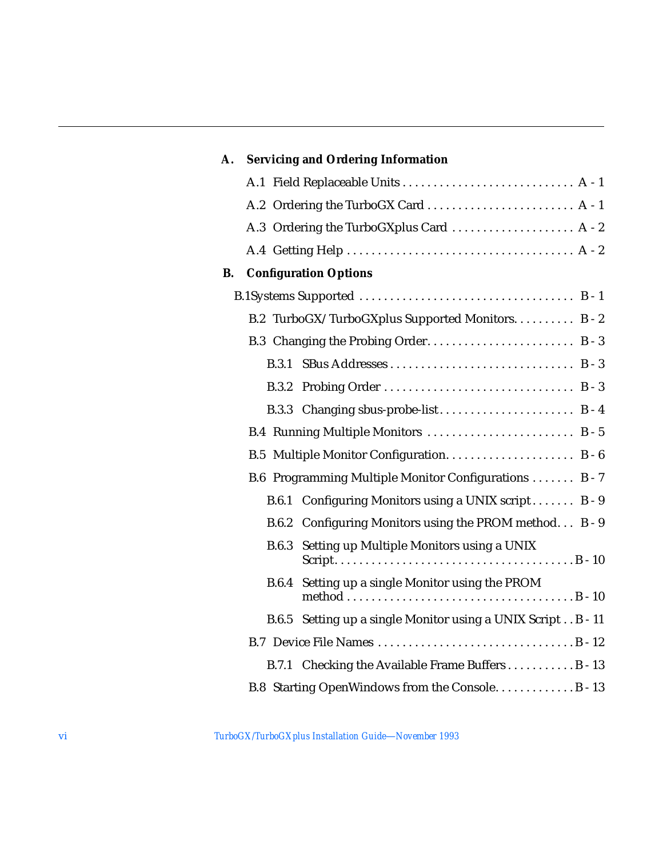| A.        |              | <b>Servicing and Ordering Information</b>                    |
|-----------|--------------|--------------------------------------------------------------|
|           |              | A.1 Field Replaceable Units  A - 1                           |
|           |              | A.2 Ordering the TurboGX Card  A - 1                         |
|           |              | A.3 Ordering the TurboGXplus Card  A - 2                     |
|           |              |                                                              |
| <b>B.</b> |              | <b>Configuration Options</b>                                 |
|           |              |                                                              |
|           |              | B.2 TurboGX/TurboGXplus Supported Monitors B-2               |
|           |              |                                                              |
|           | <b>B.3.1</b> |                                                              |
|           | B.3.2        |                                                              |
|           |              | B.3.3 Changing sbus-probe-list B-4                           |
|           |              |                                                              |
|           |              |                                                              |
|           |              | B.6 Programming Multiple Monitor Configurations  B - 7       |
|           |              | B.6.1 Configuring Monitors using a UNIX script B - 9         |
|           |              | B.6.2 Configuring Monitors using the PROM method B - 9       |
|           | B.6.3        | Setting up Multiple Monitors using a UNIX                    |
|           | <b>B.6.4</b> | Setting up a single Monitor using the PROM                   |
|           |              | B.6.5 Setting up a single Monitor using a UNIX Script B - 11 |
|           |              |                                                              |
|           |              | B.7.1 Checking the Available Frame Buffers B - 13            |
|           |              | B.8 Starting OpenWindows from the Console B-13               |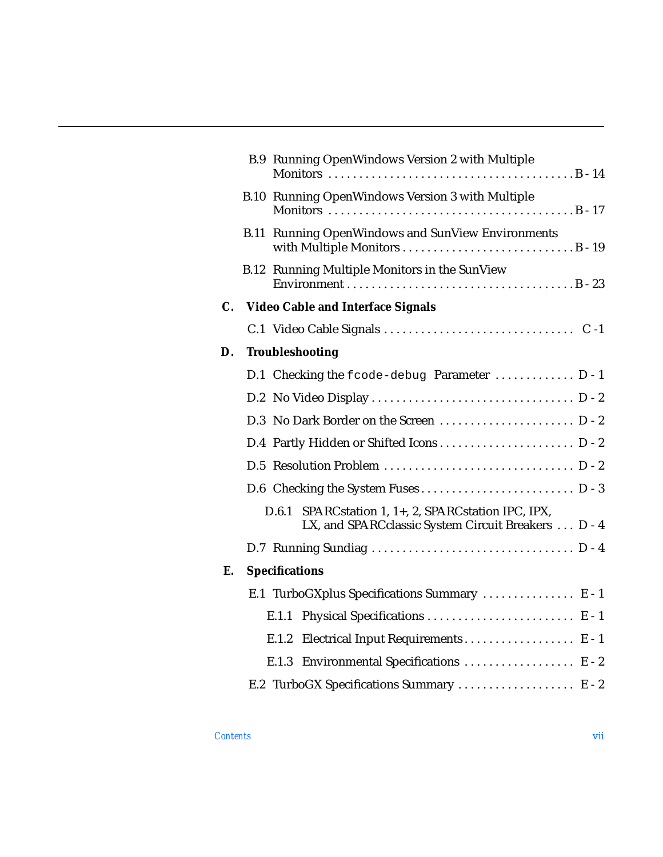|    |             | B.9 Running OpenWindows Version 2 with Multiple                                                              |
|----|-------------|--------------------------------------------------------------------------------------------------------------|
|    |             | B.10 Running OpenWindows Version 3 with Multiple                                                             |
|    | <b>B.11</b> | <b>Running OpenWindows and SunView Environments</b>                                                          |
|    |             | B.12 Running Multiple Monitors in the SunView                                                                |
|    |             | C. Video Cable and Interface Signals                                                                         |
|    |             |                                                                                                              |
| D. |             | Troubleshooting                                                                                              |
|    |             | D.1 Checking the fcode-debug Parameter  D-1                                                                  |
|    |             |                                                                                                              |
|    |             | D.3 No Dark Border on the Screen  D - 2                                                                      |
|    |             | D.4 Partly Hidden or Shifted Icons D - 2                                                                     |
|    |             |                                                                                                              |
|    |             |                                                                                                              |
|    |             | SPARCstation 1, 1+, 2, SPARCstation IPC, IPX,<br>D.6.1<br>LX, and SPARCclassic System Circuit Breakers D - 4 |
|    |             |                                                                                                              |
| E. |             | <b>Specifications</b>                                                                                        |
|    |             | E.1 TurboGXplus Specifications Summary  E-1                                                                  |
|    |             | Physical Specifications  E - 1<br>E.1.1                                                                      |
|    |             | Electrical Input Requirements E-1<br>E.1.2                                                                   |
|    |             | E.1.3 Environmental Specifications  E - 2                                                                    |
|    |             | E.2 TurboGX Specifications Summary  E - 2                                                                    |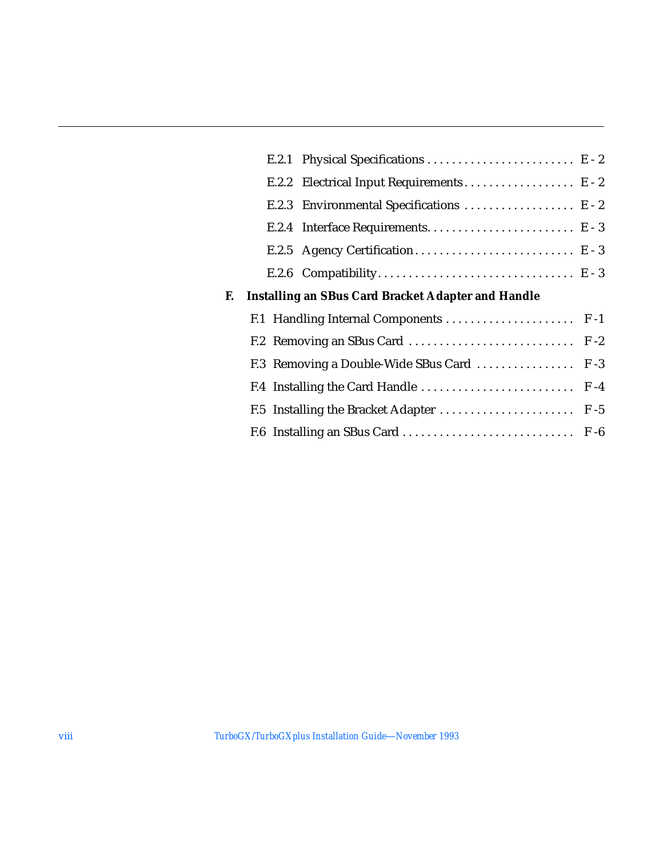|    | E.2.2 Electrical Input Requirements E - 2                 |  |
|----|-----------------------------------------------------------|--|
|    | E.2.3 Environmental Specifications  E - 2                 |  |
|    |                                                           |  |
|    |                                                           |  |
|    |                                                           |  |
| F. | <b>Installing an SBus Card Bracket Adapter and Handle</b> |  |
|    | F.1 Handling Internal Components  F-1                     |  |
|    |                                                           |  |
|    | $F-3$<br>F.3 Removing a Double-Wide SBus Card             |  |
|    | $F - 4$<br>F.4 Installing the Card Handle                 |  |
|    | $F-5$<br>F.5 Installing the Bracket Adapter               |  |
|    |                                                           |  |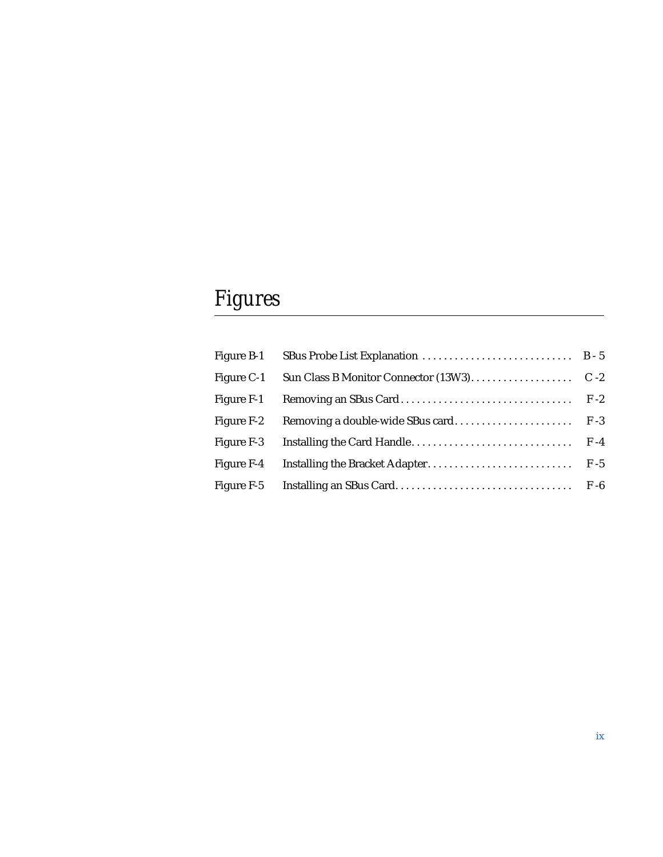# *Figures*

| Figure B-1 |  |
|------------|--|
| Figure C-1 |  |
| Figure F-1 |  |
| Figure F-2 |  |
| Figure F-3 |  |
| Figure F-4 |  |
| Figure F-5 |  |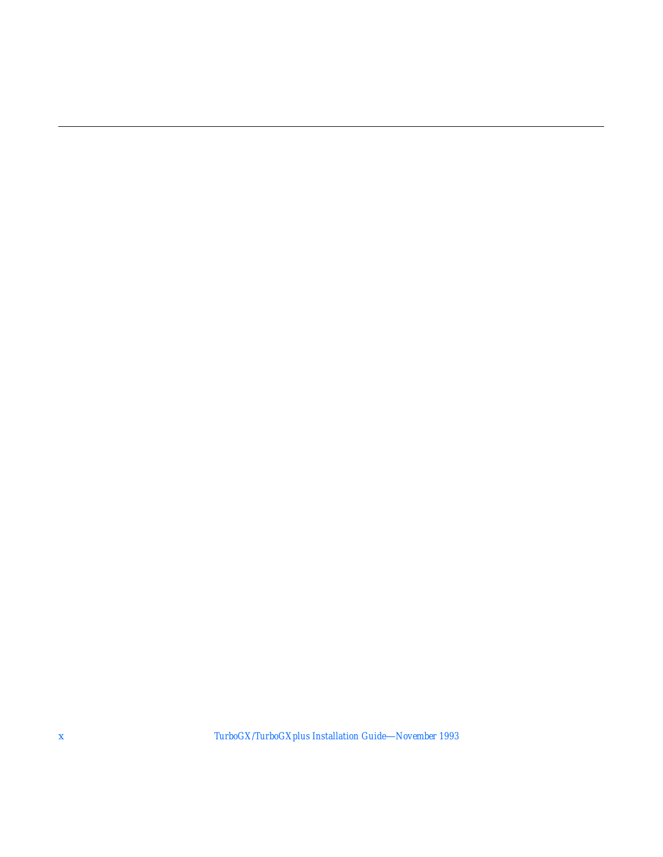x *TurboGX/TurboGXplus Installation Guide*—*November 1993*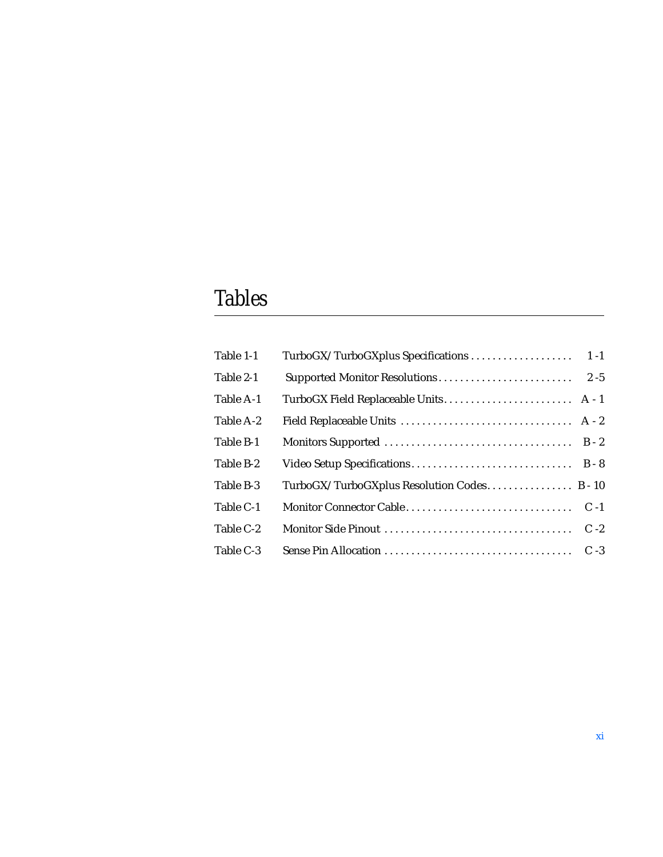# *Tables*

| Table 1-1 | TurboGX/TurboGXplus Specifications        | $1 - 1$ |
|-----------|-------------------------------------------|---------|
| Table 2-1 | Supported Monitor Resolutions             | $2 - 5$ |
| Table A-1 | TurboGX Field Replaceable Units A-1       |         |
| Table A-2 |                                           |         |
| Table B-1 |                                           |         |
| Table B-2 |                                           |         |
| Table B-3 | TurboGX/TurboGXplus Resolution Codes B-10 |         |
| Table C-1 | Monitor Connector Cable                   | $C-1$   |
| Table C-2 |                                           | $C - 2$ |
| Table C-3 |                                           |         |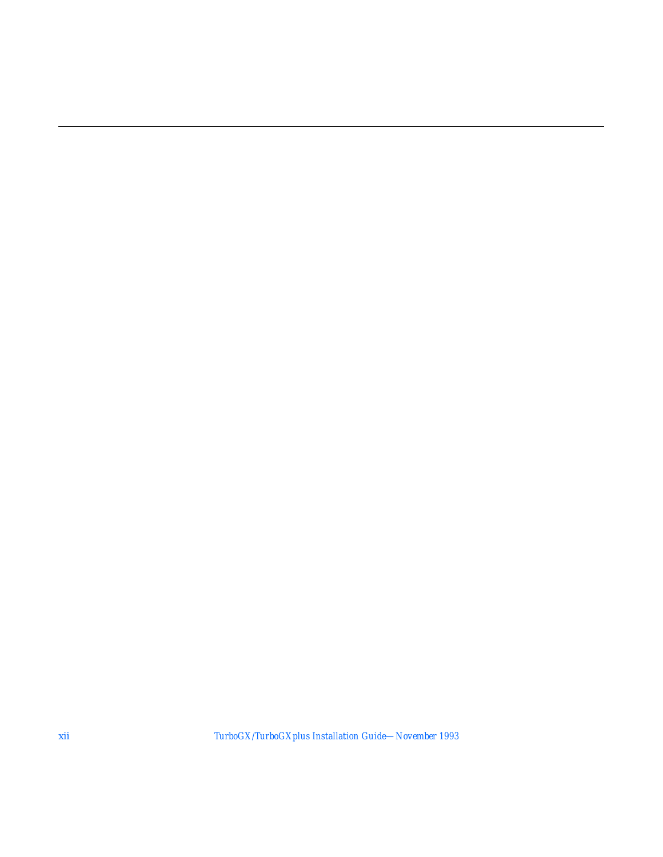xii *TurboGX/TurboGXplus Installation Guide—November 1993*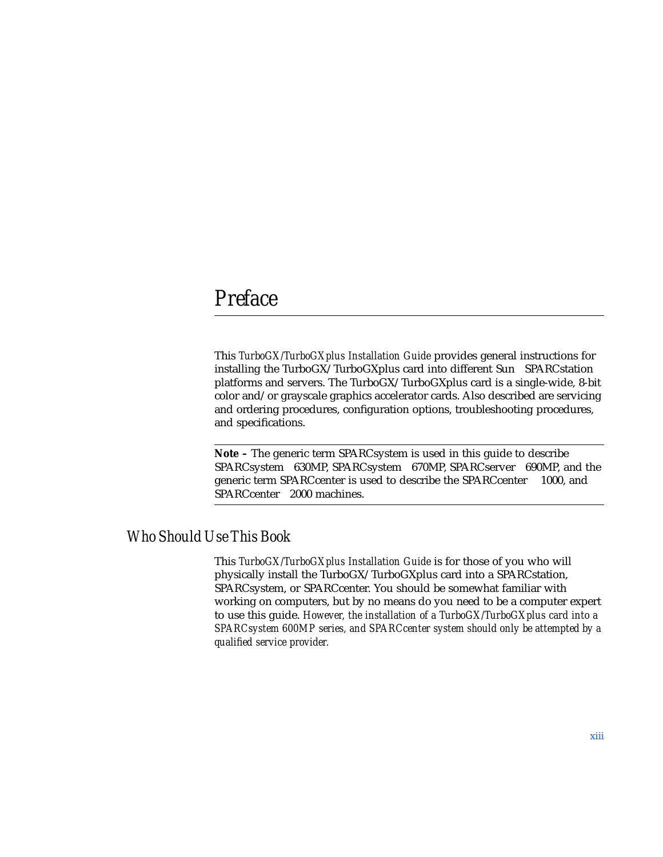## *Preface*

This *TurboGX/TurboGXplus Installation Guide* provides general instructions for installing the TurboGX/TurboGXplus card into different Sun<sup>™</sup> SPARCstation<sup>™</sup> platforms and servers. The TurboGX/TurboGXplus card is a single-wide, 8-bit color and/or grayscale graphics accelerator cards. Also described are servicing and ordering procedures, configuration options, troubleshooting procedures, and specifications.

**Note –** The generic term SPARCsystem is used in this guide to describe SPARCsystem<sup>™</sup> 630MP, SPARCsystem<sup>™</sup> 670MP, SPARCserver<sup>™</sup> 690MP, and the generic term SPARCcenter is used to describe the SPARCcenter ™ 1000, and SPARCcenter<sup>™</sup> 2000 machines.

### *Who Should Use This Book*

This *TurboGX/TurboGXplus Installation Guide* is for those of you who will physically install the TurboGX/TurboGXplus card into a SPARCstation, SPARCsystem, or SPARCcenter. You should be somewhat familiar with working on computers, but by no means do you need to be a computer expert to use this guide. *However, the installation of a TurboGX/TurboGXplus card into a SPARCsystem 600MP series, and SPARCcenter system should only be attempted by a qualified service provider.*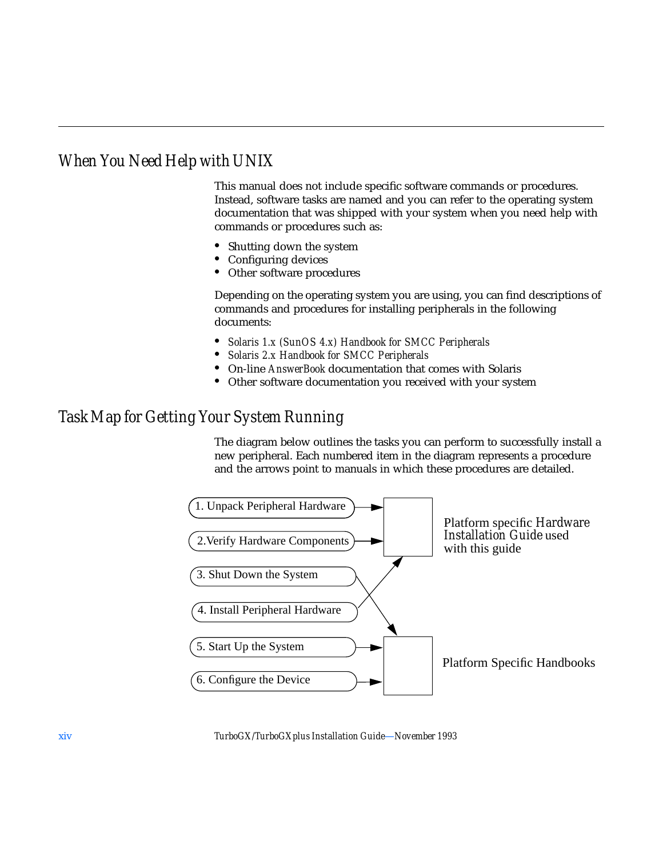### *When You Need Help with UNIX*

This manual does not include specific software commands or procedures. Instead, software tasks are named and you can refer to the operating system documentation that was shipped with your system when you need help with commands or procedures such as:

- **•** Shutting down the system
- **•** Configuring devices
- **•** Other software procedures

Depending on the operating system you are using, you can find descriptions of commands and procedures for installing peripherals in the following documents:

- **•** *Solaris 1.x (SunOS 4.x) Handbook for SMCC Peripherals*
- **•** *Solaris 2.x Handbook for SMCC Peripherals*
- **•** On-line *AnswerBook* documentation that comes with Solaris
- **•** Other software documentation you received with your system

### *Task Map for Getting Your System Running*

The diagram below outlines the tasks you can perform to successfully install a new peripheral. Each numbered item in the diagram represents a procedure and the arrows point to manuals in which these procedures are detailed.



xiv *TurboGX/TurboGXplus Installation Guide*—*November 1993*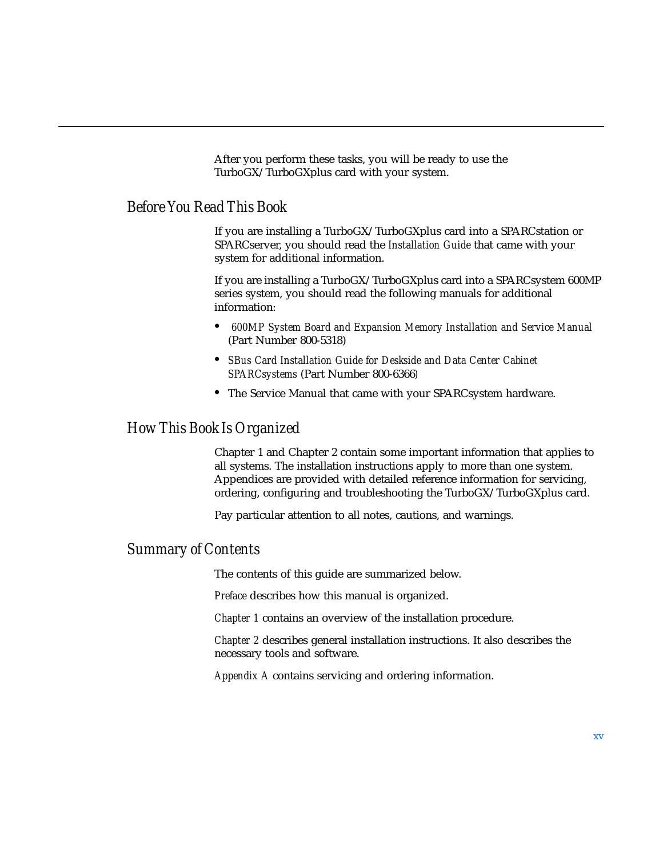After you perform these tasks, you will be ready to use the TurboGX/TurboGXplus card with your system.

#### *Before You Read This Book*

If you are installing a TurboGX/TurboGXplus card into a SPARCstation or SPARCserver, you should read the *Installation Guide* that came with your system for additional information.

If you are installing a TurboGX/TurboGXplus card into a SPARCsystem 600MP series system, you should read the following manuals for additional information:

- **•** *600MP System Board and Expansion Memory Installation and Service Manual* (Part Number 800-5318)
- **•** *SBus Card Installation Guide for Deskside and Data Center Cabinet SPARCsystems* (Part Number 800-6366*)*
- **•** The Service Manual that came with your SPARCsystem hardware.

#### *How This Book Is Organized*

Chapter 1 and Chapter 2 contain some important information that applies to all systems. The installation instructions apply to more than one system. Appendices are provided with detailed reference information for servicing, ordering, configuring and troubleshooting the TurboGX/TurboGXplus card.

Pay particular attention to all notes, cautions, and warnings.

#### *Summary of Contents*

The contents of this guide are summarized below.

*Preface* describes how this manual is organized.

*Chapter 1* contains an overview of the installation procedure.

*Chapter 2* describes general installation instructions. It also describes the necessary tools and software.

*Appendix A* contains servicing and ordering information.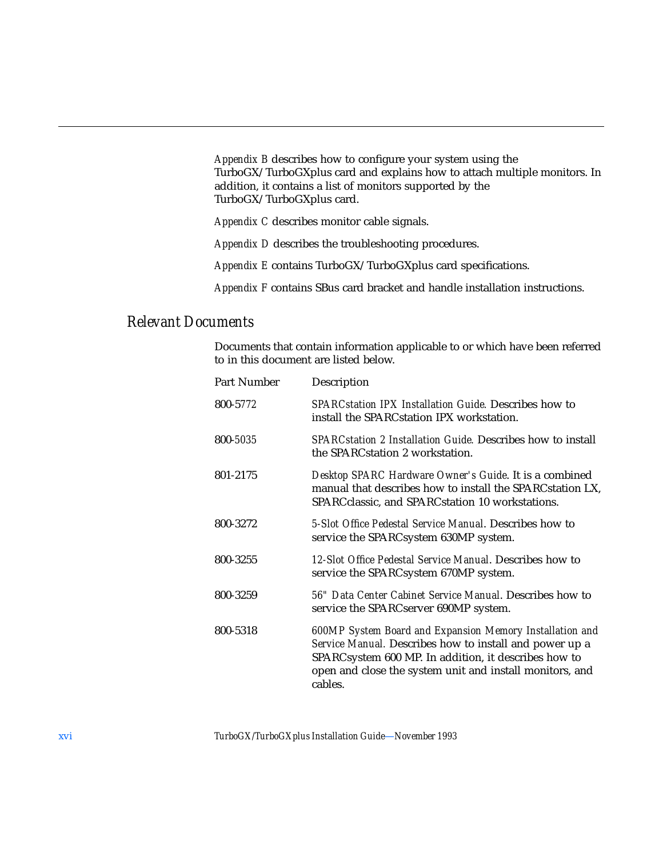*Appendix B* describes how to configure your system using the TurboGX/TurboGXplus card and explains how to attach multiple monitors. In addition, it contains a list of monitors supported by the TurboGX/TurboGXplus card.

*Appendix C* describes monitor cable signals.

*Appendix D* describes the troubleshooting procedures.

*Appendix E* contains TurboGX/TurboGXplus card specifications.

*Appendix F* contains SBus card bracket and handle installation instructions.

#### *Relevant Documents*

Documents that contain information applicable to or which have been referred to in this document are listed below.

| Part Number | Description                                                                                                                                                                                                                                        |
|-------------|----------------------------------------------------------------------------------------------------------------------------------------------------------------------------------------------------------------------------------------------------|
| 800-5772    | SPARC station IPX Installation Guide. Describes how to<br>install the SPARCstation IPX workstation.                                                                                                                                                |
| 800-5035    | SPARCstation 2 Installation Guide. Describes how to install<br>the SPARCstation 2 workstation.                                                                                                                                                     |
| 801-2175    | Desktop SPARC Hardware Owner's Guide. It is a combined<br>manual that describes how to install the SPARCstation LX,<br>SPARCclassic, and SPARCstation 10 workstations.                                                                             |
| 800-3272    | 5-Slot Office Pedestal Service Manual. Describes how to<br>service the SPARCsystem 630MP system.                                                                                                                                                   |
| 800-3255    | 12-Slot Office Pedestal Service Manual. Describes how to<br>service the SPARCsystem 670MP system.                                                                                                                                                  |
| 800-3259    | 56" Data Center Cabinet Service Manual. Describes how to<br>service the SPARCserver 690MP system.                                                                                                                                                  |
| 800-5318    | 600MP System Board and Expansion Memory Installation and<br>Service Manual. Describes how to install and power up a<br>SPARCsystem 600 MP. In addition, it describes how to<br>open and close the system unit and install monitors, and<br>cables. |

xvi *TurboGX/TurboGXplus Installation Guide*—*November 1993*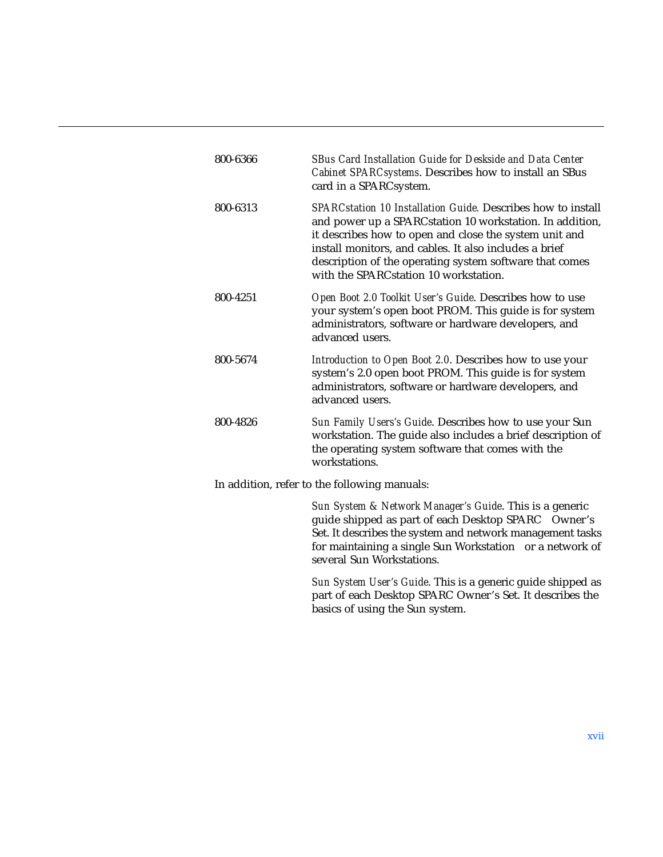| 800-6366 | SBus Card Installation Guide for Deskside and Data Center<br>Cabinet SPARCsystems. Describes how to install an SBus<br>card in a SPARCsystem.                                                                                                                                                                                                    |
|----------|--------------------------------------------------------------------------------------------------------------------------------------------------------------------------------------------------------------------------------------------------------------------------------------------------------------------------------------------------|
| 800-6313 | SPARCstation 10 Installation Guide. Describes how to install<br>and power up a SPARCstation 10 workstation. In addition,<br>it describes how to open and close the system unit and<br>install monitors, and cables. It also includes a brief<br>description of the operating system software that comes<br>with the SPARCstation 10 workstation. |
| 800-4251 | Open Boot 2.0 Toolkit User's Guide. Describes how to use<br>your system's open boot PROM. This guide is for system<br>administrators, software or hardware developers, and<br>advanced users.                                                                                                                                                    |
| 800-5674 | Introduction to Open Boot 2.0. Describes how to use your<br>system's 2.0 open boot PROM. This guide is for system<br>administrators, software or hardware developers, and<br>advanced users.                                                                                                                                                     |
| 800-4826 | Sun Family Users's Guide. Describes how to use your Sun<br>workstation. The guide also includes a brief description of<br>the operating system software that comes with the<br>workstations.                                                                                                                                                     |
|          | In addition, refer to the following manuals:                                                                                                                                                                                                                                                                                                     |

*Sun System & Network Manager's Guide*. This is a generic guide shipped as part of each Desktop SPARC® Owner's Set. It describes the system and network management tasks for maintaining a single Sun Workstation $^\circledR$  or a network of several Sun Workstations.

*Sun System User's Guide*. This is a generic guide shipped as part of each Desktop SPARC Owner's Set. It describes the basics of using the Sun system.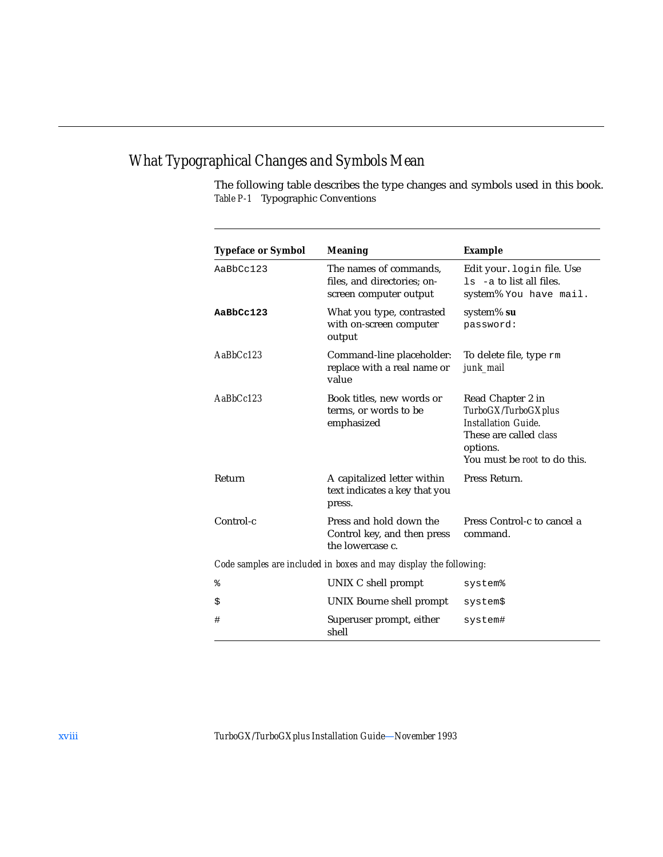## *What Typographical Changes and Symbols Mean*

The following table describes the type changes and symbols used in this book. *Table P-1* Typographic Conventions

| <b>Typeface or Symbol</b>                                         | <b>Meaning</b>                                                                  | <b>Example</b>                                                                                                                                             |  |  |
|-------------------------------------------------------------------|---------------------------------------------------------------------------------|------------------------------------------------------------------------------------------------------------------------------------------------------------|--|--|
| AaBbCc123                                                         | The names of commands,<br>files, and directories; on-<br>screen computer output | Edit your. login file. Use<br>$\text{ls}$ -a to list all files.<br>system% You have mail.                                                                  |  |  |
| AaBbCc123                                                         | What you type, contrasted<br>with on-screen computer<br>output                  | system% su<br>password:                                                                                                                                    |  |  |
| $A$ a $BbCc123$                                                   | Command-line placeholder:<br>replace with a real name or<br>value               | To delete file, type rm<br>junk_mail                                                                                                                       |  |  |
| $A$ aBb $Cc123$                                                   | Book titles, new words or<br>terms, or words to be<br>emphasized                | Read Chapter 2 in<br>TurboGX/TurboGXplus<br><b>Installation Guide.</b><br>These are called <i>class</i><br>options.<br>You must be <i>root</i> to do this. |  |  |
| Return                                                            | A capitalized letter within<br>text indicates a key that you<br>press.          | Press Return.                                                                                                                                              |  |  |
| Control-c                                                         | Press and hold down the<br>Control key, and then press<br>the lowercase c.      | Press Control-c to cancel a<br>command.                                                                                                                    |  |  |
| Code samples are included in boxes and may display the following: |                                                                                 |                                                                                                                                                            |  |  |
| ႜ                                                                 | UNIX C shell prompt                                                             | system%                                                                                                                                                    |  |  |
| \$                                                                | UNIX Bourne shell prompt                                                        | system\$                                                                                                                                                   |  |  |
| #                                                                 | Superuser prompt, either<br>shell                                               | system#                                                                                                                                                    |  |  |

xviii *TurboGX/TurboGXplus Installation Guide*—*November 1993*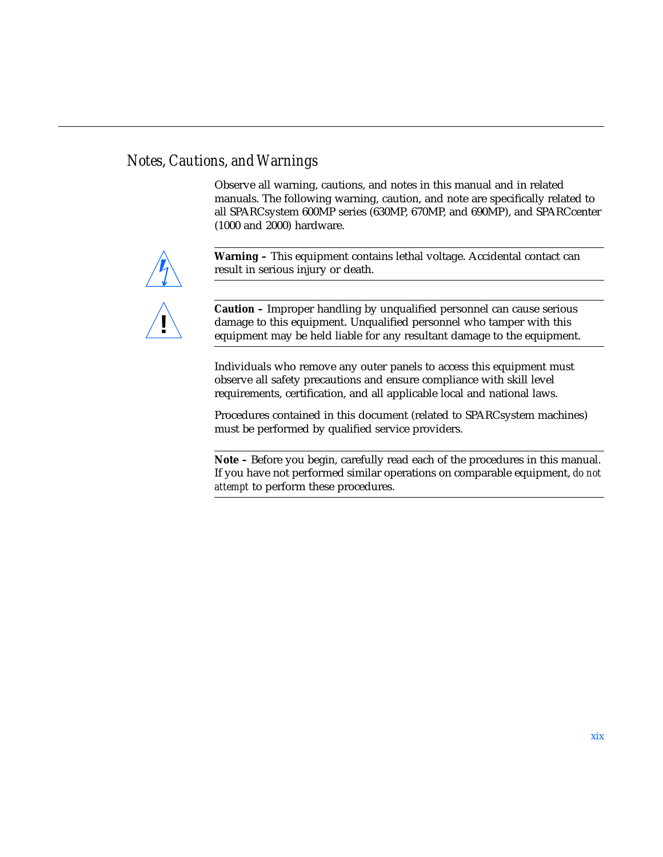## *Notes, Cautions, and Warnings*

Observe all warning, cautions, and notes in this manual and in related manuals. The following warning, caution, and note are specifically related to all SPARCsystem 600MP series (630MP, 670MP, and 690MP), and SPARCcenter (1000 and 2000) hardware.



**Warning –** This equipment contains lethal voltage. Accidental contact can result in serious injury or death.

**Caution –** Improper handling by unqualified personnel can cause serious damage to this equipment. Unqualified personnel who tamper with this equipment may be held liable for any resultant damage to the equipment.

Individuals who remove any outer panels to access this equipment must observe all safety precautions and ensure compliance with skill level requirements, certification, and all applicable local and national laws.

Procedures contained in this document (related to SPARCsystem machines) must be performed by qualified service providers.

**Note –** Before you begin, carefully read each of the procedures in this manual. If you have not performed similar operations on comparable equipment, *do not attempt* to perform these procedures.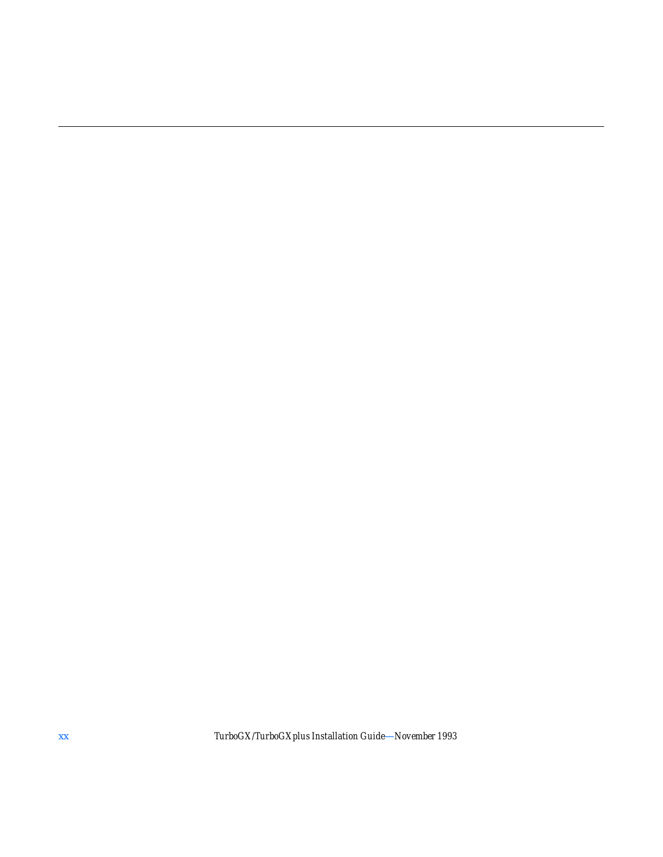xx *TurboGX/TurboGXplus Installation Guide*—*November 1993*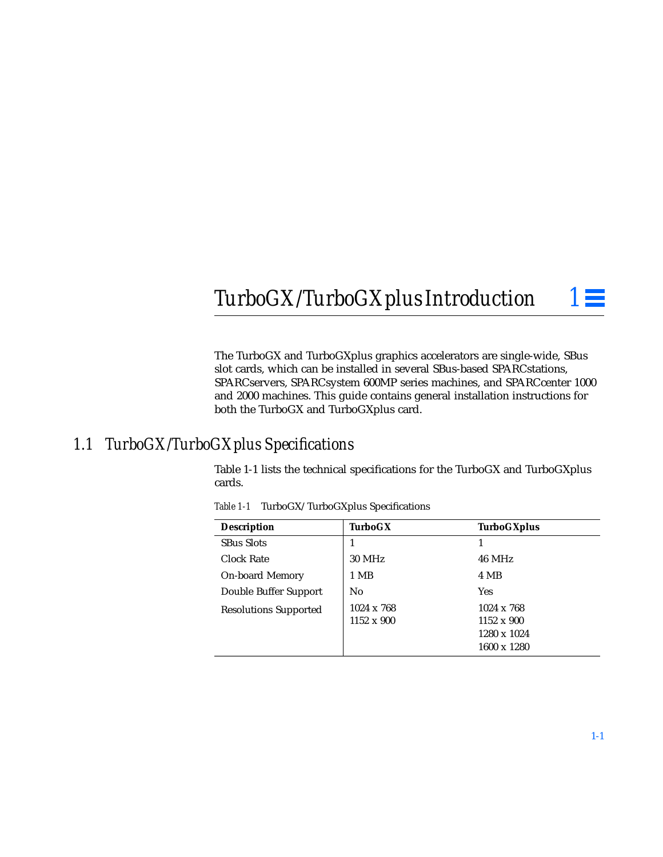## *TurboGX/TurboGXplus Introduction 1*

The TurboGX and TurboGXplus graphics accelerators are single-wide, SBus slot cards, which can be installed in several SBus-based SPARCstations, SPARCservers, SPARCsystem 600MP series machines, and SPARCcenter 1000 and 2000 machines. This guide contains general installation instructions for both the TurboGX and TurboGXplus card.

## *1.1 TurboGX/TurboGXplus Specifications*

Table 1-1 lists the technical specifications for the TurboGX and TurboGXplus cards.

| <b>Description</b>           | TurboGX           | <b>TurboGXplus</b> |
|------------------------------|-------------------|--------------------|
| <b>SBus Slots</b>            | 1                 |                    |
| Clock Rate                   | 30 MHz            | 46 MHz             |
| <b>On-board Memory</b>       | 1 MB              | 4 MB               |
| Double Buffer Support        | No.               | <b>Yes</b>         |
| <b>Resolutions Supported</b> | $1024 \times 768$ | $1024 \times 768$  |
|                              | $1152 \times 900$ | $1152 \times 900$  |
|                              |                   | 1280 x 1024        |
|                              |                   | 1600 x 1280        |

*Table 1-1* TurboGX/TurboGXplus Specifications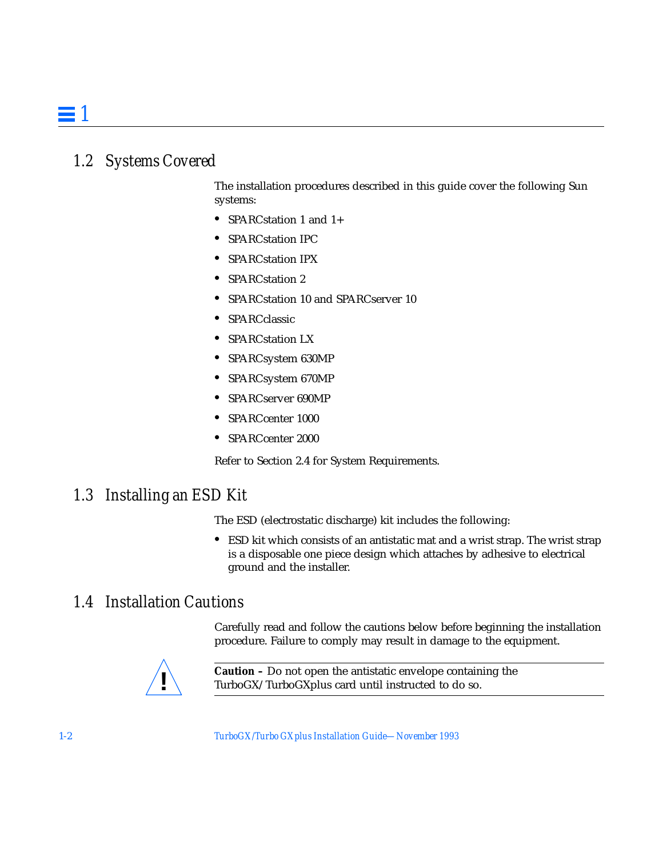## *1.2 Systems Covered*

The installation procedures described in this guide cover the following Sun systems:

- **•** SPARCstation 1 and 1+
- **•** SPARCstation IPC
- **•** SPARCstation IPX
- **•** SPARCstation 2
- **•** SPARCstation 10 and SPARCserver 10
- **•** SPARCclassic
- **•** SPARCstation LX
- **•** SPARCsystem 630MP
- **•** SPARCsystem 670MP
- **•** SPARCserver 690MP
- **•** SPARCcenter 1000
- **•** SPARCcenter 2000

Refer to Section 2.4 for System Requirements.

### *1.3 Installing an ESD Kit*

The ESD (electrostatic discharge) kit includes the following:

**•** ESD kit which consists of an antistatic mat and a wrist strap. The wrist strap is a disposable one piece design which attaches by adhesive to electrical ground and the installer.

## *1.4 Installation Cautions*

Carefully read and follow the cautions below before beginning the installation procedure. Failure to comply may result in damage to the equipment.



**Caution –** Do not open the antistatic envelope containing the **!** TurboGX/TurboGXplus card until instructed to do so.

1-2 *TurboGX/Turbo GXplus Installation Guide—November 1993*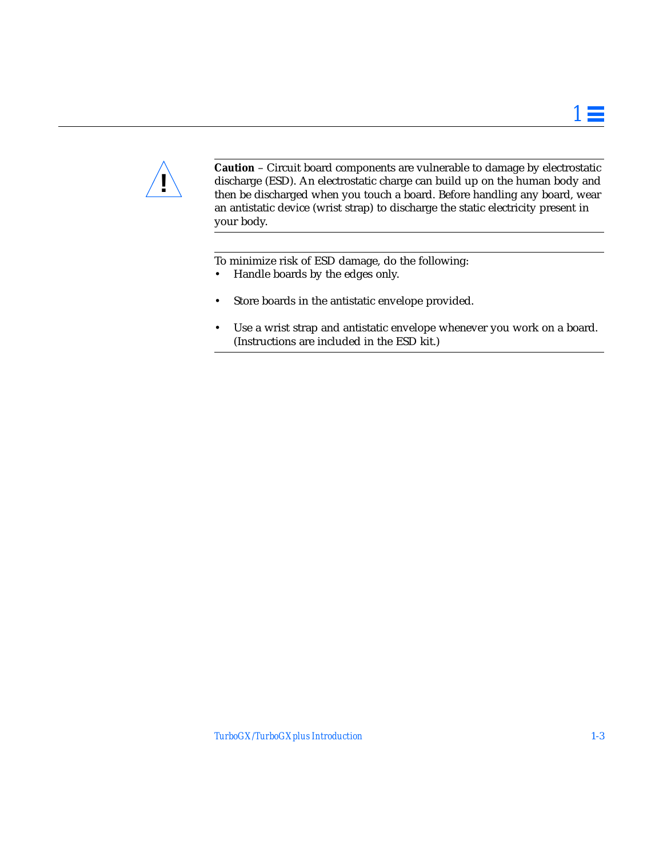

**Caution** – Circuit board components are vulnerable to damage by electrostatic discharge (ESD). An electrostatic charge can build up on the human body and then be discharged when you touch a board. Before handling any board, wear an antistatic device (wrist strap) to discharge the static electricity present in your body.

To minimize risk of ESD damage, do the following:

- Handle boards by the edges only.
- Store boards in the antistatic envelope provided.
- Use a wrist strap and antistatic envelope whenever you work on a board. (Instructions are included in the ESD kit.)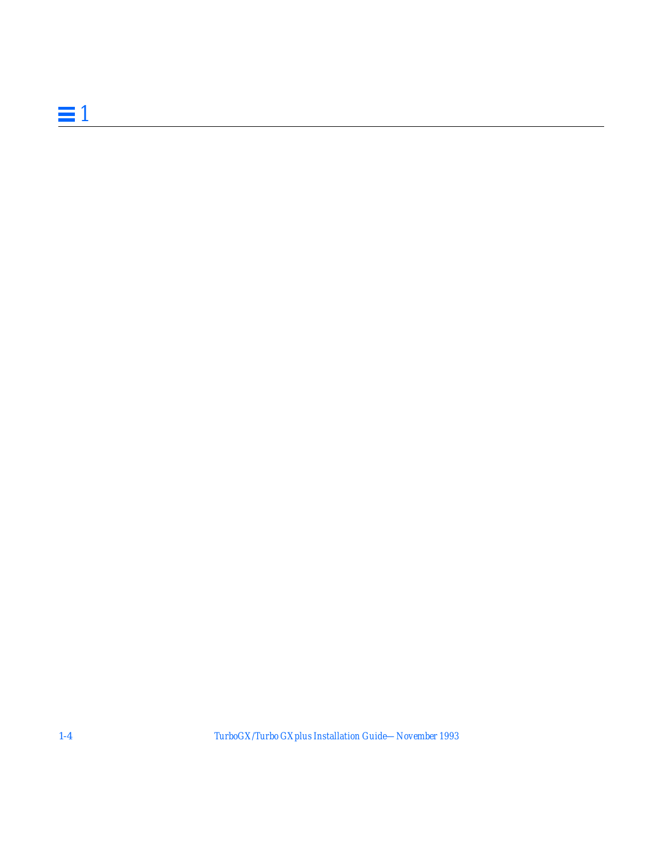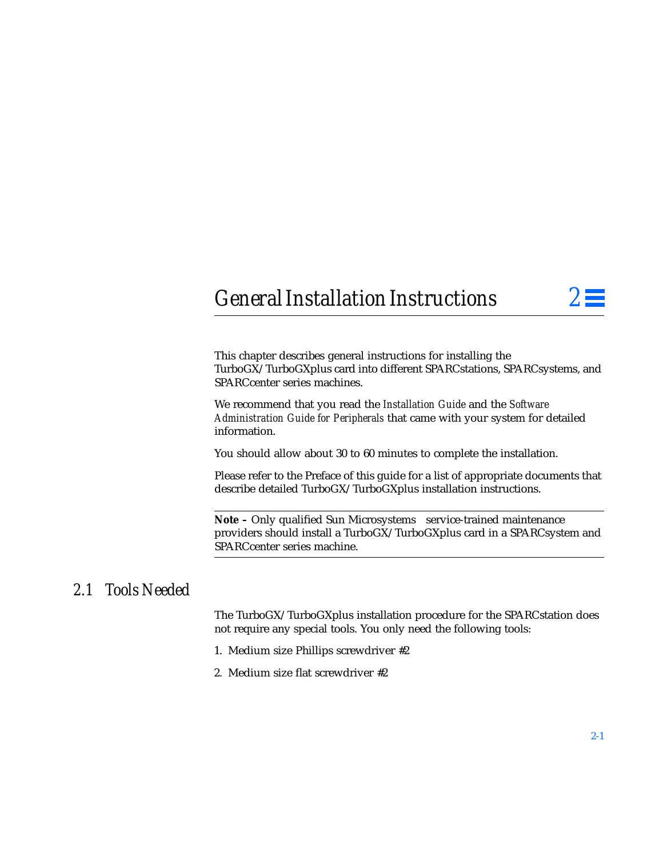## *General Installation Instructions 2*

This chapter describes general instructions for installing the TurboGX/TurboGXplus card into different SPARCstations, SPARCsystems, and SPARCcenter series machines.

We recommend that you read the *Installation Guide* and the *Software Administration Guide for Peripherals* that came with your system for detailed information.

You should allow about 30 to 60 minutes to complete the installation.

Please refer to the Preface of this guide for a list of appropriate documents that describe detailed TurboGX/TurboGXplus installation instructions.

**Note -** Only qualified Sun Microsystems® service-trained maintenance providers should install a TurboGX/TurboGXplus card in a SPARCsystem and SPARCcenter series machine.

### *2.1 Tools Needed*

The TurboGX/TurboGXplus installation procedure for the SPARCstation does not require any special tools. You only need the following tools:

- 1. Medium size Phillips screwdriver #2
- 2. Medium size flat screwdriver #2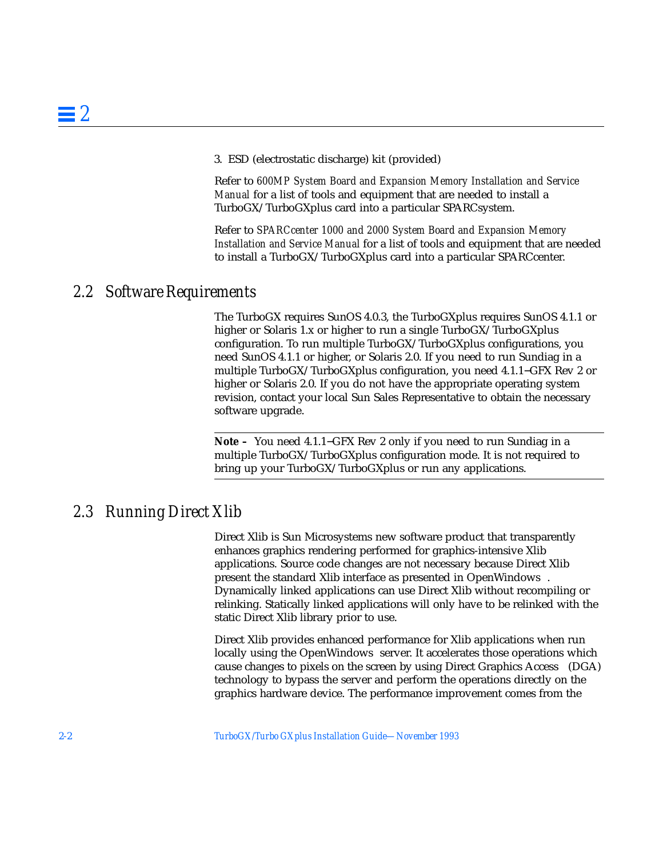3. ESD (electrostatic discharge) kit (provided)

Refer to *600MP System Board and Expansion Memory Installation and Service Manual* for a list of tools and equipment that are needed to install a TurboGX/TurboGXplus card into a particular SPARCsystem.

Refer to *SPARCcenter 1000 and 2000 System Board and Expansion Memory Installation and Service Manual* for a list of tools and equipment that are needed to install a TurboGX/TurboGXplus card into a particular SPARCcenter.

#### *2.2 Software Requirements*

The TurboGX requires SunOS 4.0.3, the TurboGXplus requires SunOS 4.1.1 or higher or Solaris 1.x or higher to run a single TurboGX/TurboGXplus configuration. To run multiple TurboGX/TurboGXplus configurations, you need SunOS 4.1.1 or higher, or Solaris 2.0. If you need to run Sundiag in a multiple TurboGX/TurboGXplus configuration, you need 4.1.1−GFX Rev 2 or higher or Solaris 2.0. If you do not have the appropriate operating system revision, contact your local Sun Sales Representative to obtain the necessary software upgrade.

**Note –** You need 4.1.1−GFX Rev 2 only if you need to run Sundiag in a multiple TurboGX/TurboGXplus configuration mode. It is not required to bring up your TurboGX/TurboGXplus or run any applications.

#### *2.3 Running Direct Xlib*

Direct Xlib is Sun Microsystems new software product that transparently enhances graphics rendering performed for graphics-intensive Xlib applications. Source code changes are not necessary because Direct Xlib present the standard Xlib interface as presented in OpenWindows<sup>"</sup>. Dynamically linked applications can use Direct Xlib without recompiling or relinking. Statically linked applications will only have to be relinked with the static Direct Xlib library prior to use.

Direct Xlib provides enhanced performance for Xlib applications when run locally using the OpenWindows server. It accelerates those operations which cause changes to pixels on the screen by using Direct Graphics Access  ${}^{\omega}$ (DGA) technology to bypass the server and perform the operations directly on the graphics hardware device. The performance improvement comes from the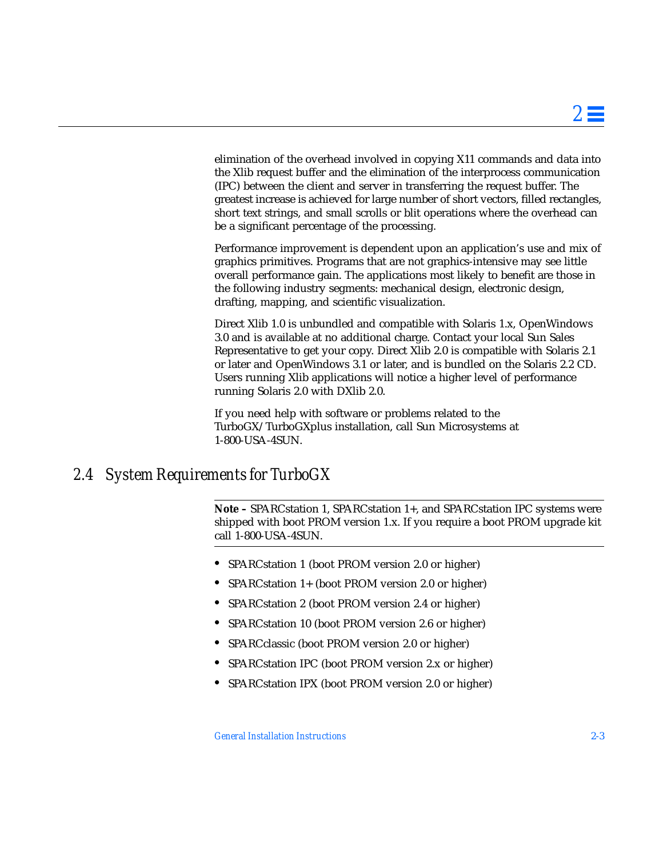elimination of the overhead involved in copying X11 commands and data into the Xlib request buffer and the elimination of the interprocess communication (IPC) between the client and server in transferring the request buffer. The greatest increase is achieved for large number of short vectors, filled rectangles, short text strings, and small scrolls or blit operations where the overhead can be a significant percentage of the processing.

Performance improvement is dependent upon an application's use and mix of graphics primitives. Programs that are not graphics-intensive may see little overall performance gain. The applications most likely to benefit are those in the following industry segments: mechanical design, electronic design, drafting, mapping, and scientific visualization.

Direct Xlib 1.0 is unbundled and compatible with Solaris 1.x, OpenWindows 3.0 and is available at no additional charge. Contact your local Sun Sales Representative to get your copy. Direct Xlib 2.0 is compatible with Solaris 2.1 or later and OpenWindows 3.1 or later, and is bundled on the Solaris 2.2 CD. Users running Xlib applications will notice a higher level of performance running Solaris 2.0 with DXlib 2.0.

If you need help with software or problems related to the TurboGX/TurboGXplus installation, call Sun Microsystems at 1-800-USA-4SUN.

### *2.4 System Requirements for TurboGX*

**Note –** SPARCstation 1, SPARCstation 1+, and SPARCstation IPC systems were shipped with boot PROM version 1.x. If you require a boot PROM upgrade kit call 1-800-USA-4SUN.

- **•** SPARCstation 1 (boot PROM version 2.0 or higher)
- **•** SPARCstation 1+ (boot PROM version 2.0 or higher)
- **•** SPARCstation 2 (boot PROM version 2.4 or higher)
- **•** SPARCstation 10 (boot PROM version 2.6 or higher)
- **•** SPARCclassic (boot PROM version 2.0 or higher)
- **•** SPARCstation IPC (boot PROM version 2.x or higher)
- **•** SPARCstation IPX (boot PROM version 2.0 or higher)

*General Installation Instructions* 2-3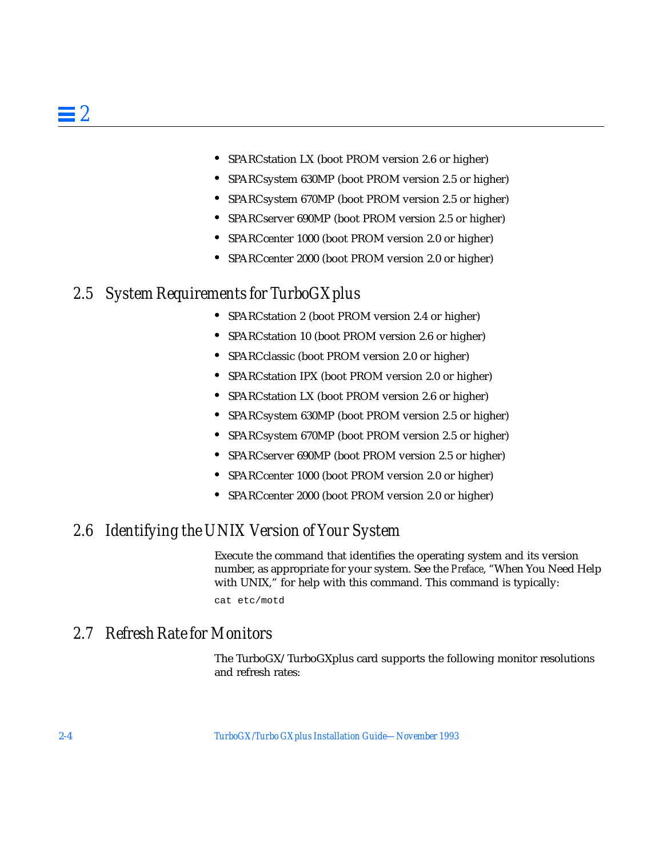- **•** SPARCstation LX (boot PROM version 2.6 or higher)
- **•** SPARCsystem 630MP (boot PROM version 2.5 or higher)
- **•** SPARCsystem 670MP (boot PROM version 2.5 or higher)
- **•** SPARCserver 690MP (boot PROM version 2.5 or higher)
- **•** SPARCcenter 1000 (boot PROM version 2.0 or higher)
- **•** SPARCcenter 2000 (boot PROM version 2.0 or higher)

## *2.5 System Requirements for TurboGXplus*

- **•** SPARCstation 2 (boot PROM version 2.4 or higher)
- **•** SPARCstation 10 (boot PROM version 2.6 or higher)
- **•** SPARCclassic (boot PROM version 2.0 or higher)
- **•** SPARCstation IPX (boot PROM version 2.0 or higher)
- **•** SPARCstation LX (boot PROM version 2.6 or higher)
- **•** SPARCsystem 630MP (boot PROM version 2.5 or higher)
- **•** SPARCsystem 670MP (boot PROM version 2.5 or higher)
- **•** SPARCserver 690MP (boot PROM version 2.5 or higher)
- **•** SPARCcenter 1000 (boot PROM version 2.0 or higher)
- **•** SPARCcenter 2000 (boot PROM version 2.0 or higher)

## *2.6 Identifying the UNIX Version of Your System*

Execute the command that identifies the operating system and its version number, as appropriate for your system. See the *Preface*, "When You Need Help with UNIX," for help with this command. This command is typically:

cat etc/motd

#### *2.7 Refresh Rate for Monitors*

The TurboGX/TurboGXplus card supports the following monitor resolutions and refresh rates:

2-4 *TurboGX/Turbo GXplus Installation Guide—November 1993*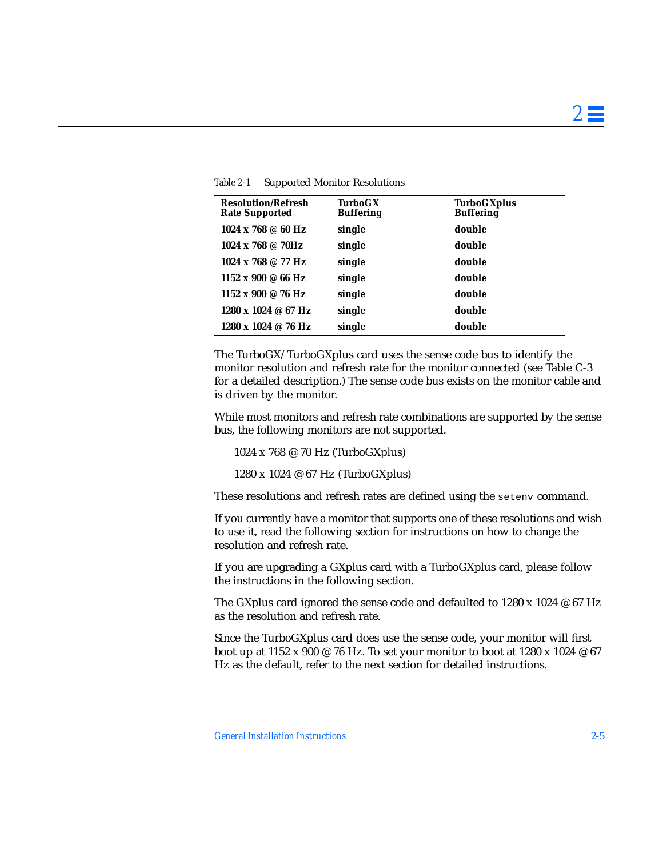| <b>Resolution/Refresh</b><br><b>Rate Supported</b>               | TurboGX<br><b>Buffering</b> | TurboGXplus<br><b>Buffering</b> |
|------------------------------------------------------------------|-----------------------------|---------------------------------|
| $1024 \times 768$ @ 60 Hz                                        | single                      | double                          |
| $1024 \times 768$ @ $70Hz$                                       | single                      | double                          |
| 1024 x 768 $\odot$ 77 Hz                                         | single                      | double                          |
| 1152 x 900 @ 66 Hz                                               | single                      | double                          |
| 1152 x 900 @ 76 Hz                                               | single                      | double                          |
| $1280 \times 1024 \text{ } \textcircled{6} 7 \text{ } \text{Hz}$ | single                      | double                          |
| $1280 \times 1024 \text{ } \textcircled{}76 \text{ } \text{Hz}$  | single                      | double                          |

*Table 2-1* Supported Monitor Resolutions

The TurboGX/TurboGXplus card uses the sense code bus to identify the monitor resolution and refresh rate for the monitor connected (see Table C-3 for a detailed description.) The sense code bus exists on the monitor cable and is driven by the monitor.

While most monitors and refresh rate combinations are supported by the sense bus, the following monitors are not supported.

1024 x 768 @ 70 Hz (TurboGXplus)

1280 x 1024 @ 67 Hz (TurboGXplus)

These resolutions and refresh rates are defined using the setenv command.

If you currently have a monitor that supports one of these resolutions and wish to use it, read the following section for instructions on how to change the resolution and refresh rate.

If you are upgrading a GXplus card with a TurboGXplus card, please follow the instructions in the following section.

The GXplus card ignored the sense code and defaulted to 1280 x 1024 @ 67 Hz as the resolution and refresh rate.

Since the TurboGXplus card does use the sense code, your monitor will first boot up at 1152 x 900  $\degree$  76 Hz. To set your monitor to boot at 1280 x 1024  $\degree$  67 Hz as the default, refer to the next section for detailed instructions.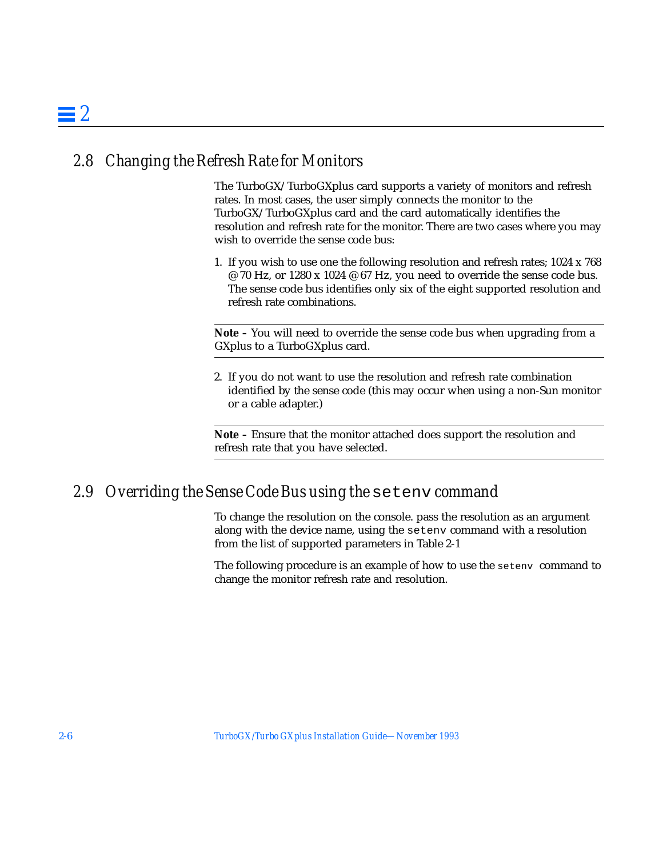### *2.8 Changing the Refresh Rate for Monitors*

The TurboGX/TurboGXplus card supports a variety of monitors and refresh rates. In most cases, the user simply connects the monitor to the TurboGX/TurboGXplus card and the card automatically identifies the resolution and refresh rate for the monitor. There are two cases where you may wish to override the sense code bus:

1. If you wish to use one the following resolution and refresh rates; 1024 x 768 @ 70 Hz, or 1280 x 1024 @ 67 Hz, you need to override the sense code bus. The sense code bus identifies only six of the eight supported resolution and refresh rate combinations.

**Note –** You will need to override the sense code bus when upgrading from a GXplus to a TurboGXplus card.

2. If you do not want to use the resolution and refresh rate combination identified by the sense code (this may occur when using a non-Sun monitor or a cable adapter.)

**Note –** Ensure that the monitor attached does support the resolution and refresh rate that you have selected.

### *2.9 Overriding the Sense Code Bus using the* setenv *command*

To change the resolution on the console. pass the resolution as an argument along with the device name, using the setenv command with a resolution from the list of supported parameters in Table 2-1

The following procedure is an example of how to use the seteny command to change the monitor refresh rate and resolution.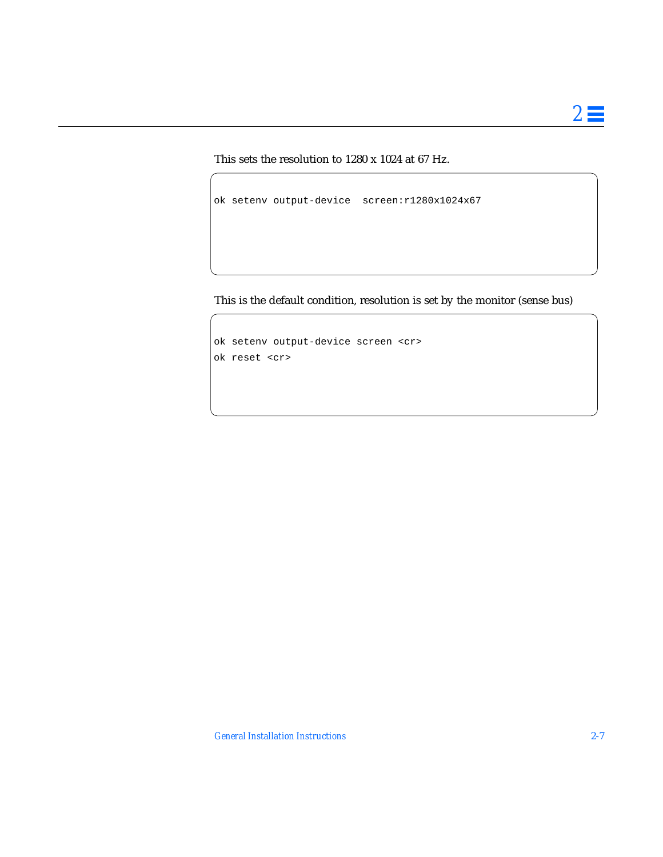This sets the resolution to 1280 x 1024 at 67 Hz.

ok setenv output-device screen:r1280x1024x67

This is the default condition, resolution is set by the monitor (sense bus)

ok setenv output-device screen <cr>

ok reset <cr>

*General Installation Instructions* 2-7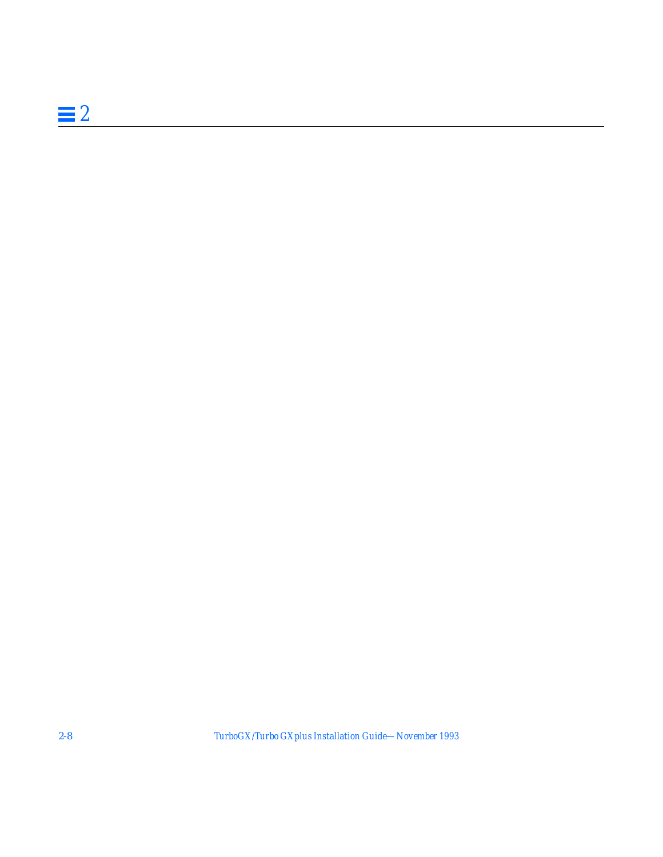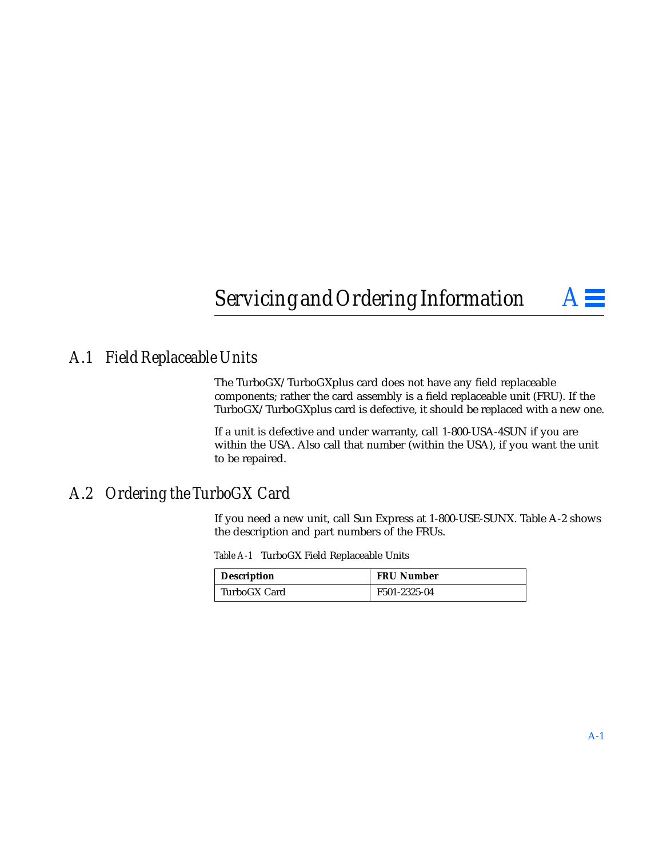## *Servicing and Ordering Information A*

### *A.1 Field Replaceable Units*

The TurboGX/TurboGXplus card does not have any field replaceable components; rather the card assembly is a field replaceable unit (FRU). If the TurboGX/TurboGXplus card is defective, it should be replaced with a new one.

If a unit is defective and under warranty, call 1-800-USA-4SUN if you are within the USA. Also call that number (within the USA), if you want the unit to be repaired.

### *A.2 Ordering the TurboGX Card*

If you need a new unit, call Sun Express at 1-800-USE-SUNX. Table A-2 shows the description and part numbers of the FRUs.

*Table A-1* TurboGX Field Replaceable Units

| Description  | <b>FRU Number</b> |
|--------------|-------------------|
| TurboGX Card | F501-2325-04      |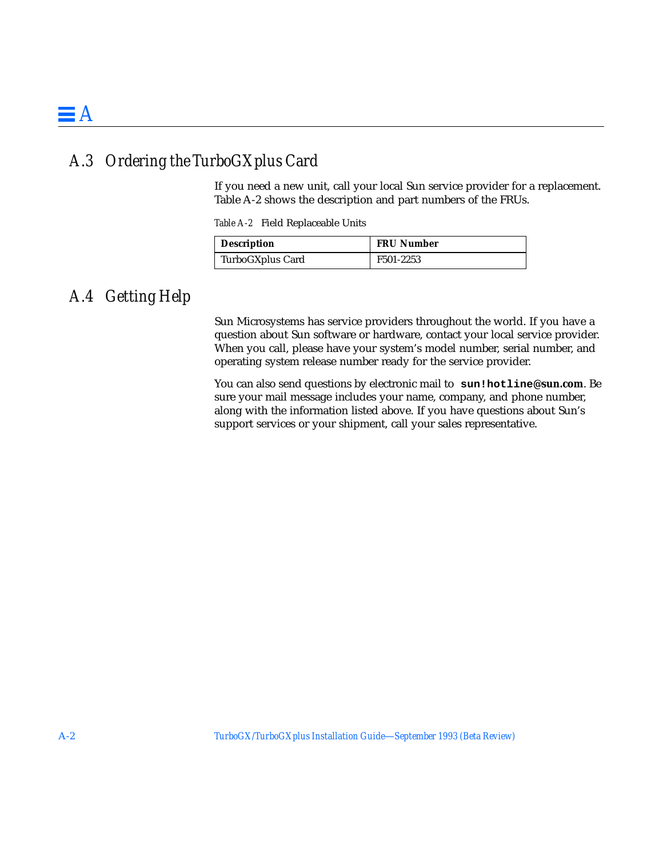## *A.3 Ordering the TurboGXplus Card*

If you need a new unit, call your local Sun service provider for a replacement. Table A-2 shows the description and part numbers of the FRUs.

|  |  | Table A-2 Field Replaceable Units |  |
|--|--|-----------------------------------|--|
|--|--|-----------------------------------|--|

| <b>Description</b> | <b>FRU Number</b> |  |
|--------------------|-------------------|--|
| TurboGXplus Card   | F501-2253         |  |

### *A.4 Getting Help*

Sun Microsystems has service providers throughout the world. If you have a question about Sun software or hardware, contact your local service provider. When you call, please have your system's model number, serial number, and operating system release number ready for the service provider.

You can also send questions by electronic mail to **sun!hotline@sun.com**. Be sure your mail message includes your name, company, and phone number, along with the information listed above. If you have questions about Sun's support services or your shipment, call your sales representative.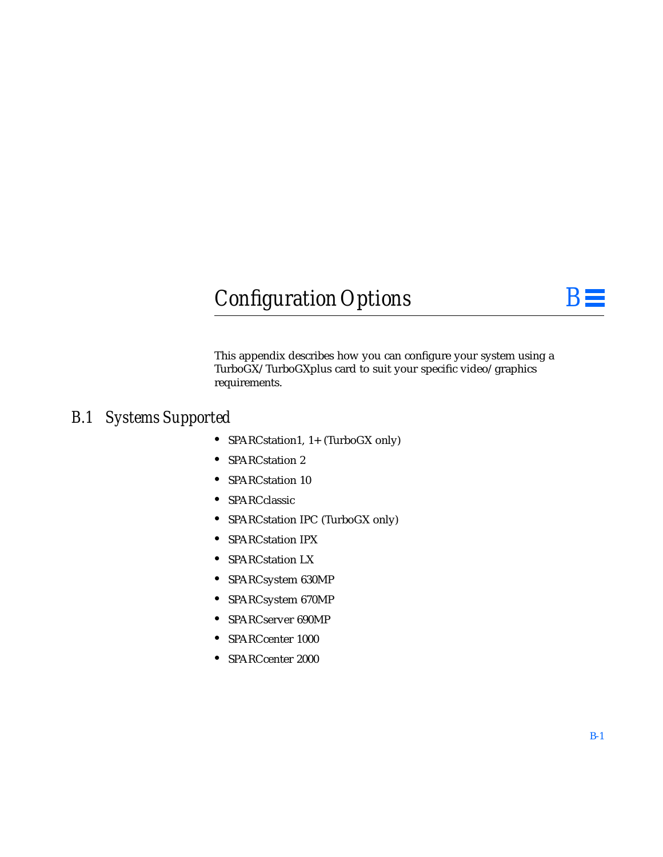## *Configuration Options B*

This appendix describes how you can configure your system using a TurboGX/TurboGXplus card to suit your specific video/graphics requirements.

## *B.1 Systems Supported*

- **•** SPARCstation1, 1+ (TurboGX only)
- **•** SPARCstation 2
- **•** SPARCstation 10
- **•** SPARCclassic
- **•** SPARCstation IPC (TurboGX only)
- **•** SPARCstation IPX
- **•** SPARCstation LX
- **•** SPARCsystem 630MP
- **•** SPARCsystem 670MP
- **•** SPARCserver 690MP
- **•** SPARCcenter 1000
- **•** SPARCcenter 2000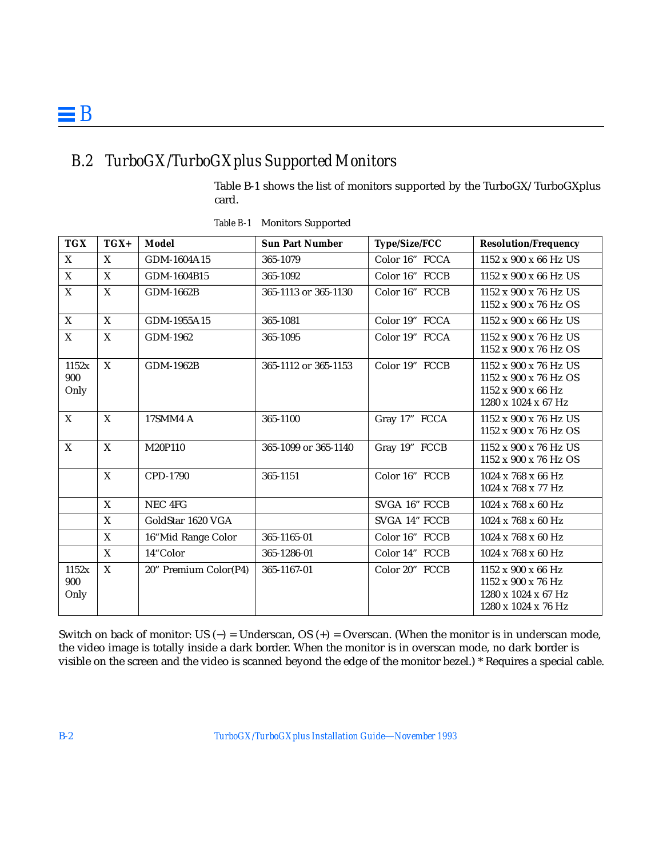## *B.2 TurboGX/TurboGXplus Supported Monitors*

Table B-1 shows the list of monitors supported by the TurboGX/TurboGXplus card.

| <b>TGX</b>           | $TGX+$           | Model                 | <b>Sun Part Number</b> | Type/Size/FCC  | <b>Resolution/Frequency</b>                                                                                    |
|----------------------|------------------|-----------------------|------------------------|----------------|----------------------------------------------------------------------------------------------------------------|
| X                    | X                | GDM-1604A15           | 365-1079               | Color 16" FCCA | 1152 x 900 x 66 Hz US                                                                                          |
| X                    | X                | GDM-1604B15           | 365-1092               | Color 16" FCCB | 1152 x 900 x 66 Hz US                                                                                          |
| $\boldsymbol{X}$     | $\mathbf{X}$     | GDM-1662B             | 365-1113 or 365-1130   | Color 16" FCCB | 1152 x 900 x 76 Hz US<br>1152 x 900 x 76 Hz OS                                                                 |
| $\boldsymbol{X}$     | $\mathbf{X}$     | GDM-1955A15           | 365-1081               | Color 19" FCCA | 1152 x 900 x 66 Hz US                                                                                          |
| X                    | $\mathbf{X}$     | GDM-1962              | 365-1095               | Color 19" FCCA | 1152 x 900 x 76 Hz US<br>1152 x 900 x 76 Hz OS                                                                 |
| 1152x<br>900<br>Only | $\mathbf{X}$     | GDM-1962B             | 365-1112 or 365-1153   | Color 19" FCCB | 1152 x 900 x 76 Hz US<br>1152 x 900 x 76 Hz OS<br>1152 x 900 x 66 Hz<br>1280 x 1024 x 67 Hz                    |
| $\boldsymbol{X}$     | $\mathbf{X}$     | 17SMM4 A              | 365-1100               | Gray 17" FCCA  | 1152 x 900 x 76 Hz US<br>1152 x 900 x 76 Hz OS                                                                 |
| X                    | $\boldsymbol{X}$ | M20P110               | 365-1099 or 365-1140   | Gray 19" FCCB  | 1152 x 900 x 76 Hz US<br>1152 x 900 x 76 Hz OS                                                                 |
|                      | X                | CPD-1790              | 365-1151               | Color 16" FCCB | 1024 x 768 x 66 Hz<br>1024 x 768 x 77 Hz                                                                       |
|                      | X                | NEC 4FG               |                        | SVGA 16" FCCB  | 1024 x 768 x 60 Hz                                                                                             |
|                      | $\boldsymbol{X}$ | GoldStar 1620 VGA     |                        | SVGA 14" FCCB  | $1024 \times 768 \times 60$ Hz                                                                                 |
|                      | X                | 16"Mid Range Color    | 365-1165-01            | Color 16" FCCB | 1024 x 768 x 60 Hz                                                                                             |
|                      | $\boldsymbol{X}$ | 14"Color              | 365-1286-01            | Color 14" FCCB | 1024 x 768 x 60 Hz                                                                                             |
| 1152x<br>900<br>Only | $\boldsymbol{X}$ | 20" Premium Color(P4) | 365-1167-01            | Color 20" FCCB | $1152 \times 900 \times 66$ Hz<br>1152 x 900 x 76 Hz<br>$1280 \times 1024 \times 67$ Hz<br>1280 x 1024 x 76 Hz |

*Table B-1* Monitors Supported

Switch on back of monitor: US (-) = Underscan, OS (+) = Overscan. (When the monitor is in underscan mode, the video image is totally inside a dark border. When the monitor is in overscan mode, no dark border is visible on the screen and the video is scanned beyond the edge of the monitor bezel.) \* Requires a special cable.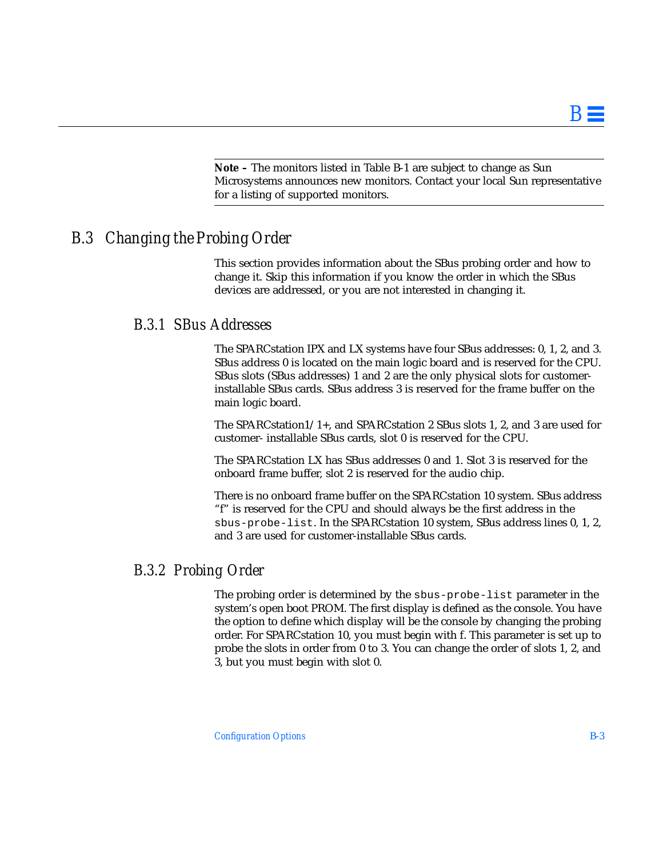**Note –** The monitors listed in Table B-1 are subject to change as Sun Microsystems announces new monitors. Contact your local Sun representative for a listing of supported monitors.

# *B.3 Changing the Probing Order*

This section provides information about the SBus probing order and how to change it. Skip this information if you know the order in which the SBus devices are addressed, or you are not interested in changing it.

### *B.3.1 SBus Addresses*

The SPARCstation IPX and LX systems have four SBus addresses: 0, 1, 2, and 3. SBus address 0 is located on the main logic board and is reserved for the CPU. SBus slots (SBus addresses) 1 and 2 are the only physical slots for customerinstallable SBus cards. SBus address 3 is reserved for the frame buffer on the main logic board.

The SPARCstation1/1+, and SPARCstation 2 SBus slots 1, 2, and 3 are used for customer- installable SBus cards, slot 0 is reserved for the CPU.

The SPARCstation LX has SBus addresses 0 and 1. Slot 3 is reserved for the onboard frame buffer, slot 2 is reserved for the audio chip.

There is no onboard frame buffer on the SPARCstation 10 system. SBus address "f" is reserved for the CPU and should always be the first address in the sbus-probe-list. In the SPARCstation 10 system, SBus address lines 0, 1, 2, and 3 are used for customer-installable SBus cards.

### *B.3.2 Probing Order*

The probing order is determined by the sbus-probe-list parameter in the system's open boot PROM. The first display is defined as the console. You have the option to define which display will be the console by changing the probing order. For SPARCstation 10, you must begin with f. This parameter is set up to probe the slots in order from 0 to 3. You can change the order of slots 1, 2, and 3, but you must begin with slot 0.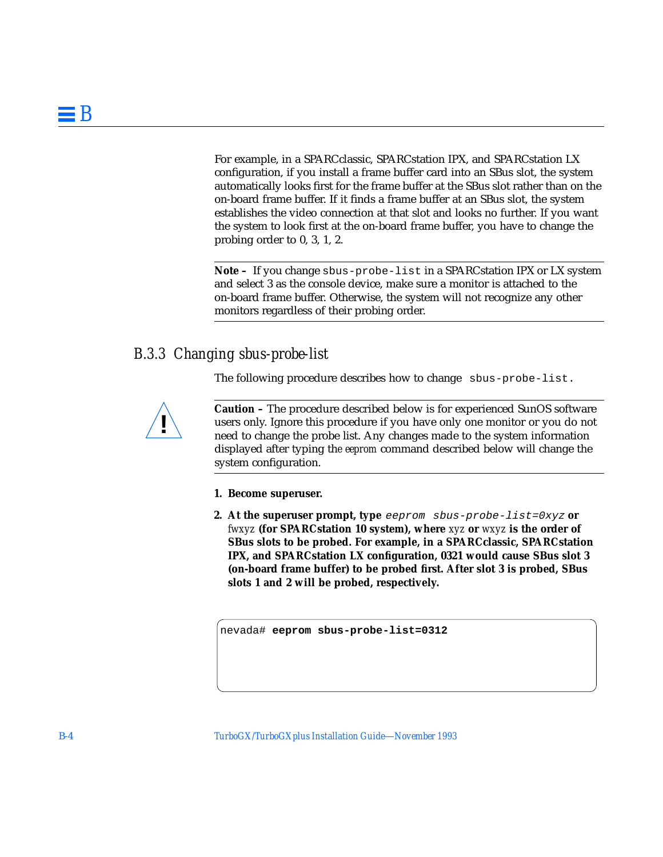For example, in a SPARCclassic, SPARCstation IPX, and SPARCstation LX configuration, if you install a frame buffer card into an SBus slot, the system automatically looks first for the frame buffer at the SBus slot rather than on the on-board frame buffer. If it finds a frame buffer at an SBus slot, the system establishes the video connection at that slot and looks no further. If you want the system to look first at the on-board frame buffer, you have to change the probing order to 0, 3, 1, 2.

**Note –** If you change sbus-probe-list in a SPARCstation IPX or LX system and select 3 as the console device, make sure a monitor is attached to the on-board frame buffer. Otherwise, the system will not recognize any other monitors regardless of their probing order.

# *B.3.3 Changing sbus-probe-list*

The following procedure describes how to change sbus-probe-list.



**Caution –** The procedure described below is for experienced SunOS software users only. Ignore this procedure if you have only one monitor or you do not need to change the probe list. Any changes made to the system information displayed after typing th*e eeprom* command described below will change the system configuration.

#### **1. Become superuser.**

**2. At the superuser prompt, type** eeprom sbus-probe-list=0xyz **or** *fwxyz* **(for SPARCstation 10 system), where** *xyz* **or** *wxyz* **is the order of SBus slots to be probed. For example, in a SPARCclassic, SPARCstation IPX, and SPARCstation LX configuration, 0321 would cause SBus slot 3 (on-board frame buffer) to be probed first. After slot 3 is probed, SBus slots 1 and 2 will be probed, respectively.**

nevada# **eeprom sbus-probe-list=0312**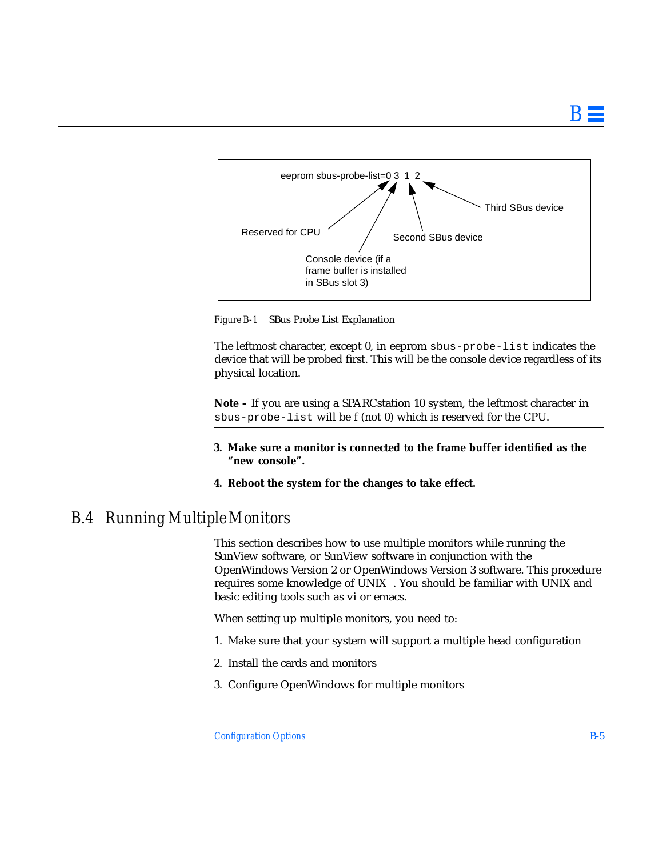

*Figure B-1* SBus Probe List Explanation

The leftmost character, except 0, in eeprom sbus-probe-list indicates the device that will be probed first. This will be the console device regardless of its physical location.

**Note –** If you are using a SPARCstation 10 system, the leftmost character in sbus-probe-list will be f (not 0) which is reserved for the CPU.

- **3. Make sure a monitor is connected to the frame buffer identified as the "new console".**
- **4. Reboot the system for the changes to take effect.**

### *B.4 Running Multiple Monitors*

This section describes how to use multiple monitors while running the SunView software, or SunView software in conjunction with the OpenWindows Version 2 or OpenWindows Version 3 software. This procedure requires some knowledge of UNIX $^{\circledast}$ . You should be familiar with UNIX and basic editing tools such as vi or emacs.

When setting up multiple monitors, you need to:

- 1. Make sure that your system will support a multiple head configuration
- 2. Install the cards and monitors
- 3. Configure OpenWindows for multiple monitors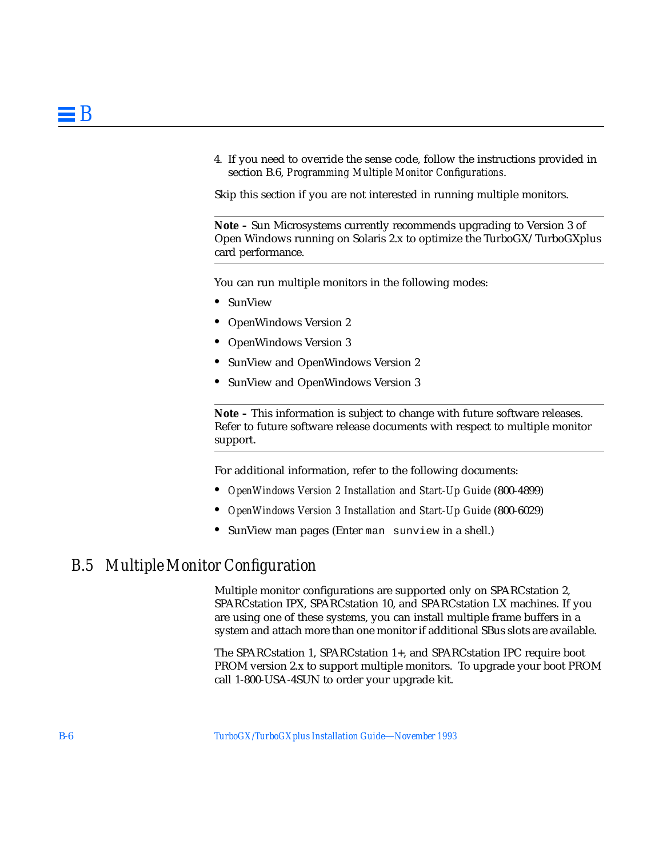4. If you need to override the sense code, follow the instructions provided in section B.6, *Programming Multiple Monitor Configurations*.

Skip this section if you are not interested in running multiple monitors.

**Note –** Sun Microsystems currently recommends upgrading to Version 3 of Open Windows running on Solaris 2.x to optimize the TurboGX/TurboGXplus card performance.

You can run multiple monitors in the following modes:

- **•** SunView
- **•** OpenWindows Version 2
- **•** OpenWindows Version 3
- **•** SunView and OpenWindows Version 2
- **•** SunView and OpenWindows Version 3

**Note –** This information is subject to change with future software releases. Refer to future software release documents with respect to multiple monitor support.

For additional information, refer to the following documents:

- **•** *OpenWindows Version 2 Installation and Start-Up Guide* (800-4899)
- **•** *OpenWindows Version 3 Installation and Start-Up Guide* (800-6029)
- **•** SunView man pages (Enter man sunview in a shell.)

# *B.5 Multiple Monitor Configuration*

Multiple monitor configurations are supported only on SPARCstation 2, SPARCstation IPX, SPARCstation 10, and SPARCstation LX machines. If you are using one of these systems, you can install multiple frame buffers in a system and attach more than one monitor if additional SBus slots are available.

The SPARCstation 1, SPARCstation 1+, and SPARCstation IPC require boot PROM version 2.x to support multiple monitors. To upgrade your boot PROM call 1-800-USA-4SUN to order your upgrade kit.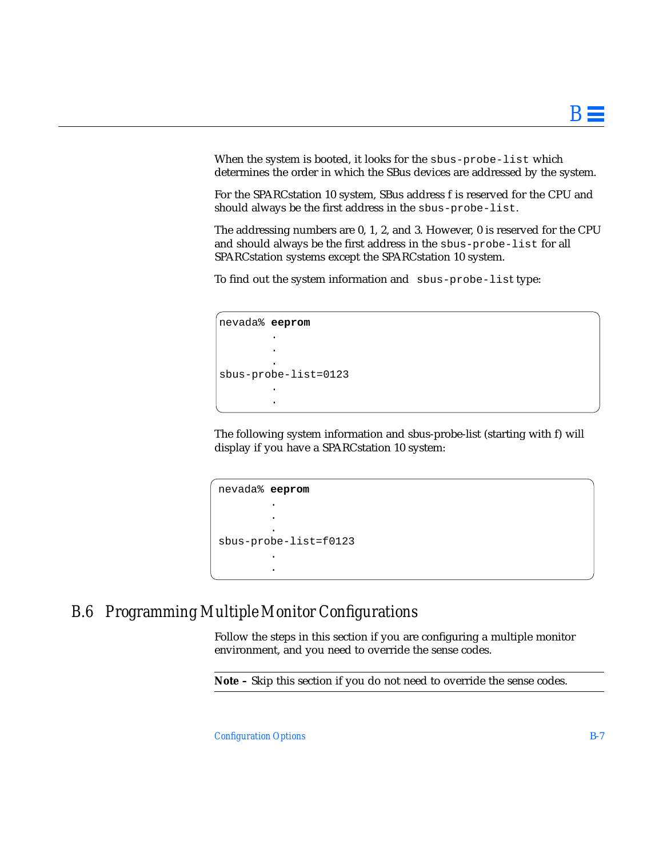When the system is booted, it looks for the sbus-probe-list which determines the order in which the SBus devices are addressed by the system.

For the SPARCstation 10 system, SBus address f is reserved for the CPU and should always be the first address in the sbus-probe-list.

The addressing numbers are 0, 1, 2, and 3. However, 0 is reserved for the CPU and should always be the first address in the sbus-probe-list for all SPARCstation systems except the SPARCstation 10 system.

To find out the system information and sbus-probe-list type:

```
nevada% eeprom
 .
 .
 .
sbus-probe-list=0123
     .
 .
```
The following system information and sbus-probe-list (starting with f) will display if you have a SPARCstation 10 system:

```
nevada% eeprom
 .
 .
 .
sbus-probe-list=f0123
     .
 .
```
# *B.6 Programming Multiple Monitor Configurations*

Follow the steps in this section if you are configuring a multiple monitor environment, and you need to override the sense codes.

**Note –** Skip this section if you do not need to override the sense codes.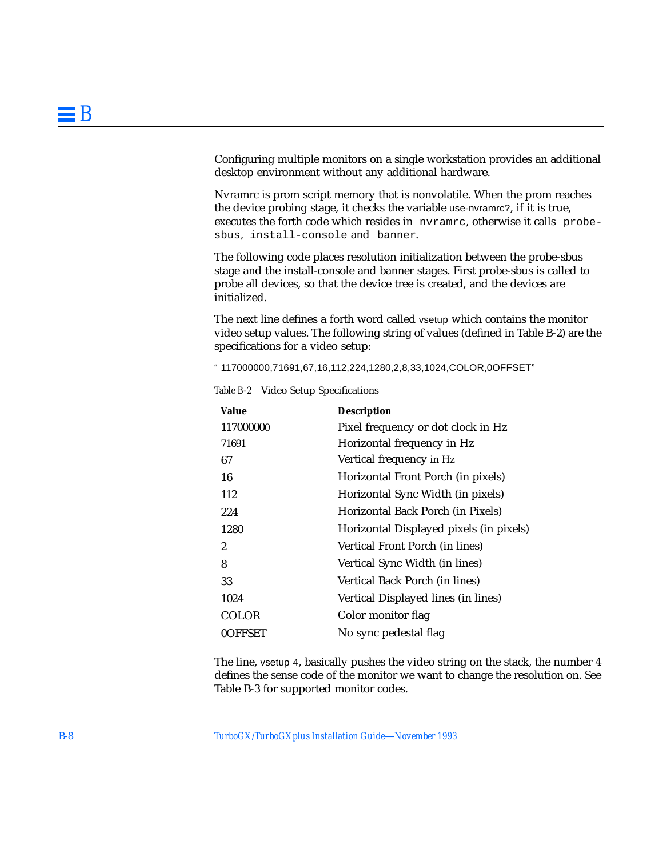Configuring multiple monitors on a single workstation provides an additional desktop environment without any additional hardware.

Nvramrc is prom script memory that is nonvolatile. When the prom reaches the device probing stage, it checks the variable use-nvramrc?, if it is true, executes the forth code which resides in nvramrc, otherwise it calls probesbus, install-console and banner.

The following code places resolution initialization between the probe-sbus stage and the install-console and banner stages. First probe-sbus is called to probe all devices, so that the device tree is created, and the devices are initialized.

The next line defines a forth word called vsetup which contains the monitor video setup values. The following string of values (defined in Table B-2) are the specifications for a video setup:

" 117000000,71691,67,16,112,224,1280,2,8,33,1024,COLOR,0OFFSET"

*Table B-2* Video Setup Specifications

| Value        | <b>Description</b>                      |
|--------------|-----------------------------------------|
| 117000000    | Pixel frequency or dot clock in Hz      |
| 71691        | Horizontal frequency in Hz              |
| 67           | Vertical frequency in Hz                |
| 16           | Horizontal Front Porch (in pixels)      |
| 112          | Horizontal Sync Width (in pixels)       |
| 224          | Horizontal Back Porch (in Pixels)       |
| 1280         | Horizontal Displayed pixels (in pixels) |
| 2            | Vertical Front Porch (in lines)         |
| 8            | Vertical Sync Width (in lines)          |
| 33           | Vertical Back Porch (in lines)          |
| 1024         | Vertical Displayed lines (in lines)     |
| <b>COLOR</b> | Color monitor flag                      |
| 0OFFSET      | No sync pedestal flag                   |

The line, vsetup 4, basically pushes the video string on the stack, the number 4 defines the sense code of the monitor we want to change the resolution on. See Table B-3 for supported monitor codes.

B-8 *TurboGX/TurboGXplus Installation Guide*—*November 1993*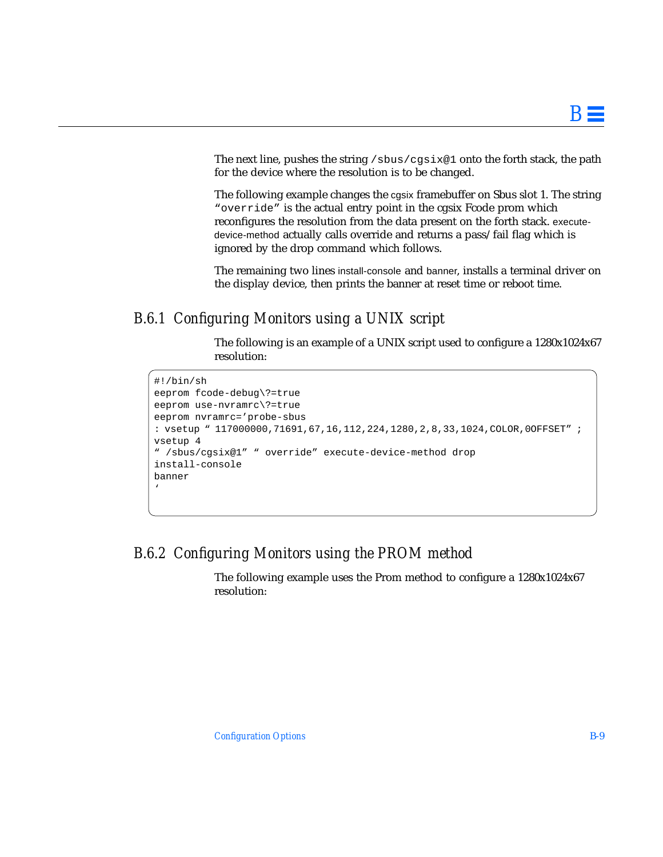The next line, pushes the string /sbus/cgsix@1 onto the forth stack, the path for the device where the resolution is to be changed.

The following example changes the cgsix framebuffer on Sbus slot 1. The string "override" is the actual entry point in the cgsix Fcode prom which reconfigures the resolution from the data present on the forth stack. executedevice-method actually calls override and returns a pass/fail flag which is ignored by the drop command which follows.

The remaining two lines install-console and banner, installs a terminal driver on the display device, then prints the banner at reset time or reboot time.

# *B.6.1 Configuring Monitors using a UNIX script*

The following is an example of a UNIX script used to configure a 1280x1024x67 resolution:

```
#!/bin/sh
eeprom fcode-debug\?=true
eeprom use-nvramrc\?=true
eeprom nvramrc='probe-sbus
: vsetup " 117000000,71691,67,16,112,224,1280,2,8,33,1024,COLOR,0OFFSET" ;
vsetup 4
" /sbus/cgsix@1" " override" execute-device-method drop
install-console
banner
'
```
## *B.6.2 Configuring Monitors using the PROM method*

The following example uses the Prom method to configure a 1280x1024x67 resolution: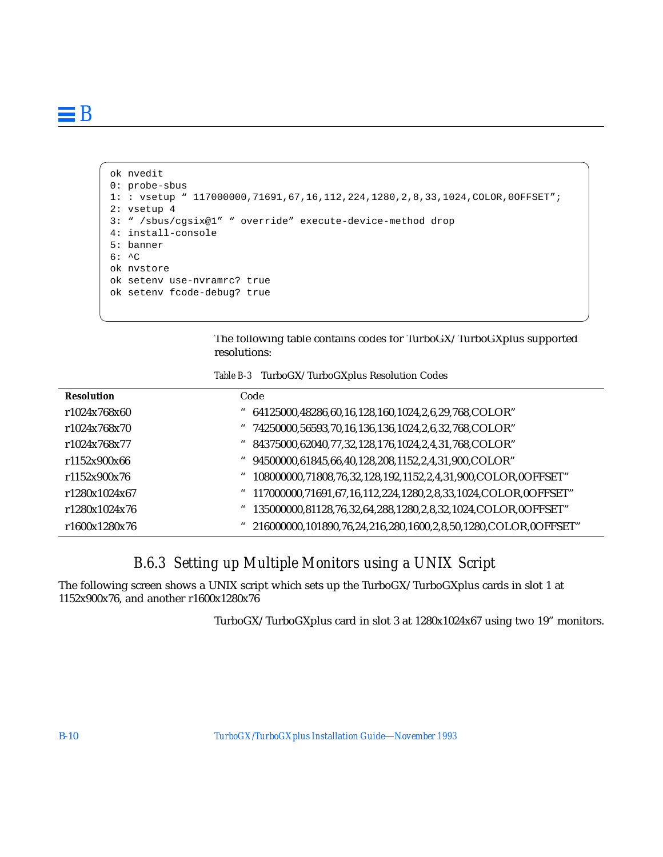```
ok nvedit
0: probe-sbus
1: : vsetup " 117000000,71691,67,16,112,224,1280,2,8,33,1024,COLOR,0OFFSET";
2: vsetup 4
3: " /sbus/cgsix@1" " override" execute-device-method drop
4: install-console
5: banner
6: \triangle Cok nvstore
ok setenv use-nvramrc? true
ok setenv fcode-debug? true
```
The following table contains codes for TurboGX/TurboGXplus supported resolutions:

| <b>Resolution</b> | Code                                                                   |
|-------------------|------------------------------------------------------------------------|
| r1024x768x60      | $64125000, 48286, 60, 16, 128, 160, 1024, 2, 6, 29, 768, COLOR$        |
| r1024x768x70      | $"74250000,56593,70,16,136,136,1024,2,6,32,768, \text{COLOR"}$         |
| r1024x768x77      | $" 84375000,62040,77,32,128,176,1024,2,4,31,768, \text{COLOR}"$        |
| r1152x900x66      | $94500000, 61845, 66, 40, 128, 208, 1152, 2, 4, 31, 900, \text{COLOR}$ |
| r1152x900x76      | 108000000,71808,76,32,128,192,1152,2,4,31,900,COLOR,0OFFSET"           |
| r1280x1024x67     | "117000000,71691,67,16,112,224,1280,2,8,33,1024,COLOR,0OFFSET"         |
| r1280x1024x76     | 135000000,81128,76,32,64,288,1280,2,8,32,1024,COLOR,0OFFSET"           |
| r1600x1280x76     | "216000000,101890,76,24,216,280,1600,2,8,50,1280,COLOR,0OFFSET"        |

# *B.6.3 Setting up Multiple Monitors using a UNIX Script*

The following screen shows a UNIX script which sets up the TurboGX/TurboGXplus cards in slot 1 at 1152x900x76, and another r1600x1280x76

TurboGX/TurboGXplus card in slot 3 at 1280x1024x67 using two 19" monitors.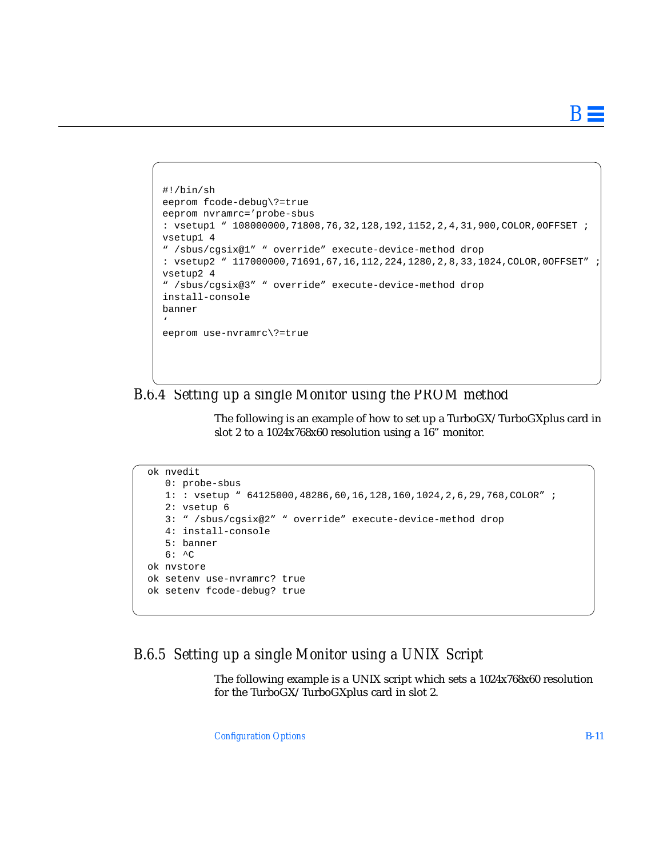```
#!/bin/sh
eeprom fcode-debug\?=true
eeprom nvramrc='probe-sbus
: vsetup1 " 108000000,71808,76,32,128,192,1152,2,4,31,900,COLOR,0OFFSET ;
vsetup1 4
" /sbus/cgsix@1" " override" execute-device-method drop
: vsetup2 " 117000000,71691,67,16,112,224,1280,2,8,33,1024,COLOR,0OFFSET" ;
vsetup2 4
" /sbus/cgsix@3" " override" execute-device-method drop
install-console
banner
'
eeprom use-nvramrc\?=true
```
# *B.6.4 Setting up a single Monitor using the PROM method*

The following is an example of how to set up a TurboGX/TurboGXplus card in slot 2 to a 1024x768x60 resolution using a 16" monitor.

```
ok nvedit
   0: probe-sbus
   1: : vsetup " 64125000,48286,60,16,128,160,1024,2,6,29,768,COLOR" ;
    2: vsetup 6
    3: " /sbus/cgsix@2" " override" execute-device-method drop
    4: install-console
   5: banner
   6: \triangle Cok nvstore
ok setenv use-nvramrc? true
ok setenv fcode-debug? true
```
# *B.6.5 Setting up a single Monitor using a UNIX Script*

The following example is a UNIX script which sets a 1024x768x60 resolution for the TurboGX/TurboGXplus card in slot 2.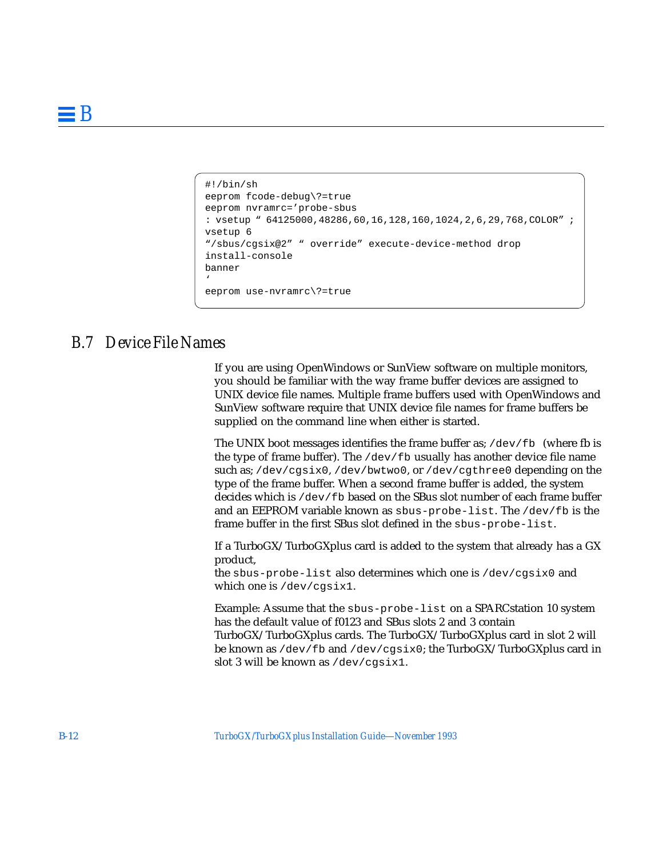```
#!/bin/sh
eeprom fcode-debug\?=true
eeprom nvramrc='probe-sbus
: vsetup " 64125000,48286,60,16,128,160,1024,2,6,29,768,COLOR" ;
vsetup 6
"/sbus/cgsix@2" " override" execute-device-method drop
install-console
banner
'
eeprom use-nvramrc\?=true
```
### *B.7 Device File Names*

If you are using OpenWindows or SunView software on multiple monitors, you should be familiar with the way frame buffer devices are assigned to UNIX device file names. Multiple frame buffers used with OpenWindows and SunView software require that UNIX device file names for frame buffers be supplied on the command line when either is started.

The UNIX boot messages identifies the frame buffer as;  $/$  dev $/$  fb (where fb is the type of frame buffer). The /dev/fb usually has another device file name such as; /dev/cgsix0, /dev/bwtwo0, or /dev/cgthree0 depending on the type of the frame buffer. When a second frame buffer is added, the system decides which is /dev/fb based on the SBus slot number of each frame buffer and an EEPROM variable known as sbus-probe-list. The /dev/fb is the frame buffer in the first SBus slot defined in the sbus-probe-list.

If a TurboGX/TurboGXplus card is added to the system that already has a GX product,

the sbus-probe-list also determines which one is /dev/cgsix0 and which one is /dev/cgsix1.

Example: Assume that the sbus-probe-list on a SPARCstation 10 system has the default value of f0123 and SBus slots 2 and 3 contain TurboGX/TurboGXplus cards. The TurboGX/TurboGXplus card in slot 2 will be known as /dev/fb and /dev/cgsix0; the TurboGX/TurboGXplus card in slot 3 will be known as /dev/cgsix1.

B-12 *TurboGX/TurboGXplus Installation Guide*—*November 1993*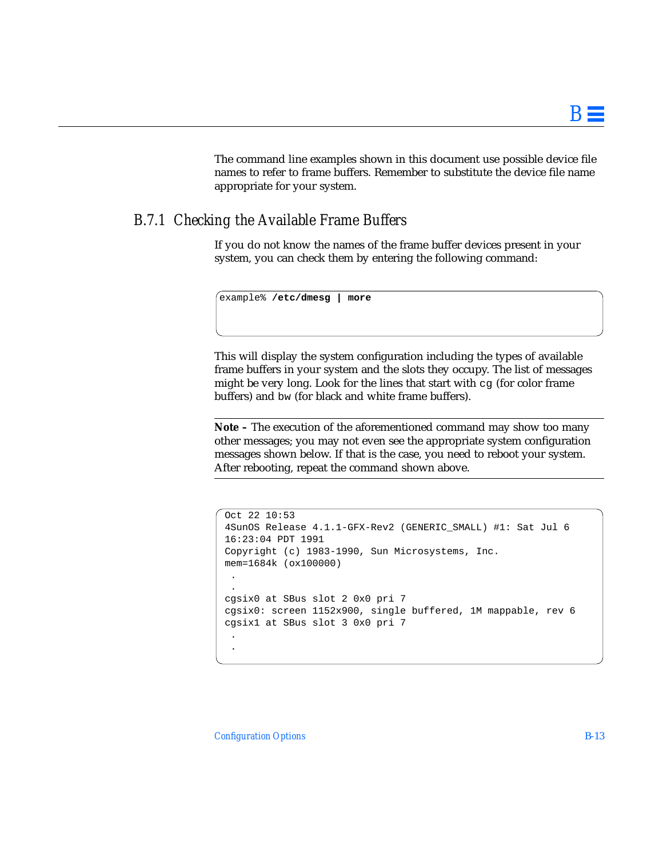The command line examples shown in this document use possible device file names to refer to frame buffers. Remember to substitute the device file name appropriate for your system.

### *B.7.1 Checking the Available Frame Buffers*

If you do not know the names of the frame buffer devices present in your system, you can check them by entering the following command:

example% **/etc/dmesg | more**

This will display the system configuration including the types of available frame buffers in your system and the slots they occupy. The list of messages might be very long. Look for the lines that start with cg (for color frame buffers) and bw (for black and white frame buffers).

**Note –** The execution of the aforementioned command may show too many other messages; you may not even see the appropriate system configuration messages shown below. If that is the case, you need to reboot your system. After rebooting, repeat the command shown above.

```
Oct 22 10:53
4SunOS Release 4.1.1-GFX-Rev2 (GENERIC_SMALL) #1: Sat Jul 6
16:23:04 PDT 1991
Copyright (c) 1983-1990, Sun Microsystems, Inc.
mem=1684k (ox100000)
 .
 .
cgsix0 at SBus slot 2 0x0 pri 7
cgsix0: screen 1152x900, single buffered, 1M mappable, rev 6
cgsix1 at SBus slot 3 0x0 pri 7
  .
 .
```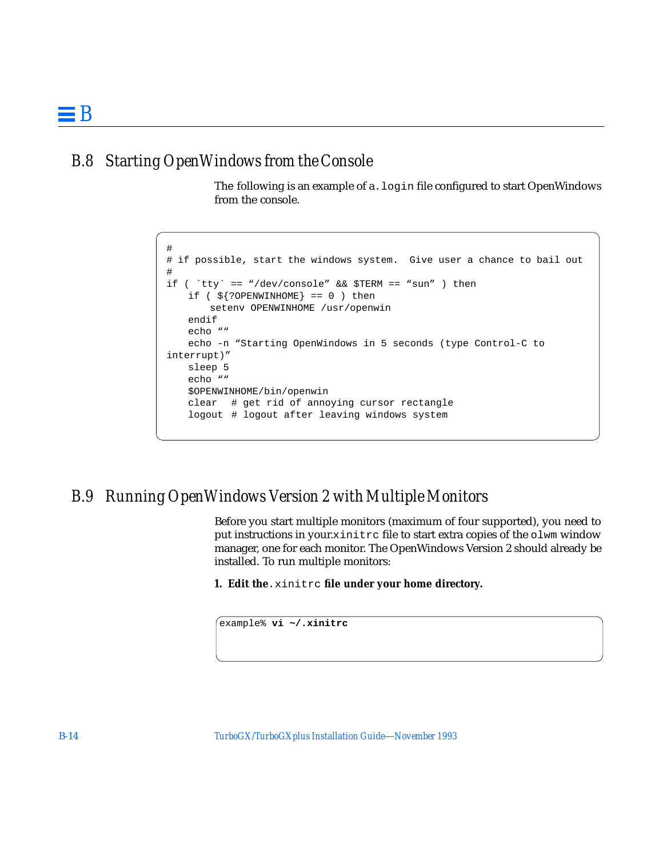### *B.8 Starting OpenWindows from the Console*

The following is an example of a. login file configured to start OpenWindows from the console.

```
#
# if possible, start the windows system. Give user a chance to bail out
#
if ( `tty` == "/dev/console" && $TERM == "sun" ) then
   if (${?OPENWINHOME} == 0 ) then
       setenv OPENWINHOME /usr/openwin
   endif
   echo ""
   echo -n "Starting OpenWindows in 5 seconds (type Control-C to
interrupt)"
   sleep 5
   echo ""
   $OPENWINHOME/bin/openwin
   clear # get rid of annoying cursor rectangle
   logout # logout after leaving windows system
```
# *B.9 Running OpenWindows Version 2 with Multiple Monitors*

Before you start multiple monitors (maximum of four supported), you need to put instructions in your.xinitrc file to start extra copies of the olwm window manager, one for each monitor. The OpenWindows Version 2 should already be installed. To run multiple monitors:

**1. Edit the**.xinitrc **file under your home directory.**

example% **vi ~/.xinitrc**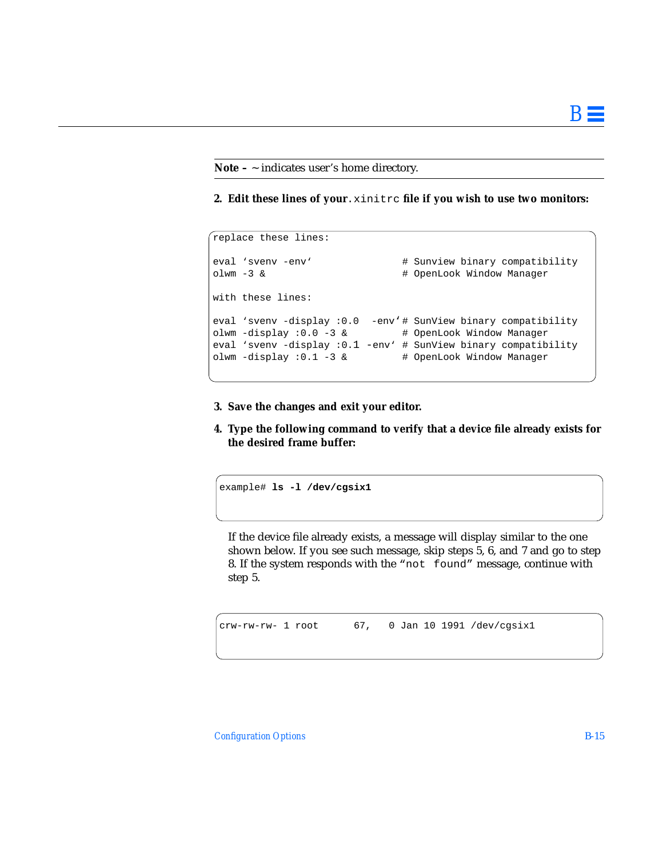```
Note – \sim indicates user's home directory.
```
**2. Edit these lines of your**.xinitrc **file if you wish to use two monitors:**

```
replace these lines:
eval 'svenv -env' * * * * * # Sunview binary compatibility
olwm -3 & \qquad # OpenLook Window Manager
with these lines:
eval 'svenv -display :0.0 -env'# SunView binary compatibility
olwm -display : 0.0 -3 & # OpenLook Window Manager
eval 'svenv -display :0.1 -env' # SunView binary compatibility
olwm -display : 0.1 -3 & # OpenLook Window Manager
```
- **3. Save the changes and exit your editor.**
- **4. Type the following command to verify that a device file already exists for the desired frame buffer:**

example# **ls -l /dev/cgsix1**

If the device file already exists, a message will display similar to the one shown below. If you see such message, skip steps 5, 6, and 7 and go to step 8. If the system responds with the "not found" message, continue with step 5.

crw-rw-rw- 1 root 67, 0 Jan 10 1991 /dev/cgsix1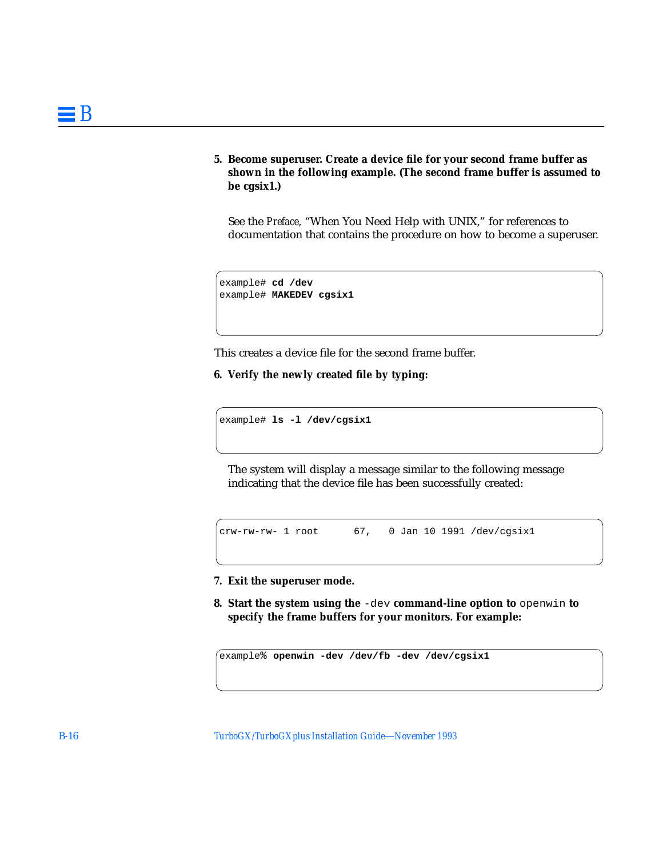**5. Become superuser. Create a device file for your second frame buffer as shown in the following example. (The second frame buffer is assumed to be cgsix1.)**

See the *Preface*, "When You Need Help with UNIX," for references to documentation that contains the procedure on how to become a superuser.

example# **cd /dev** example# **MAKEDEV cgsix1**

This creates a device file for the second frame buffer.

**6. Verify the newly created file by typing:**

example# **ls -l /dev/cgsix1**

The system will display a message similar to the following message indicating that the device file has been successfully created:

crw-rw-rw- 1 root 67, 0 Jan 10 1991 /dev/cgsix1

**7. Exit the superuser mode.**

**8. Start the system using the** -dev **command-line option to** openwin **to specify the frame buffers for your monitors. For example:**

example% **openwin -dev /dev/fb -dev /dev/cgsix1**

B-16 *TurboGX/TurboGXplus Installation Guide*—*November 1993*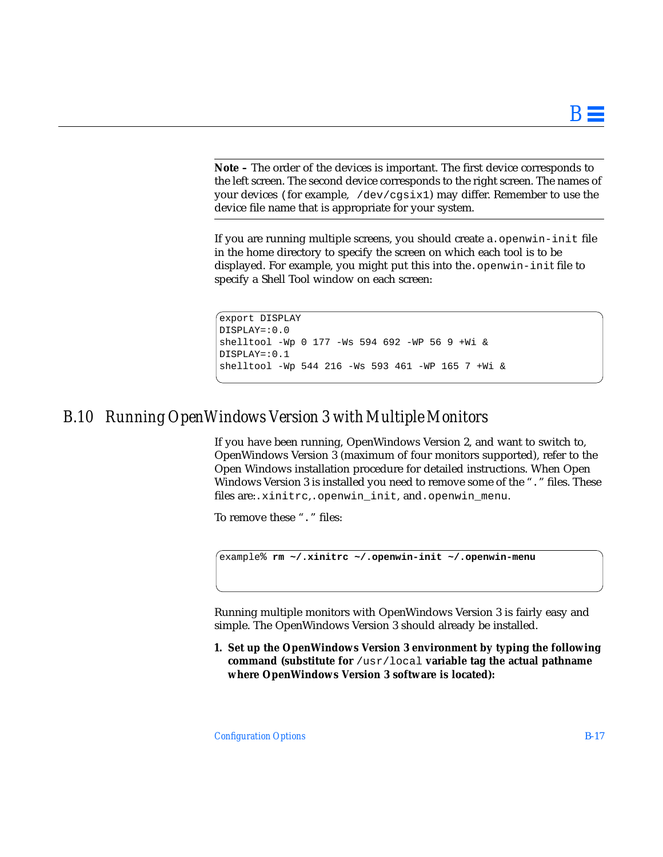**Note –** The order of the devices is important. The first device corresponds to the left screen. The second device corresponds to the right screen. The names of your devices (for example, /dev/cgsix1) may differ. Remember to use the device file name that is appropriate for your system.

If you are running multiple screens, you should create a. openwin-init file in the home directory to specify the screen on which each tool is to be displayed. For example, you might put this into the.openwin-init file to specify a Shell Tool window on each screen:

```
export DISPLAY
DISPLAY=:0.0
shelltool -Wp 0 177 -Ws 594 692 -WP 56 9 +Wi &
DISPLAY=:0.1
shelltool -Wp 544 216 -Ws 593 461 -WP 165 7 +Wi &
```
# *B.10 Running OpenWindows Version 3 with Multiple Monitors*

If you have been running, OpenWindows Version 2, and want to switch to, OpenWindows Version 3 (maximum of four monitors supported), refer to the Open Windows installation procedure for detailed instructions. When Open Windows Version 3 is installed you need to remove some of the "." files. These files are:.xinitrc,.openwin\_init, and.openwin\_menu.

To remove these "." files:

example% **rm ~/.xinitrc ~/.openwin-init ~/.openwin-menu**

Running multiple monitors with OpenWindows Version 3 is fairly easy and simple. The OpenWindows Version 3 should already be installed.

**1. Set up the OpenWindows Version 3 environment by typing the following command (substitute for** /usr/local **variable tag the actual pathname where OpenWindows Version 3 software is located):**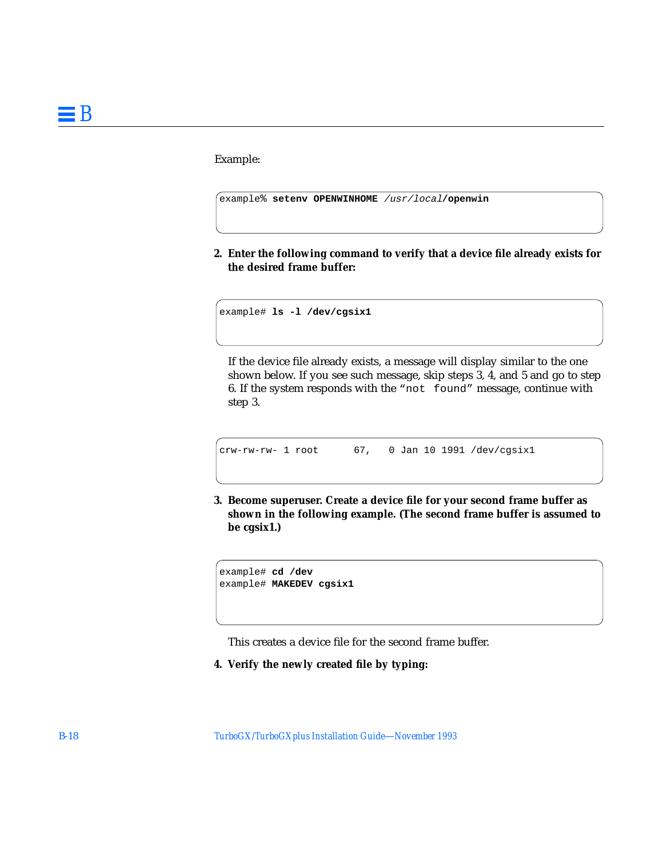

Example:

example% **setenv OPENWINHOME** /usr/local**/openwin**

**2. Enter the following command to verify that a device file already exists for the desired frame buffer:**

example# **ls -l /dev/cgsix1**

If the device file already exists, a message will display similar to the one shown below. If you see such message, skip steps 3, 4, and 5 and go to step 6. If the system responds with the "not found" message, continue with step 3.

crw-rw-rw- 1 root 67, 0 Jan 10 1991 /dev/cgsix1

**3. Become superuser. Create a device file for your second frame buffer as shown in the following example. (The second frame buffer is assumed to be cgsix1.)**

example# **cd /dev** example# **MAKEDEV cgsix1**

This creates a device file for the second frame buffer.

**4. Verify the newly created file by typing:**

B-18 *TurboGX/TurboGXplus Installation Guide*—*November 1993*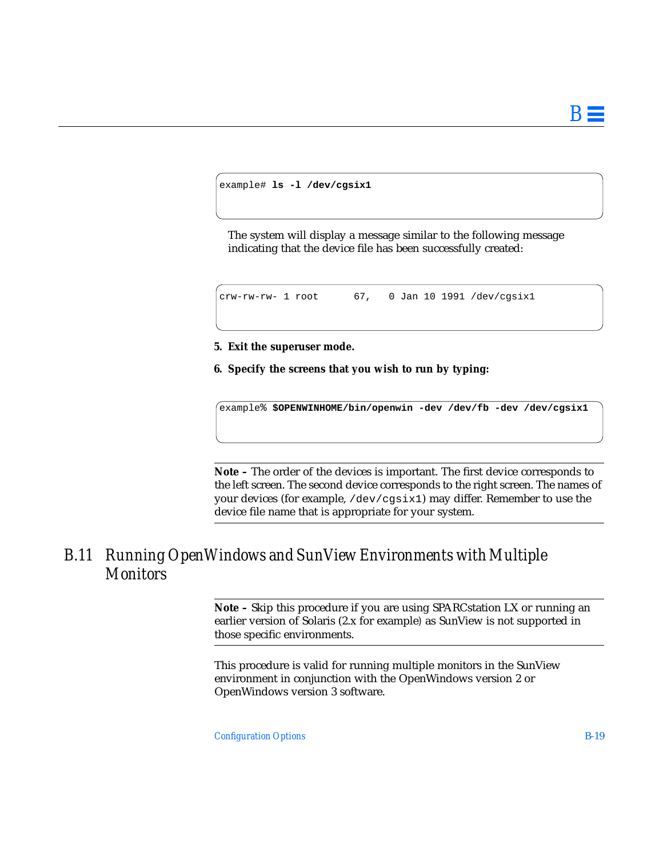example# **ls -l /dev/cgsix1**

The system will display a message similar to the following message indicating that the device file has been successfully created:

crw-rw-rw- 1 root 67, 0 Jan 10 1991 /dev/cgsix1

**5. Exit the superuser mode.**

**6. Specify the screens that you wish to run by typing:**

example% **\$OPENWINHOME/bin/openwin -dev /dev/fb -dev /dev/cgsix1**

**Note –** The order of the devices is important. The first device corresponds to the left screen. The second device corresponds to the right screen. The names of your devices (for example, /dev/cgsix1) may differ. Remember to use the device file name that is appropriate for your system.

# *B.11 Running OpenWindows and SunView Environments with Multiple Monitors*

**Note –** Skip this procedure if you are using SPARCstation LX or running an earlier version of Solaris (2.x for example*)* as SunView is not supported in those specific environments.

This procedure is valid for running multiple monitors in the SunView environment in conjunction with the OpenWindows version 2 or OpenWindows version 3 software.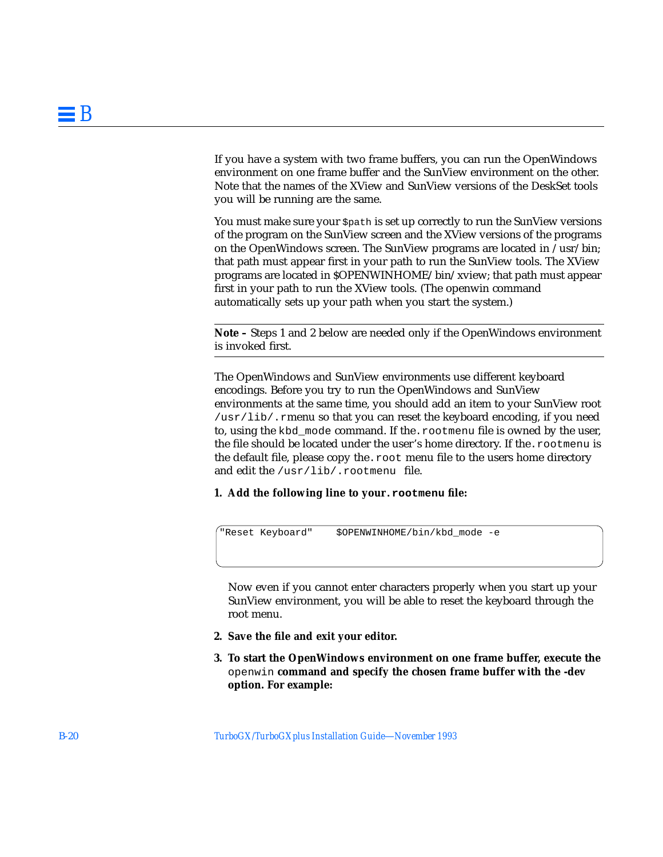If you have a system with two frame buffers, you can run the OpenWindows environment on one frame buffer and the SunView environment on the other. Note that the names of the XView and SunView versions of the DeskSet tools you will be running are the same.

You must make sure your \$path is set up correctly to run the SunView versions of the program on the SunView screen and the XView versions of the programs on the OpenWindows screen. The SunView programs are located in /usr/bin; that path must appear first in your path to run the SunView tools. The XView programs are located in \$OPENWINHOME/bin/xview; that path must appear first in your path to run the XView tools. (The openwin command automatically sets up your path when you start the system.)

**Note –** Steps 1 and 2 below are needed only if the OpenWindows environment is invoked first.

The OpenWindows and SunView environments use different keyboard encodings. Before you try to run the OpenWindows and SunView environments at the same time, you should add an item to your SunView root /usr/lib/.rmenu so that you can reset the keyboard encoding, if you need to, using the kbd\_mode command. If the.rootmenu file is owned by the user, the file should be located under the user's home directory. If the.rootmenu is the default file, please copy the . root menu file to the users home directory and edit the /usr/lib/.rootmenu file.

#### **1. Add the following line to your.rootmenu file:**

"Reset Keyboard" \$OPENWINHOME/bin/kbd\_mode -e

Now even if you cannot enter characters properly when you start up your SunView environment, you will be able to reset the keyboard through the root menu.

- **2. Save the file and exit your editor.**
- **3. To start the OpenWindows environment on one frame buffer, execute the** openwin **command and specify the chosen frame buffer with the -dev option. For example:**

B-20 *TurboGX/TurboGXplus Installation Guide*—*November 1993*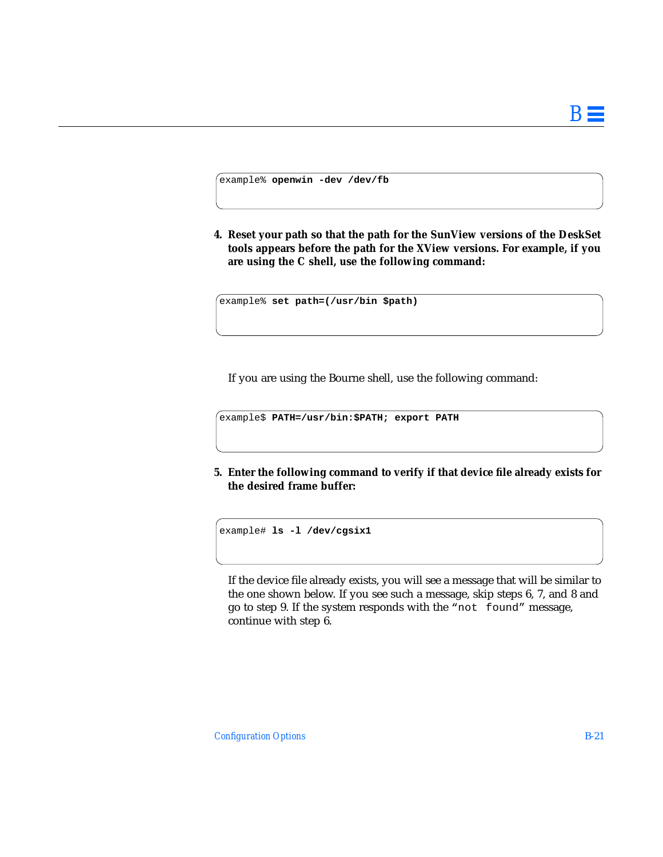example% **openwin -dev /dev/fb**

**4. Reset your path so that the path for the SunView versions of the DeskSet tools appears before the path for the XView versions. For example, if you are using the C shell, use the following command:**

example% **set path=(/usr/bin \$path)**

If you are using the Bourne shell, use the following command:

example\$ **PATH=/usr/bin:\$PATH; export PATH**

**5. Enter the following command to verify if that device file already exists for the desired frame buffer:**

example# **ls -l /dev/cgsix1**

If the device file already exists, you will see a message that will be similar to the one shown below. If you see such a message, skip steps 6, 7, and 8 and go to step 9. If the system responds with the "not found" message, continue with step 6.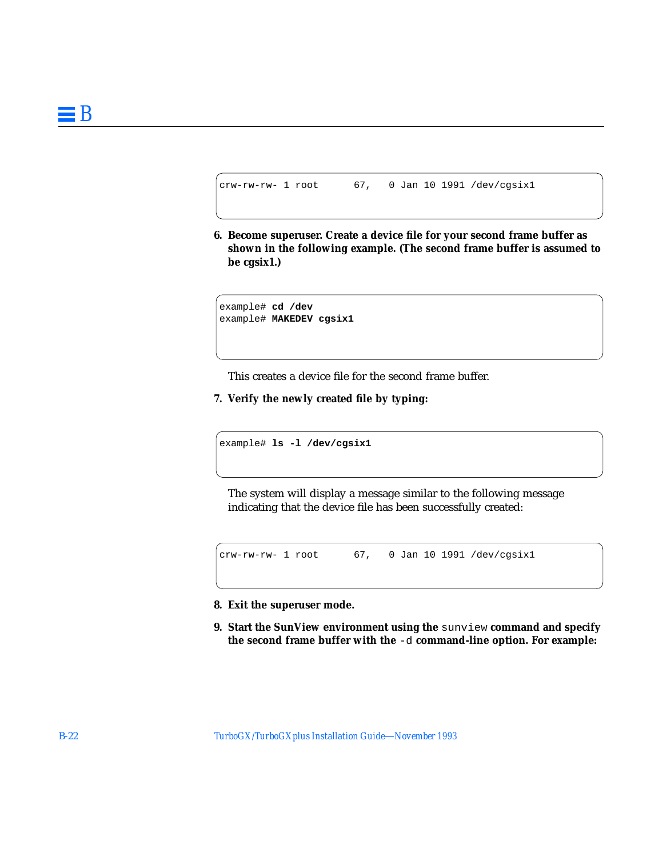

crw-rw-rw- 1 root 67, 0 Jan 10 1991 /dev/cgsix1

**6. Become superuser. Create a device file for your second frame buffer as shown in the following example. (The second frame buffer is assumed to be cgsix1.)**

example# **cd /dev** example# **MAKEDEV cgsix1**

This creates a device file for the second frame buffer.

**7. Verify the newly created file by typing:**

example# **ls -l /dev/cgsix1**

The system will display a message similar to the following message indicating that the device file has been successfully created:

crw-rw-rw- 1 root 67, 0 Jan 10 1991 /dev/cgsix1

- **8. Exit the superuser mode.**
- **9. Start the SunView environment using the** sunview **command and specify the second frame buffer with the** -d **command-line option. For example:**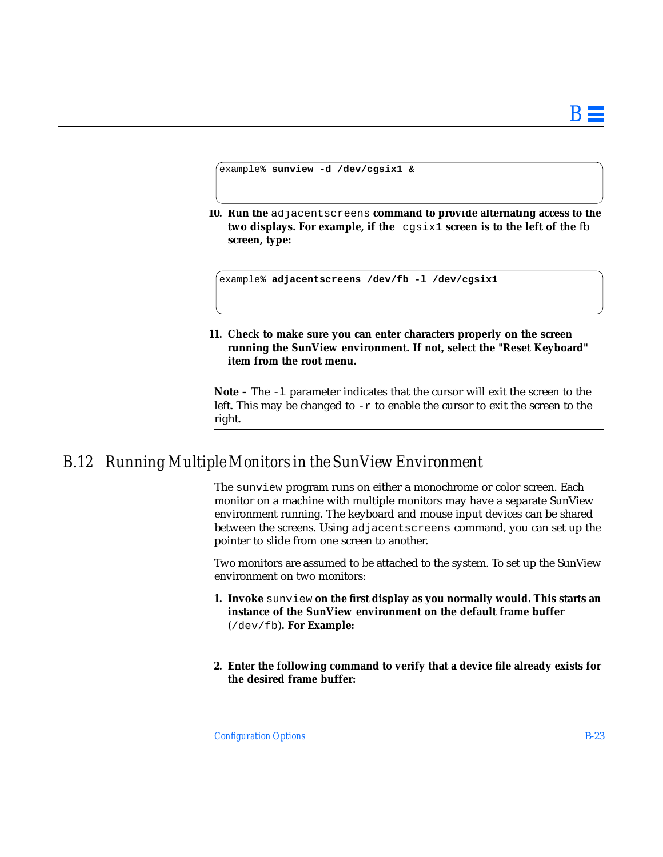example% **sunview -d /dev/cgsix1 &**

**10. Run the** adjacentscreens **command to provide alternating access to the two displays. For example, if the** cgsix1 **screen is to the left of the** fb **screen, type:**

example% **adjacentscreens /dev/fb -l /dev/cgsix1**

**11. Check to make sure you can enter characters properly on the screen running the SunView environment. If not, select the "Reset Keyboard" item from the root menu.**

**Note –** The -l parameter indicates that the cursor will exit the screen to the left. This may be changed to  $-r$  to enable the cursor to exit the screen to the right.

## *B.12 Running Multiple Monitors in the SunView Environment*

The sunview program runs on either a monochrome or color screen. Each monitor on a machine with multiple monitors may have a separate SunView environment running. The keyboard and mouse input devices can be shared between the screens. Using adjacentscreens command, you can set up the pointer to slide from one screen to another.

Two monitors are assumed to be attached to the system. To set up the SunView environment on two monitors:

- **1. Invoke** sunview **on the first display as you normally would. This starts an instance of the SunView environment on the default frame buffer** (/dev/fb)**. For Example:**
- **2. Enter the following command to verify that a device file already exists for the desired frame buffer:**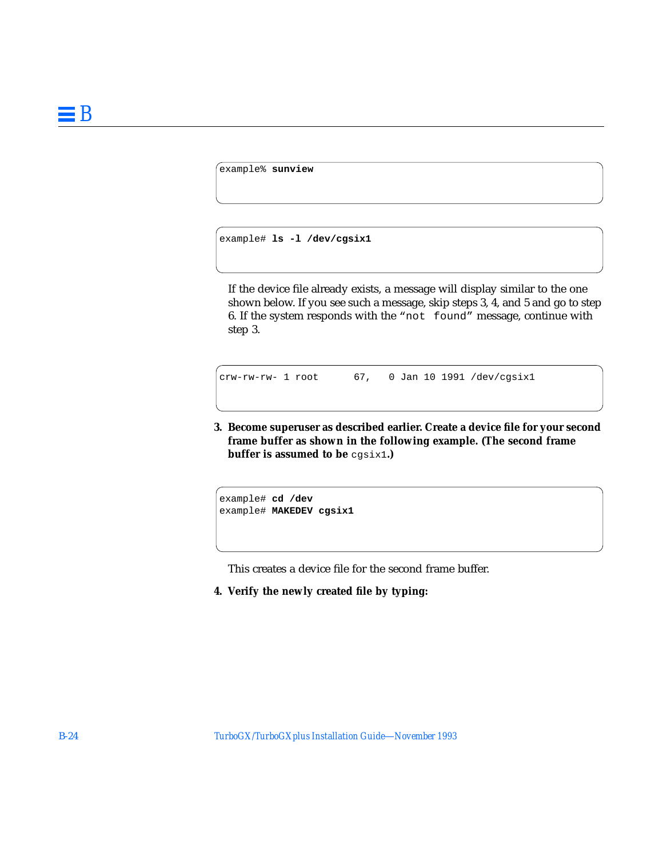

example% **sunview**

example# **ls -l /dev/cgsix1**

If the device file already exists, a message will display similar to the one shown below. If you see such a message, skip steps 3, 4, and 5 and go to step 6. If the system responds with the "not found" message, continue with step 3.

crw-rw-rw- 1 root 67, 0 Jan 10 1991 /dev/cgsix1

**3. Become superuser as described earlier. Create a device file for your second frame buffer as shown in the following example. (The second frame buffer is assumed to be** cgsix1**.)**

example# **cd /dev** example# **MAKEDEV cgsix1**

This creates a device file for the second frame buffer.

**4. Verify the newly created file by typing:**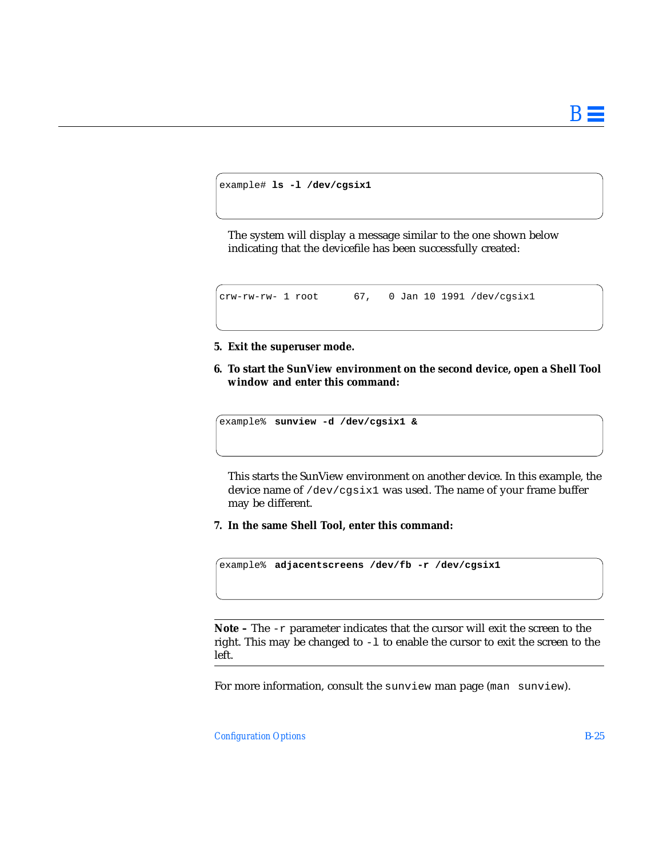example# **ls -l /dev/cgsix1**

The system will display a message similar to the one shown below indicating that the devicefile has been successfully created:

crw-rw-rw- 1 root 67, 0 Jan 10 1991 /dev/cgsix1

- **5. Exit the superuser mode.**
- **6. To start the SunView environment on the second device, open a Shell Tool window and enter this command:**

example% **sunview -d /dev/cgsix1 &**

This starts the SunView environment on another device. In this example, the device name of /dev/cgsix1 was used. The name of your frame buffer may be different.

**7. In the same Shell Tool, enter this command:**

```
example% adjacentscreens /dev/fb -r /dev/cgsix1
```
**Note –** The -r parameter indicates that the cursor will exit the screen to the right. This may be changed to -1 to enable the cursor to exit the screen to the left.

For more information, consult the sunview man page (man sunview).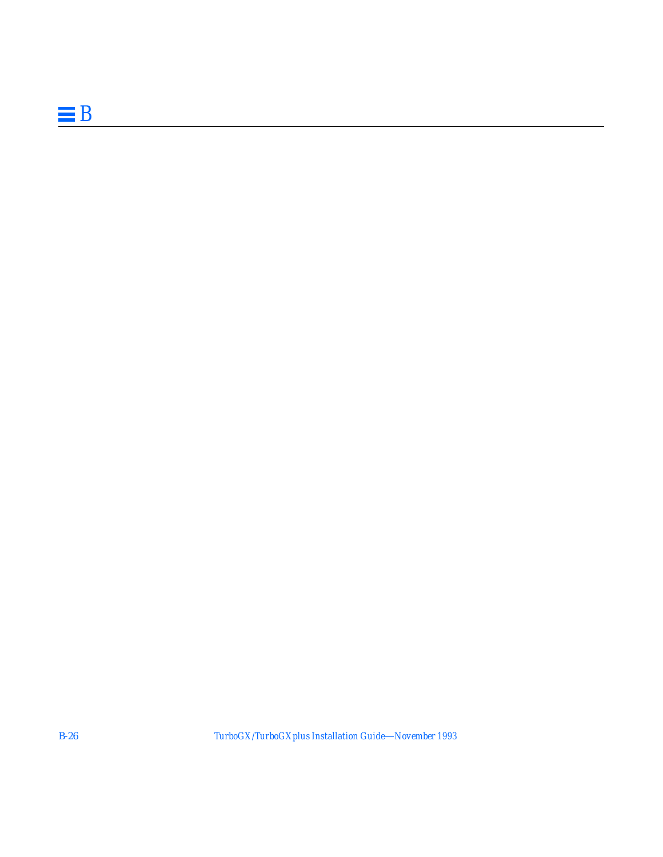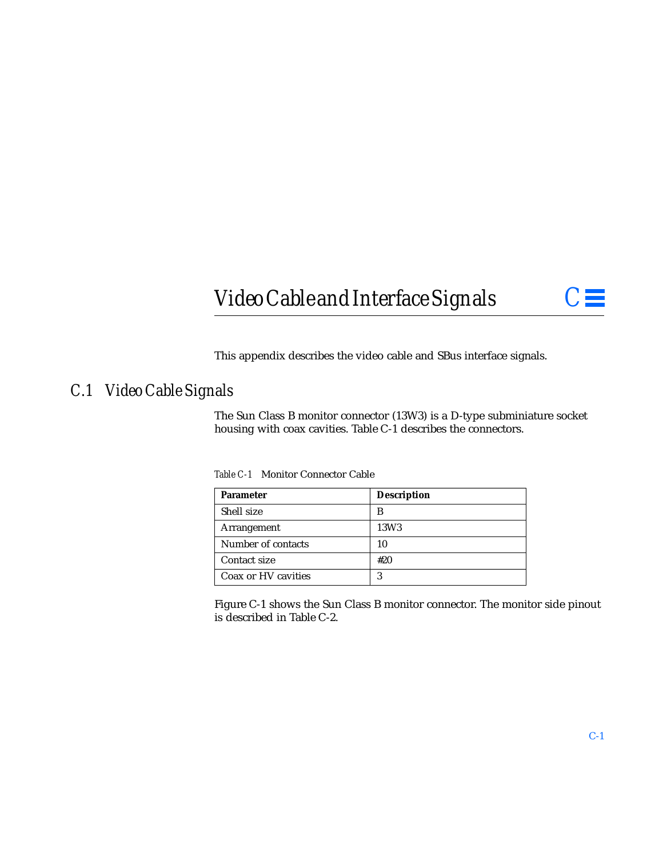# $V$ *ideo Cable and Interface Signals*



This appendix describes the video cable and SBus interface signals.

# *C.1 Video Cable Signals*

The Sun Class B monitor connector (13W3) is a D-type subminiature socket housing with coax cavities. Table C-1 describes the connectors.

| <b>Parameter</b>    | <b>Description</b> |
|---------------------|--------------------|
| Shell size          | В                  |
| Arrangement         | 13W <sub>3</sub>   |
| Number of contacts  | 10                 |
| Contact size        | #20                |
| Coax or HV cavities | 3                  |

*Table C-1* Monitor Connector Cable

Figure C-1 shows the Sun Class B monitor connector. The monitor side pinout is described in Table C-2.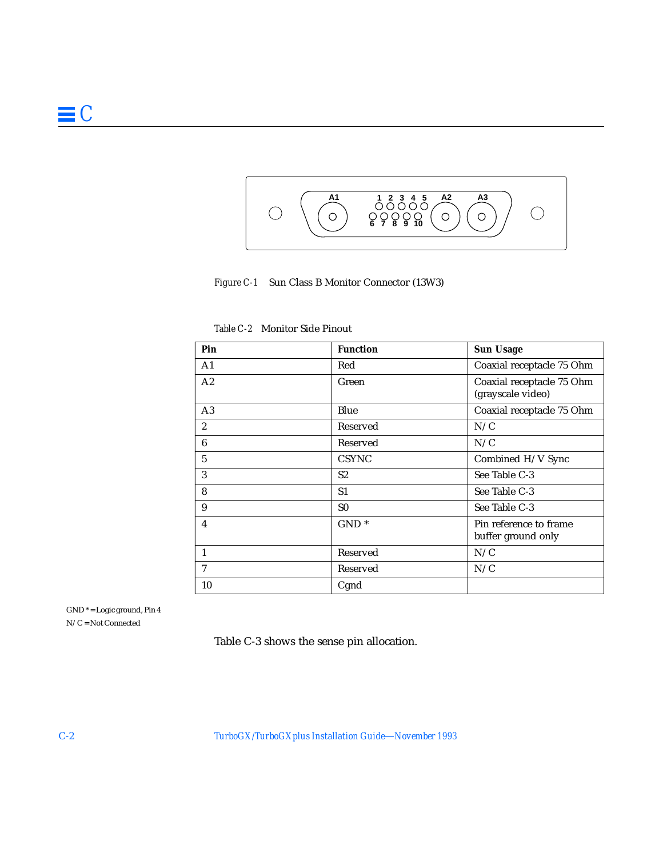



*Figure C-1* Sun Class B Monitor Connector (13W3)

*Table C-2* Monitor Side Pinout

| Pin            | <b>Function</b> | <b>Sun Usage</b>                               |
|----------------|-----------------|------------------------------------------------|
| A <sub>1</sub> | Red             | Coaxial receptacle 75 Ohm                      |
| A2             | Green           | Coaxial receptacle 75 Ohm<br>(grayscale video) |
| A <sub>3</sub> | Blue            | Coaxial receptacle 75 Ohm                      |
| $\overline{c}$ | Reserved        | N/C                                            |
| 6              | Reserved        | N/C                                            |
| 5              | <b>CSYNC</b>    | Combined H/V Sync                              |
| 3              | S <sub>2</sub>  | See Table C-3                                  |
| 8              | S <sub>1</sub>  | See Table C-3                                  |
| 9              | S <sub>0</sub>  | See Table C-3                                  |
| $\overline{4}$ | $GND *$         | Pin reference to frame<br>buffer ground only   |
| 1              | Reserved        | N/C                                            |
| 7              | Reserved        | N/C                                            |
| 10             | Cgnd            |                                                |

GND \* = Logic ground, Pin 4 N/C = Not Connected

Table C-3 shows the sense pin allocation.

C-2 *TurboGX/TurboGXplus Installation Guide*—*November 1993*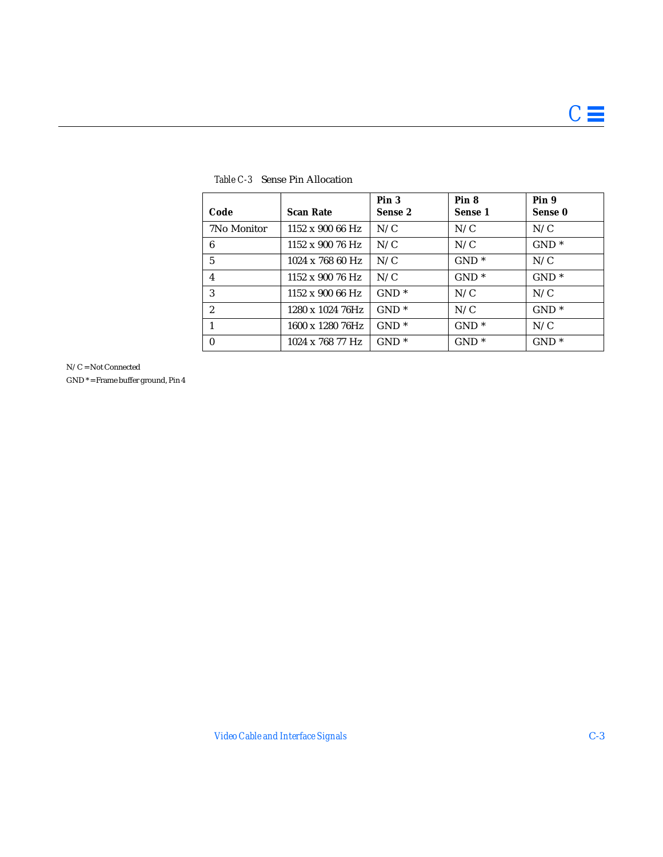

| Code             | <b>Scan Rate</b>        | Pin 3<br>Sense 2 | Pin 8<br>Sense 1 | Pin 9<br>Sense 0 |
|------------------|-------------------------|------------------|------------------|------------------|
| 7No Monitor      | $1152 \times 90066$ Hz  | N/C              | N/C              | N/C              |
| 6                | $1152 \times 900$ 76 Hz | N/C              | N/C              | $GND *$          |
| $\overline{5}$   | $1024 \times 768$ 60 Hz | N/C              | $GND *$          | N/C              |
| $\overline{4}$   | $1152 \times 900$ 76 Hz | N/C              | $GND *$          | $GND *$          |
| 3                | $1152 \times 90066$ Hz  | $GND *$          | N/C              | N/C              |
| $\overline{2}$   | $1280 \times 1024$ 76Hz | $GND *$          | N/C              | $GND *$          |
| 1                | 1600 x 1280 76Hz        | $GND *$          | $GND *$          | N/C              |
| $\boldsymbol{0}$ | 1024 x 768 77 Hz        | $GND *$          | $GND *$          | $GND *$          |
|                  |                         |                  |                  |                  |

#### *Table C-3* Sense Pin Allocation

N/C = Not Connected GND \* = Frame buffer ground, Pin 4

*Video Cable and Interface Signals* C-3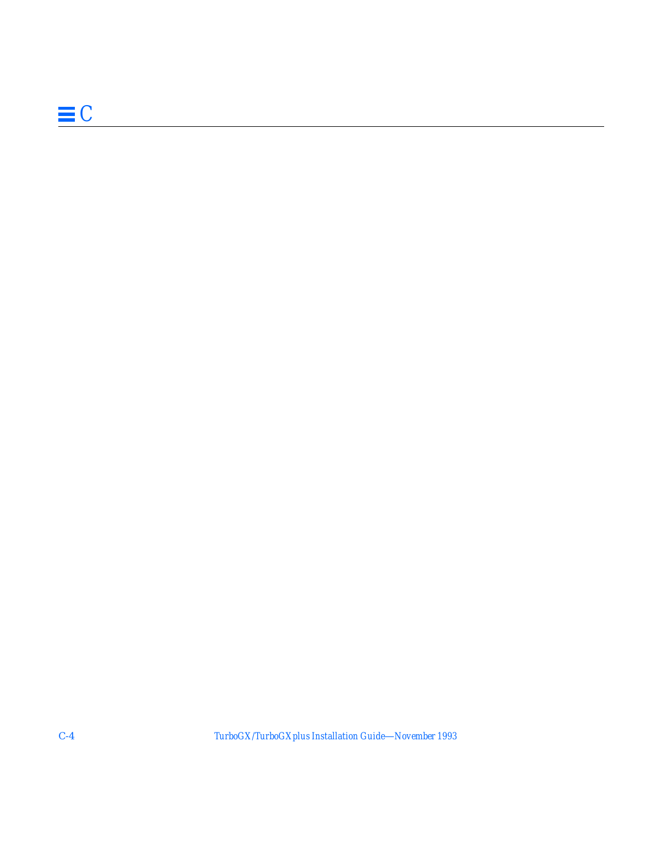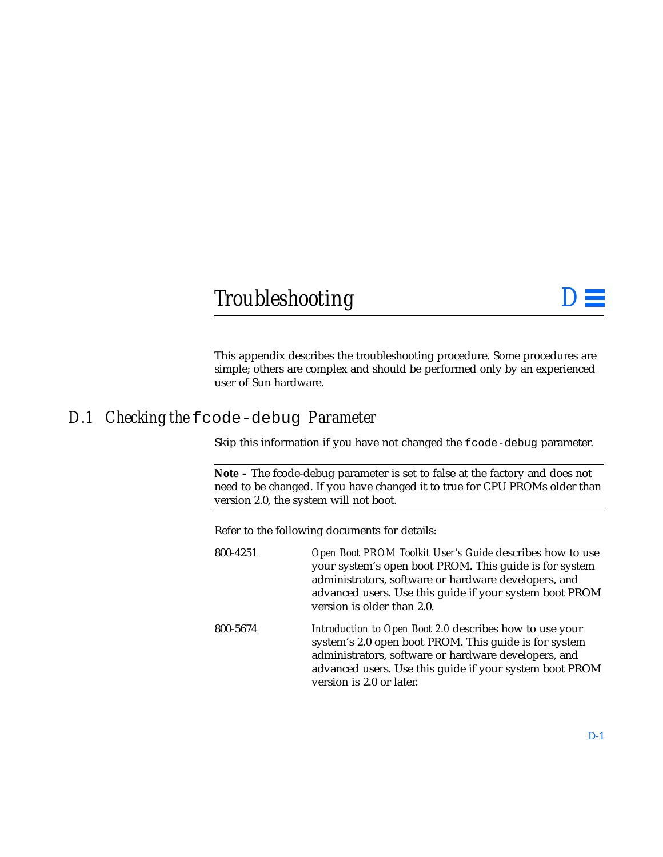# *Troubleshooting D*

This appendix describes the troubleshooting procedure. Some procedures are simple; others are complex and should be performed only by an experienced user of Sun hardware.

# *D.1 Checking the* fcode-debug *Parameter*

Skip this information if you have not changed the fcode-debug parameter.

**Note –** The fcode-debug parameter is set to false at the factory and does not need to be changed. If you have changed it to true for CPU PROMs older than version 2.0, the system will not boot.

Refer to the following documents for details:

| 800-4251 | Open Boot PROM Toolkit User's Guide describes how to use<br>your system's open boot PROM. This guide is for system<br>administrators, software or hardware developers, and<br>advanced users. Use this guide if your system boot PROM<br>version is older than 2.0. |
|----------|---------------------------------------------------------------------------------------------------------------------------------------------------------------------------------------------------------------------------------------------------------------------|
| 800-5674 | Introduction to Open Boot 2.0 describes how to use your<br>system's 2.0 open boot PROM. This guide is for system<br>administrators, software or hardware developers, and<br>advanced users. Use this guide if your system boot PROM<br>version is 2.0 or later.     |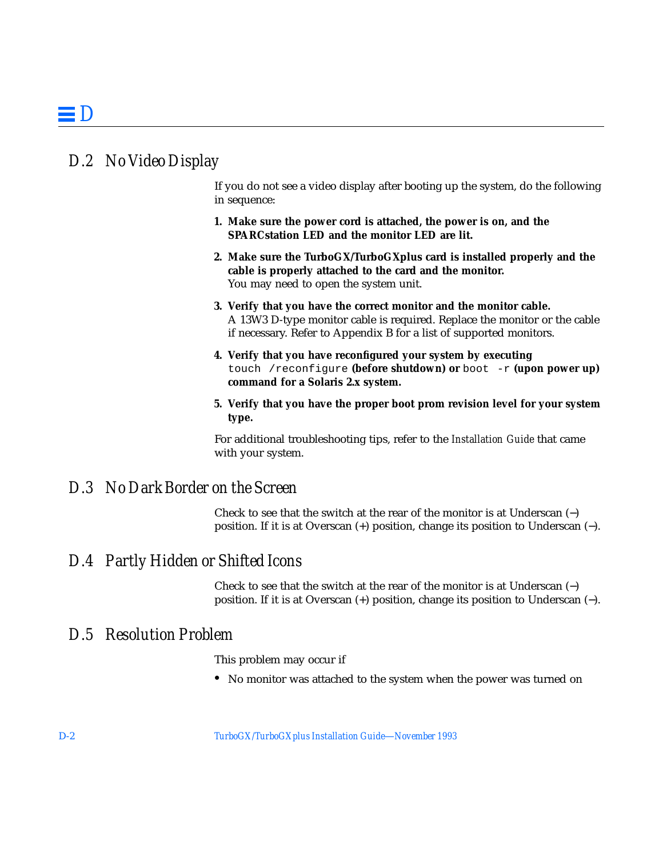

### *D.2 No Video Display*

If you do not see a video display after booting up the system, do the following in sequence:

- **1. Make sure the power cord is attached, the power is on, and the SPARCstation LED and the monitor LED are lit.**
- **2. Make sure the TurboGX/TurboGXplus card is installed properly and the cable is properly attached to the card and the monitor.** You may need to open the system unit.
- **3. Verify that you have the correct monitor and the monitor cable.** A 13W3 D-type monitor cable is required. Replace the monitor or the cable if necessary. Refer to Appendix B for a list of supported monitors.
- **4. Verify that you have reconfigured your system by executing** touch /reconfigure **(before shutdown) or** boot -r **(upon power up) command for a Solaris 2.x system.**
- **5. Verify that you have the proper boot prom revision level for your system type.**

For additional troubleshooting tips, refer to the *Installation Guide* that came with your system.

### *D.3 No Dark Border on the Screen*

Check to see that the switch at the rear of the monitor is at Underscan  $(-)$ position. If it is at Overscan (+) position, change its position to Underscan (−).

# *D.4 Partly Hidden or Shifted Icons*

Check to see that the switch at the rear of the monitor is at Underscan  $(-)$ position. If it is at Overscan (+) position, change its position to Underscan (−).

### *D.5 Resolution Problem*

This problem may occur if

**•** No monitor was attached to the system when the power was turned on

D-2 *TurboGX/TurboGXplus Installation Guide*—*November 1993*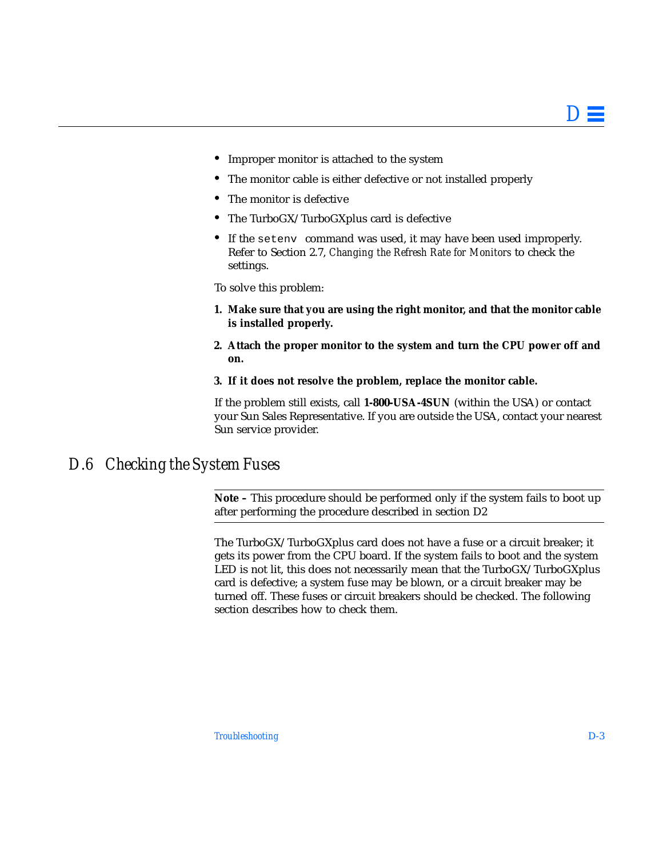- **•** Improper monitor is attached to the system
- **•** The monitor cable is either defective or not installed properly
- **•** The monitor is defective
- **•** The TurboGX/TurboGXplus card is defective
- If the seteny command was used, it may have been used improperly. Refer to Section 2.7, *Changing the Refresh Rate for Monitors* to check the settings.

To solve this problem:

- **1. Make sure that you are using the right monitor, and that the monitor cable is installed properly.**
- **2. Attach the proper monitor to the system and turn the CPU power off and on.**
- **3. If it does not resolve the problem, replace the monitor cable.**

If the problem still exists, call **1-800-USA-4SUN** (within the USA) or contact your Sun Sales Representative. If you are outside the USA, contact your nearest Sun service provider.

## *D.6 Checking the System Fuses*

**Note –** This procedure should be performed only if the system fails to boot up after performing the procedure described in section D2

The TurboGX/TurboGXplus card does not have a fuse or a circuit breaker; it gets its power from the CPU board. If the system fails to boot and the system LED is not lit, this does not necessarily mean that the TurboGX/TurboGXplus card is defective; a system fuse may be blown, or a circuit breaker may be turned off. These fuses or circuit breakers should be checked. The following section describes how to check them.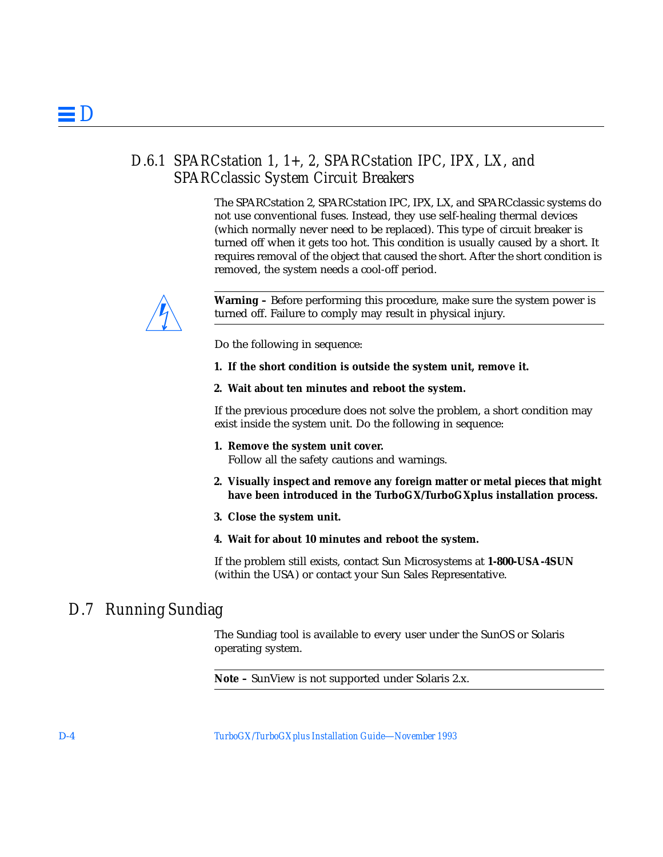# *D.6.1 SPARCstation 1, 1+, 2, SPARCstation IPC, IPX, LX, and SPARCclassic System Circuit Breakers*

The SPARCstation 2, SPARCstation IPC, IPX, LX, and SPARCclassic systems do not use conventional fuses. Instead, they use self-healing thermal devices (which normally never need to be replaced). This type of circuit breaker is turned off when it gets too hot. This condition is usually caused by a short. It requires removal of the object that caused the short. After the short condition is removed, the system needs a cool-off period.



**Warning –** Before performing this procedure, make sure the system power is turned off. Failure to comply may result in physical injury.

Do the following in sequence:

**1. If the short condition is outside the system unit, remove it.**

#### **2. Wait about ten minutes and reboot the system.**

If the previous procedure does not solve the problem, a short condition may exist inside the system unit. Do the following in sequence:

- **1. Remove the system unit cover.** Follow all the safety cautions and warnings.
- **2. Visually inspect and remove any foreign matter or metal pieces that might have been introduced in the TurboGX/TurboGXplus installation process.**
- **3. Close the system unit.**
- **4. Wait for about 10 minutes and reboot the system.**

If the problem still exists, contact Sun Microsystems at **1-800-USA-4SUN** (within the USA) or contact your Sun Sales Representative.

### *D.7 Running Sundiag*

The Sundiag tool is available to every user under the SunOS or Solaris operating system.

**Note –** SunView is not supported under Solaris 2.x.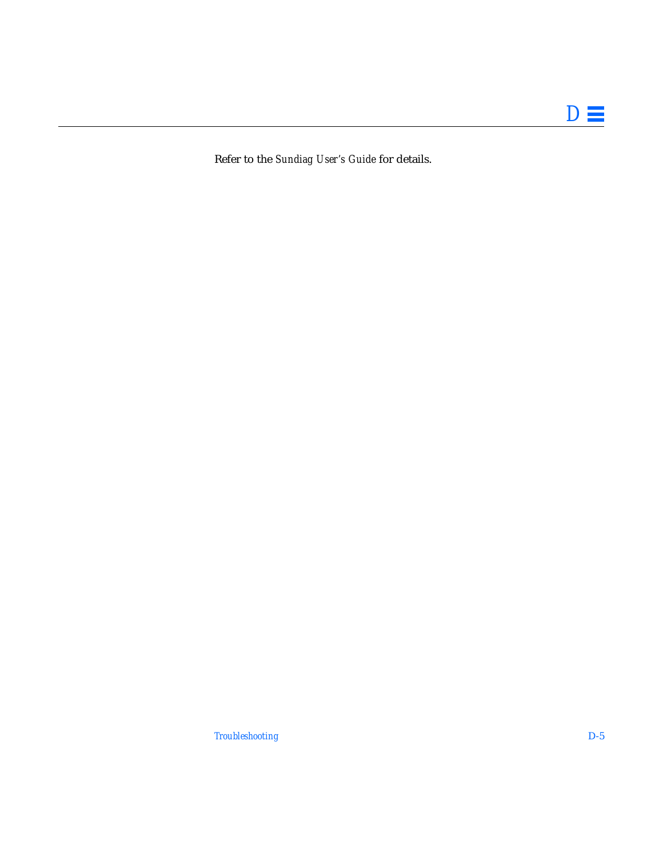

Refer to the *Sundiag User's Guide* for details.

*Troubleshooting* D-5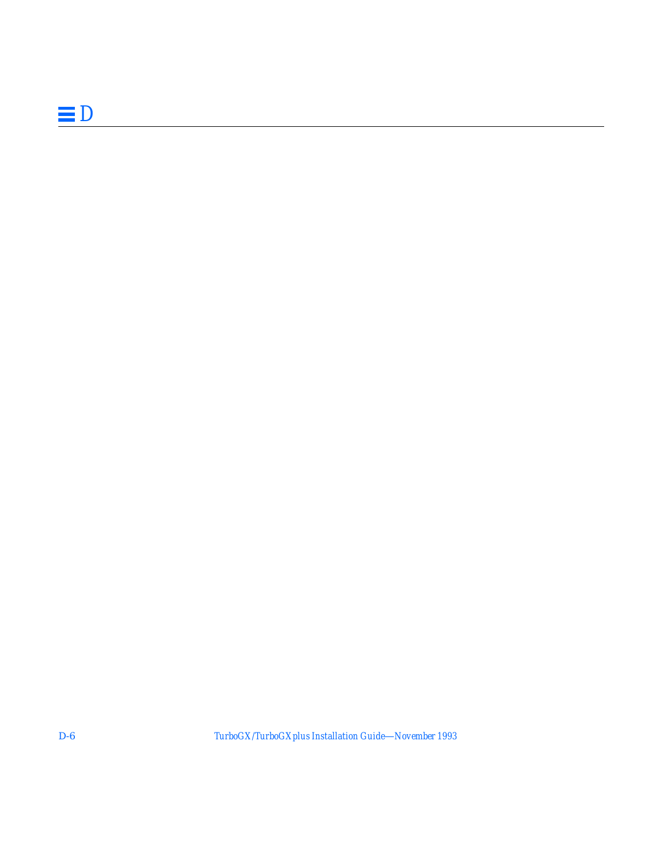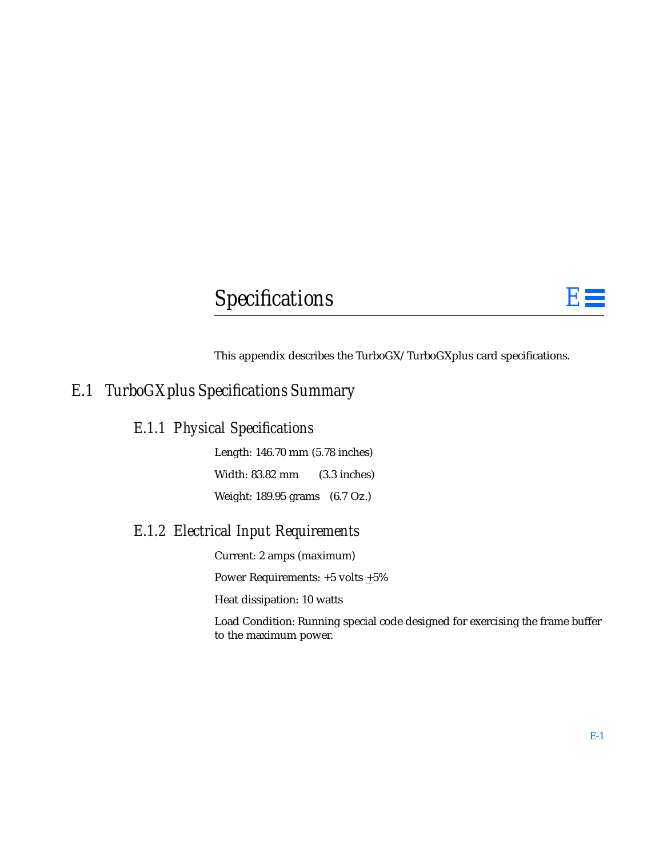# *Specifications E*



This appendix describes the TurboGX/TurboGXplus card specifications.

# *E.1 TurboGXplus Specifications Summary*

### *E.1.1 Physical Specifications*

Length: 146.70 mm (5.78 inches) Width: 83.82 mm (3.3 inches)

Weight: 189.95 grams (6.7 Oz.)

### *E.1.2 Electrical Input Requirements*

Current: 2 amps (maximum)

Power Requirements:  $+5$  volts  $\pm 5\%$ 

Heat dissipation: 10 watts

Load Condition: Running special code designed for exercising the frame buffer to the maximum power.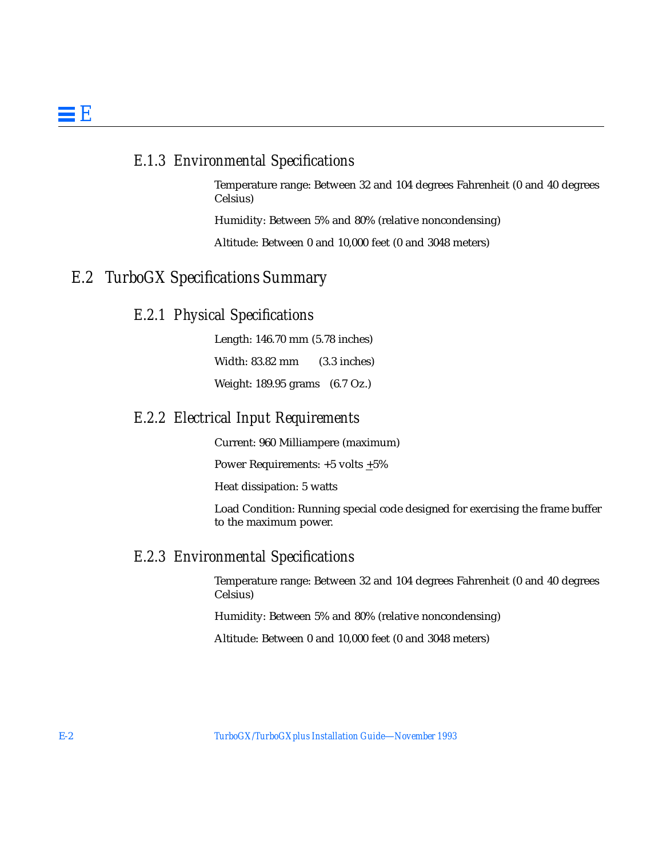### *E.1.3 Environmental Specifications*

Temperature range: Between 32 and 104 degrees Fahrenheit (0 and 40 degrees Celsius)

Humidity: Between 5% and 80% (relative noncondensing)

Altitude: Between 0 and 10,000 feet (0 and 3048 meters)

# *E.2 TurboGX Specifications Summary*

### *E.2.1 Physical Specifications*

Length: 146.70 mm (5.78 inches) Width: 83.82 mm (3.3 inches)

Weight: 189.95 grams (6.7 Oz.)

### *E.2.2 Electrical Input Requirements*

Current: 960 Milliampere (maximum)

Power Requirements:  $+5$  volts  $+5\%$ 

Heat dissipation: 5 watts

Load Condition: Running special code designed for exercising the frame buffer to the maximum power.

### *E.2.3 Environmental Specifications*

Temperature range: Between 32 and 104 degrees Fahrenheit (0 and 40 degrees Celsius)

Humidity: Between 5% and 80% (relative noncondensing)

Altitude: Between 0 and 10,000 feet (0 and 3048 meters)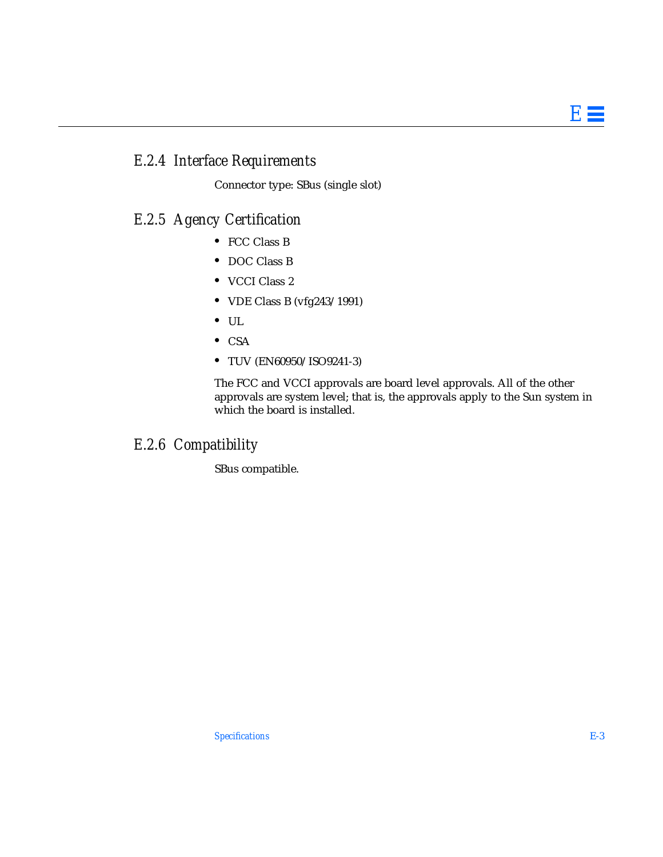

## *E.2.4 Interface Requirements*

Connector type: SBus (single slot)

## *E.2.5 Agency Certification*

- **•** FCC Class B
- **•** DOC Class B
- **•** VCCI Class 2
- **•** VDE Class B (vfg243/1991)
- **•** UL
- **•** CSA
- **•** TUV (EN60950/ISO9241-3)

The FCC and VCCI approvals are board level approvals. All of the other approvals are system level; that is, the approvals apply to the Sun system in which the board is installed.

## *E.2.6 Compatibility*

SBus compatible.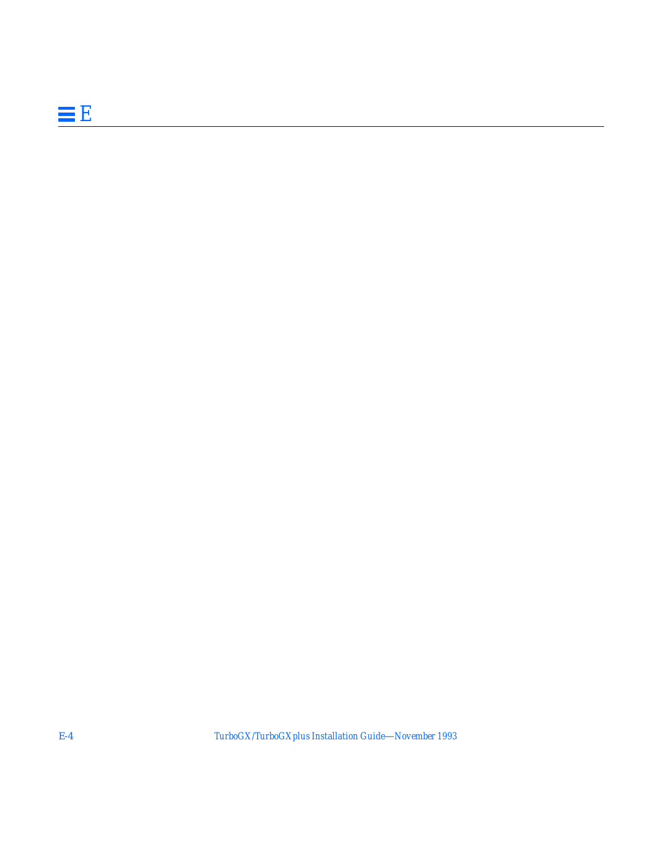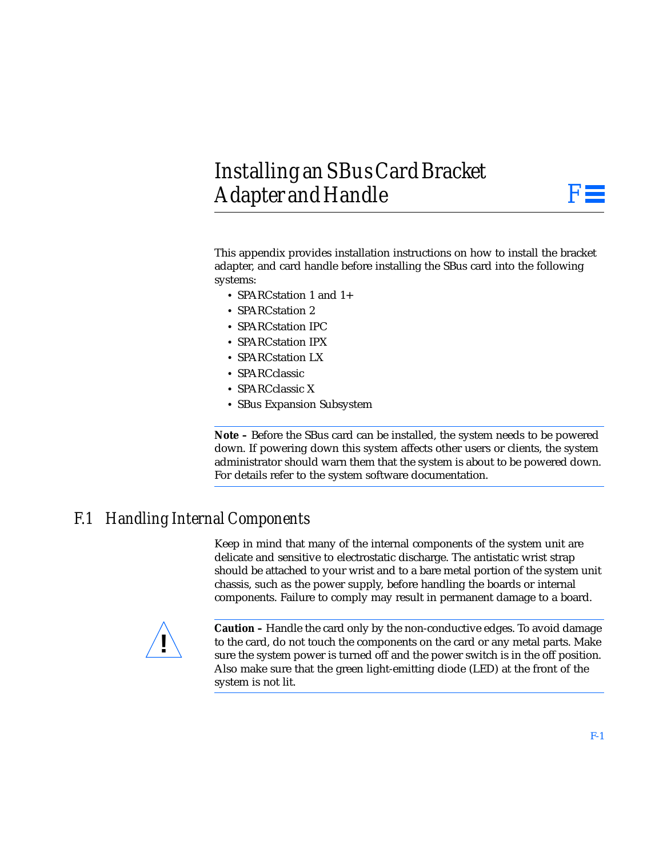# *Installing an SBus Card Bracket*  $A$ *dapter and Handle*



This appendix provides installation instructions on how to install the bracket adapter, and card handle before installing the SBus card into the following systems:

- **•** SPARCstation 1 and 1+
- **•** SPARCstation 2
- **•** SPARCstation IPC
- **•** SPARCstation IPX
- **•** SPARCstation LX
- **•** SPARCclassic
- **•** SPARCclassic X
- **•** SBus Expansion Subsystem

**Note –** Before the SBus card can be installed, the system needs to be powered down. If powering down this system affects other users or clients, the system administrator should warn them that the system is about to be powered down. For details refer to the system software documentation.

## *F.1 Handling Internal Components*

Keep in mind that many of the internal components of the system unit are delicate and sensitive to electrostatic discharge. The antistatic wrist strap should be attached to your wrist and to a bare metal portion of the system unit chassis, such as the power supply, before handling the boards or internal components. Failure to comply may result in permanent damage to a board.



**Caution –** Handle the card only by the non-conductive edges. To avoid damage to the card, do not touch the components on the card or any metal parts. Make sure the system power is turned off and the power switch is in the off position. Also make sure that the green light-emitting diode (LED) at the front of the system is not lit.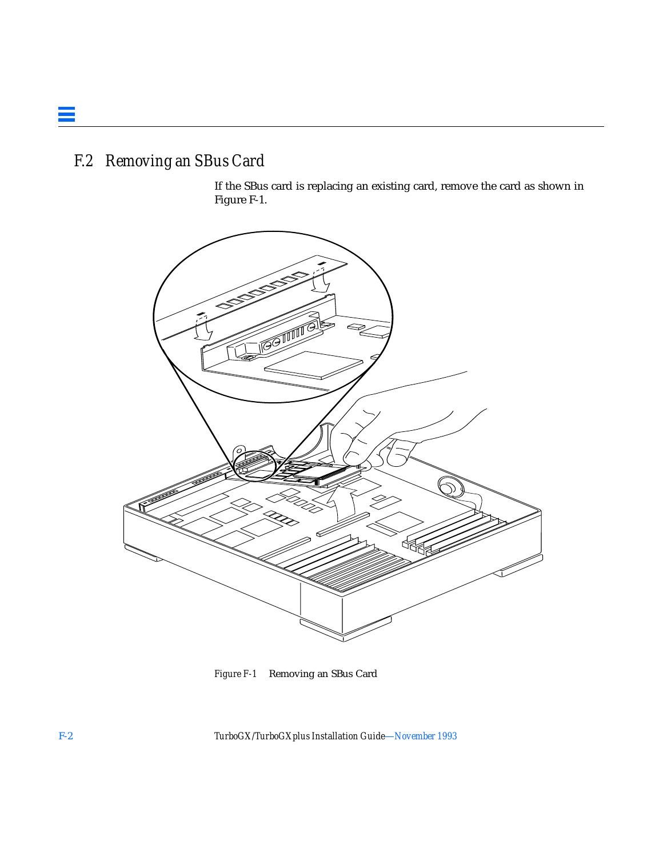$\equiv$ 

## *F.2 Removing an SBus Card*

If the SBus card is replacing an existing card, remove the card as shown in Figure F-1.



*Figure F-1* Removing an SBus Card

F-2 *TurboGX/TurboGXplus Installation Guide*—*November 1993*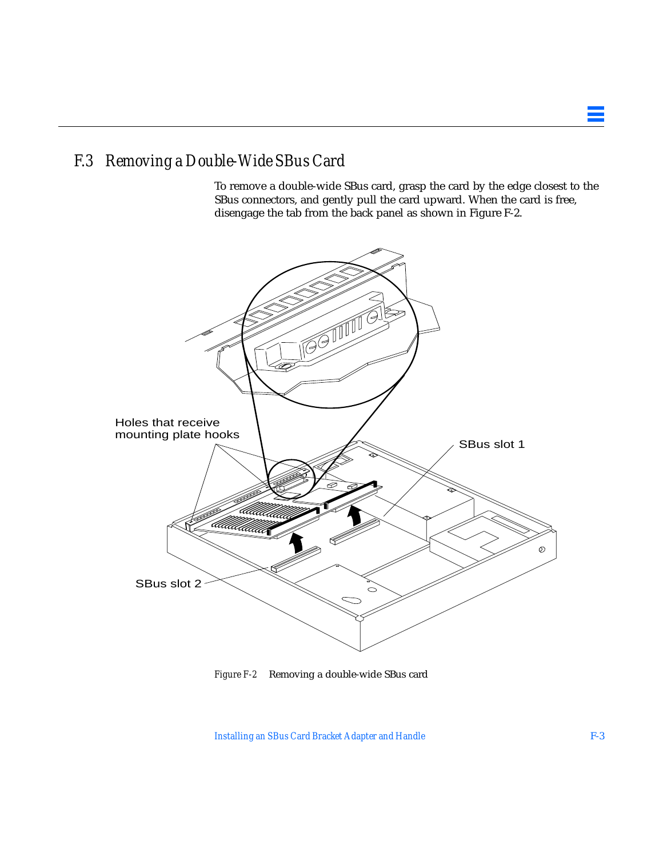## *F.3 Removing a Double-Wide SBus Card*

To remove a double-wide SBus card, grasp the card by the edge closest to the SBus connectors, and gently pull the card upward. When the card is free, disengage the tab from the back panel as shown in Figure F-2.



*Figure F-2* Removing a double-wide SBus card

*Installing an SBus Card Bracket Adapter and Handle* F-3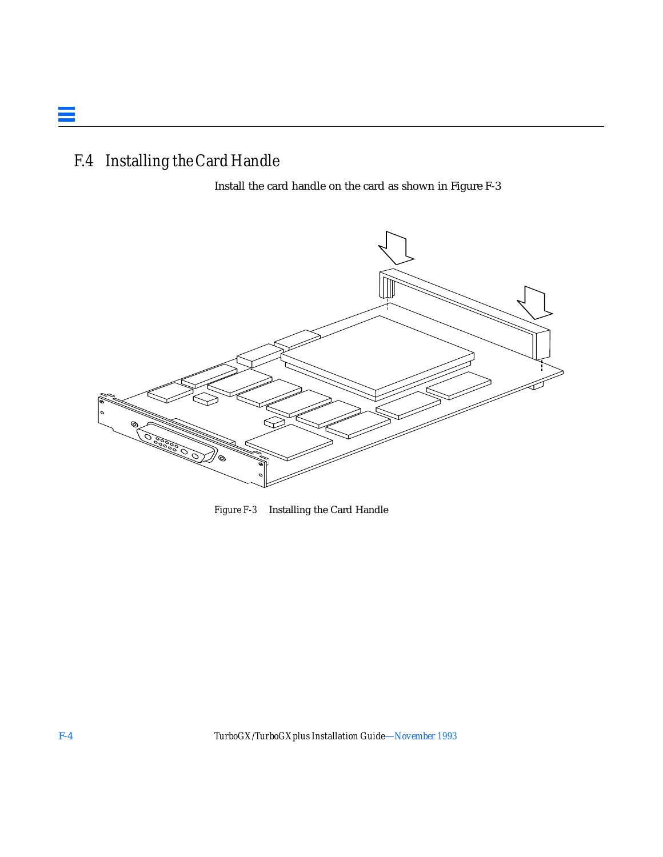$\frac{1}{\sqrt{2}}$ 

## *F.4 Installing the Card Handle*

Install the card handle on the card as shown in Figure F-3



*Figure F-3* Installing the Card Handle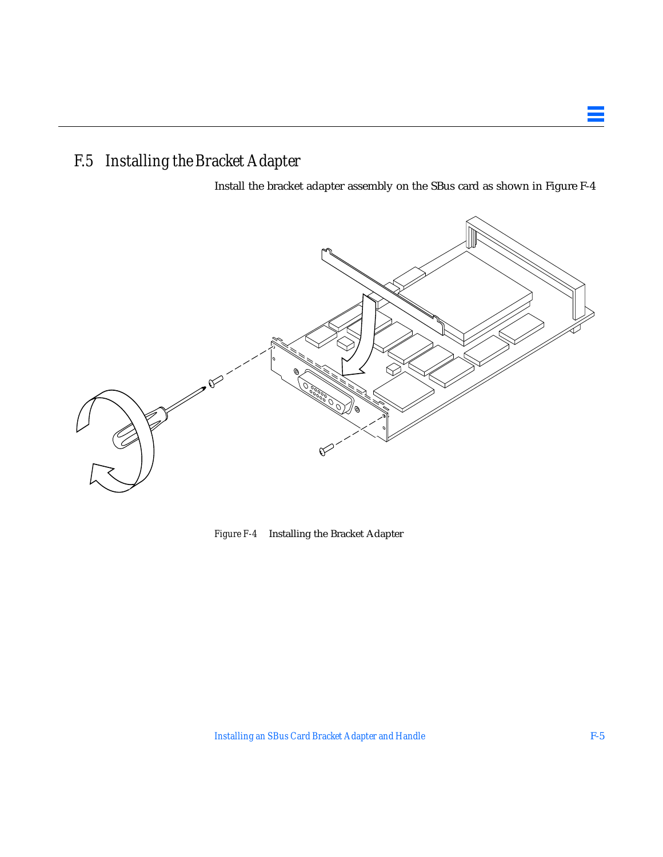## *F.5 Installing the Bracket Adapter*

Install the bracket adapter assembly on the SBus card as shown in Figure F-4



*Figure F-4* Installing the Bracket Adapter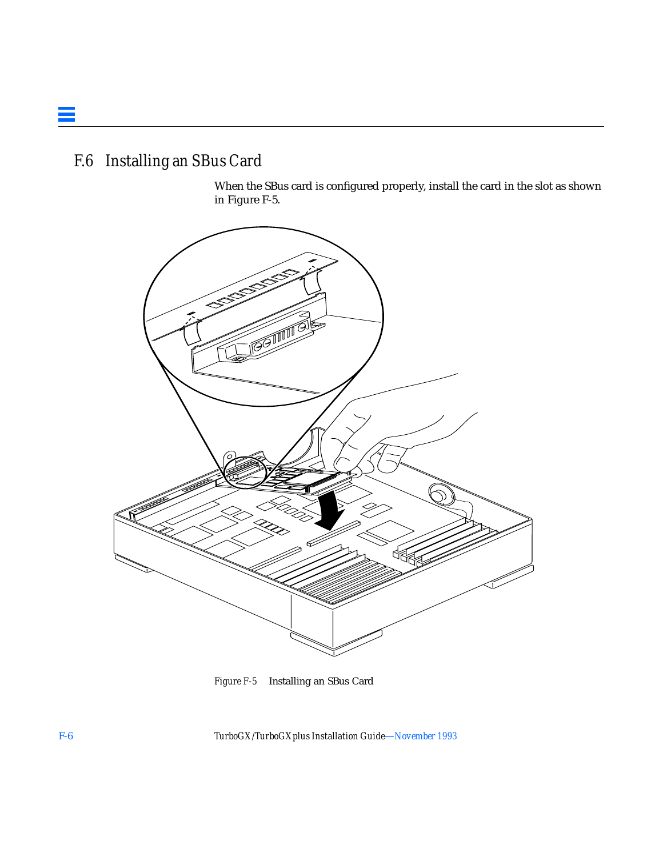*F.6 Installing an SBus Card*

 $\equiv$ 

When the SBus card is configured properly, install the card in the slot as shown in Figure F-5.



*Figure F-5* Installing an SBus Card

F-6 *TurboGX/TurboGXplus Installation Guide*—*November 1993*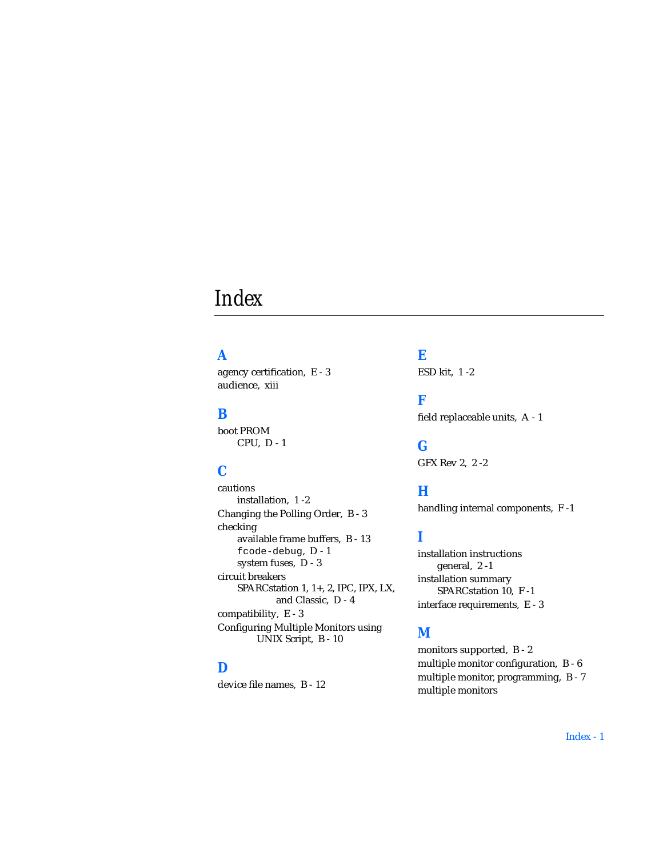# *Index*

## **A**

agency certification, E - 3 audience, xiii

### **B**

boot PROM CPU, D - 1

## **C**

cautions installation, 1 -2 Changing the Polling Order, B - 3 checking available frame buffers, B - 13 fcode-debug, D - 1 system fuses, D - 3 circuit breakers SPARCstation 1, 1+, 2, IPC, IPX, LX, and Classic, D - 4 compatibility, E - 3 Configuring Multiple Monitors using UNIX Script, B - 10

### **D**

device file names, B - 12

## **E**

ESD kit, 1 -2

## **F**

field replaceable units, A - 1

**G** GFX Rev 2, 2 -2

## **H**

handling internal components, F -1

## **I**

installation instructions general, 2 -1 installation summary SPARCstation 10, F -1 interface requirements, E - 3

### **M**

monitors supported, B - 2 multiple monitor configuration, B - 6 multiple monitor, programming, B - 7 multiple monitors